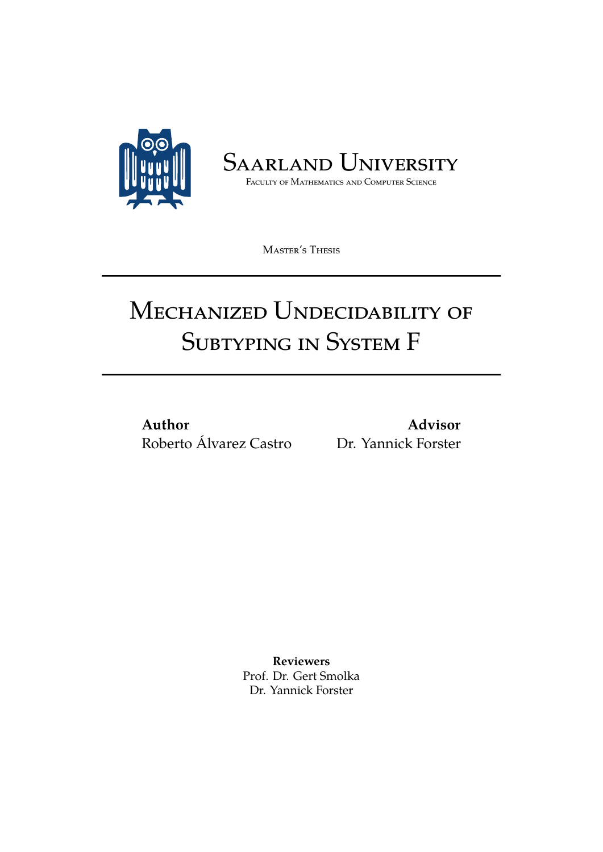

SAARLAND UNIVERSITY

Faculty of Mathematics and Computer Science

Master's Thesis

# MECHANIZED UNDECIDABILITY OF Subtyping in System F

**Author** Roberto Álvarez Castro Dr. Yannick Forster

**Advisor**

**Reviewers** Prof. Dr. Gert Smolka Dr. Yannick Forster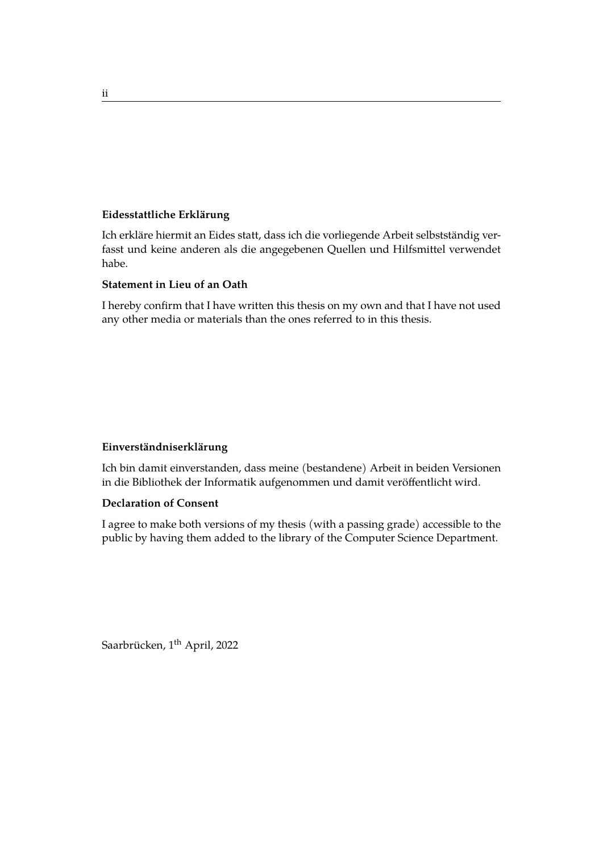#### **Eidesstattliche Erklärung**

Ich erkläre hiermit an Eides statt, dass ich die vorliegende Arbeit selbstständig verfasst und keine anderen als die angegebenen Quellen und Hilfsmittel verwendet habe.

#### **Statement in Lieu of an Oath**

I hereby confirm that I have written this thesis on my own and that I have not used any other media or materials than the ones referred to in this thesis.

#### **Einverständniserklärung**

Ich bin damit einverstanden, dass meine (bestandene) Arbeit in beiden Versionen in die Bibliothek der Informatik aufgenommen und damit veröffentlicht wird.

#### **Declaration of Consent**

I agree to make both versions of my thesis (with a passing grade) accessible to the public by having them added to the library of the Computer Science Department.

Saarbrücken, 1<sup>th</sup> April, 2022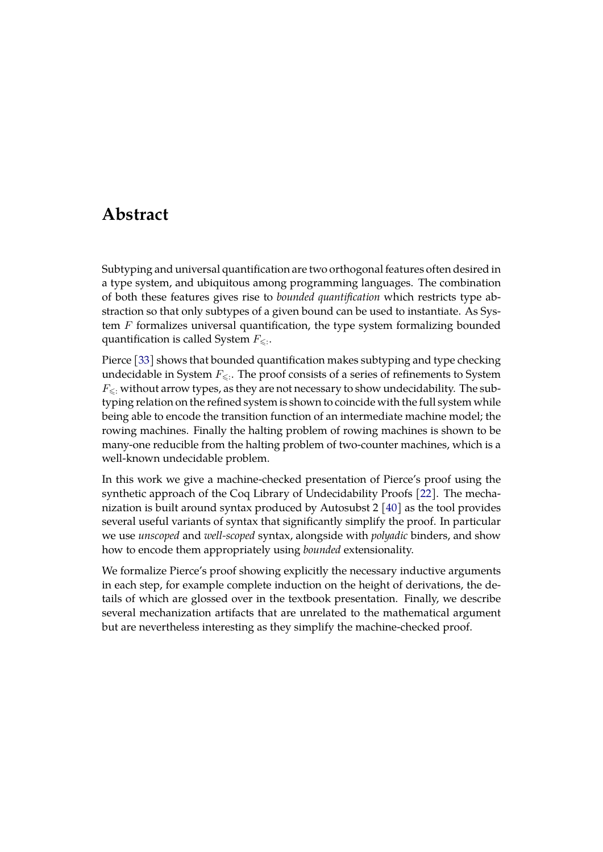# **Abstract**

Subtyping and universal quantification are two orthogonal features often desired in a type system, and ubiquitous among programming languages. The combination of both these features gives rise to *bounded quantification* which restricts type abstraction so that only subtypes of a given bound can be used to instantiate. As System  $F$  formalizes universal quantification, the type system formalizing bounded quantification is called System  $F_{\leqslant:}.$ 

Pierce [\[33\]](#page-56-0) shows that bounded quantification makes subtyping and type checking undecidable in System  $F_{\leqslant \cdot}$ . The proof consists of a series of refinements to System  $F_{\leq$ : without arrow types, as they are not necessary to show undecidability. The subtyping relation on the refined system is shown to coincide with the full system while being able to encode the transition function of an intermediate machine model; the rowing machines. Finally the halting problem of rowing machines is shown to be many-one reducible from the halting problem of two-counter machines, which is a well-known undecidable problem.

In this work we give a machine-checked presentation of Pierce's proof using the synthetic approach of the Coq Library of Undecidability Proofs [\[22\]](#page-55-0). The mechanization is built around syntax produced by Autosubst 2 [\[40\]](#page-57-0) as the tool provides several useful variants of syntax that significantly simplify the proof. In particular we use *unscoped* and *well-scoped* syntax, alongside with *polyadic* binders, and show how to encode them appropriately using *bounded* extensionality.

We formalize Pierce's proof showing explicitly the necessary inductive arguments in each step, for example complete induction on the height of derivations, the details of which are glossed over in the textbook presentation. Finally, we describe several mechanization artifacts that are unrelated to the mathematical argument but are nevertheless interesting as they simplify the machine-checked proof.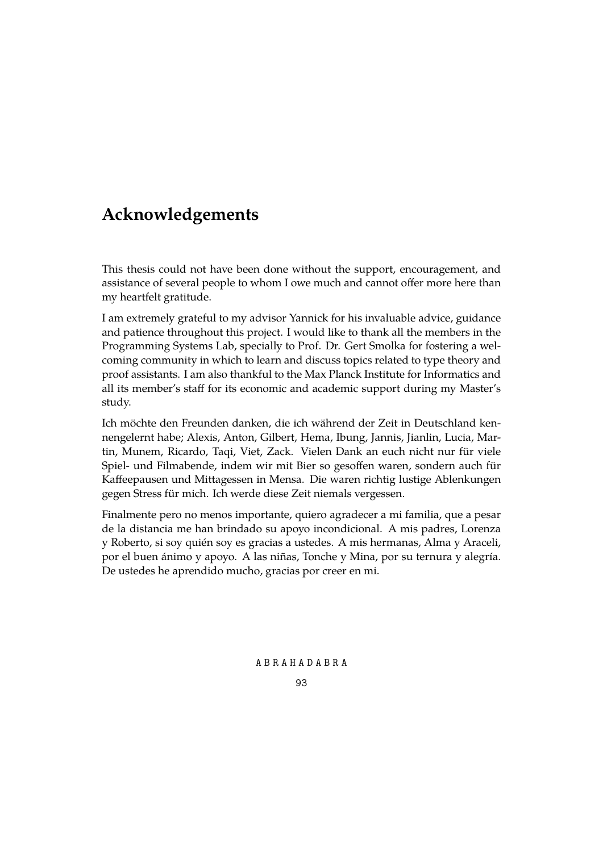# **Acknowledgements**

This thesis could not have been done without the support, encouragement, and assistance of several people to whom I owe much and cannot offer more here than my heartfelt gratitude.

I am extremely grateful to my advisor Yannick for his invaluable advice, guidance and patience throughout this project. I would like to thank all the members in the Programming Systems Lab, specially to Prof. Dr. Gert Smolka for fostering a welcoming community in which to learn and discuss topics related to type theory and proof assistants. I am also thankful to the Max Planck Institute for Informatics and all its member's staff for its economic and academic support during my Master's study.

Ich möchte den Freunden danken, die ich während der Zeit in Deutschland kennengelernt habe; Alexis, Anton, Gilbert, Hema, Ibung, Jannis, Jianlin, Lucia, Martin, Munem, Ricardo, Taqi, Viet, Zack. Vielen Dank an euch nicht nur für viele Spiel- und Filmabende, indem wir mit Bier so gesoffen waren, sondern auch für Kaffeepausen und Mittagessen in Mensa. Die waren richtig lustige Ablenkungen gegen Stress für mich. Ich werde diese Zeit niemals vergessen.

Finalmente pero no menos importante, quiero agradecer a mi familia, que a pesar de la distancia me han brindado su apoyo incondicional. A mis padres, Lorenza y Roberto, si soy quién soy es gracias a ustedes. A mis hermanas, Alma y Araceli, por el buen ánimo y apoyo. A las niñas, Tonche y Mina, por su ternura y alegría. De ustedes he aprendido mucho, gracias por creer en mi.

A B R A H A D A B R A

93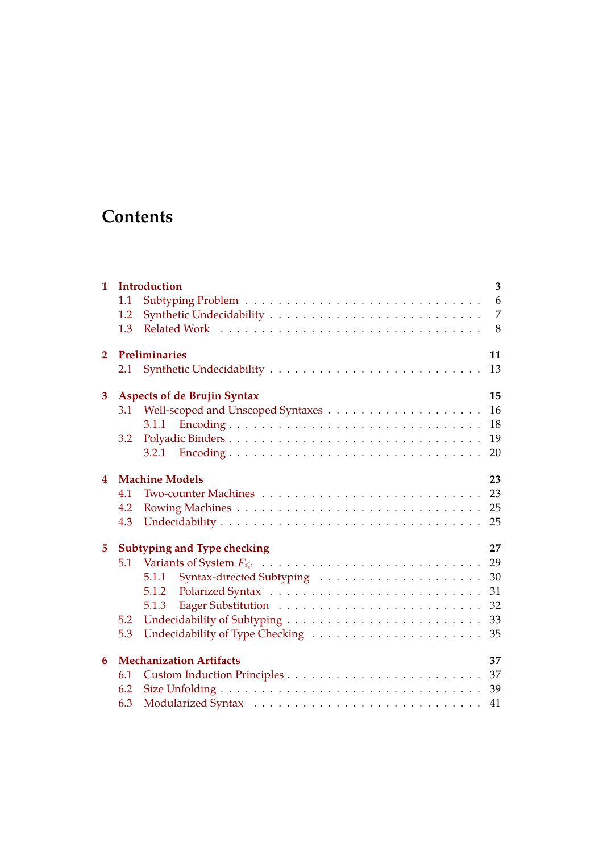# **Contents**

| 1                               |                                          | <b>Introduction</b>   | 3  |  |  |  |
|---------------------------------|------------------------------------------|-----------------------|----|--|--|--|
|                                 | 1.1                                      |                       | 6  |  |  |  |
|                                 | 1.2                                      |                       | 7  |  |  |  |
|                                 | 1.3                                      |                       | 8  |  |  |  |
| Preliminaries<br>$\overline{2}$ |                                          |                       | 11 |  |  |  |
|                                 | 2.1                                      |                       | 13 |  |  |  |
| 3                               | <b>Aspects of de Brujin Syntax</b><br>15 |                       |    |  |  |  |
|                                 | 3.1                                      |                       | 16 |  |  |  |
|                                 |                                          | 3.1.1                 | 18 |  |  |  |
|                                 | 3.2                                      |                       | 19 |  |  |  |
|                                 |                                          | 3.2.1                 | 20 |  |  |  |
| 4                               |                                          | <b>Machine Models</b> | 23 |  |  |  |
|                                 | 4.1                                      |                       | 23 |  |  |  |
|                                 | 4.2                                      |                       | 25 |  |  |  |
|                                 | 4.3                                      |                       | 25 |  |  |  |
| 5                               | 27<br>Subtyping and Type checking        |                       |    |  |  |  |
|                                 | 5.1                                      |                       | 29 |  |  |  |
|                                 |                                          | 5.1.1                 | 30 |  |  |  |
|                                 |                                          | 5.1.2                 | 31 |  |  |  |
|                                 |                                          | 5.1.3                 | 32 |  |  |  |
|                                 | 5.2                                      |                       | 33 |  |  |  |
|                                 | 5.3                                      |                       | 35 |  |  |  |
| 6                               | <b>Mechanization Artifacts</b><br>37     |                       |    |  |  |  |
|                                 | 6.1                                      |                       |    |  |  |  |
|                                 | 6.2                                      |                       |    |  |  |  |
|                                 | 6.3                                      |                       |    |  |  |  |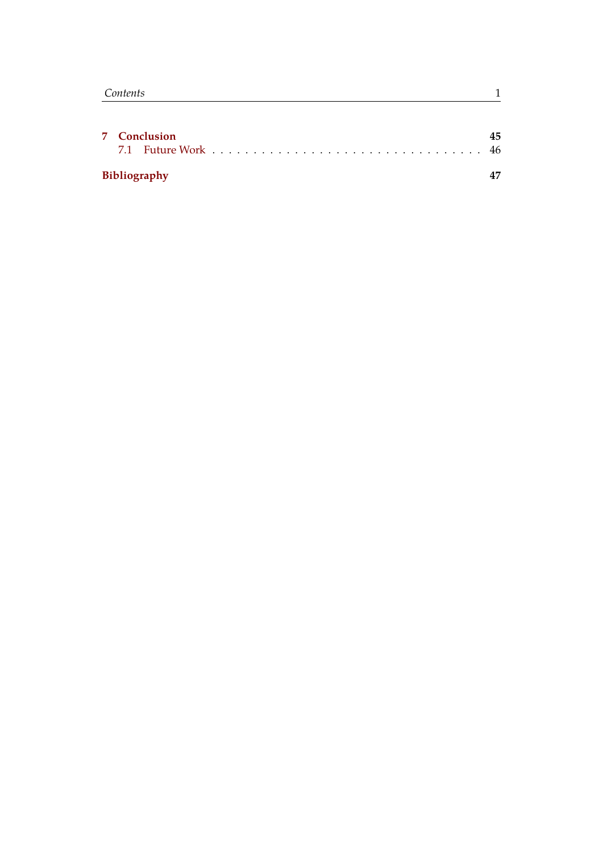| 7 Conclusion |              |  |  |  |
|--------------|--------------|--|--|--|
|              |              |  |  |  |
|              | Bibliography |  |  |  |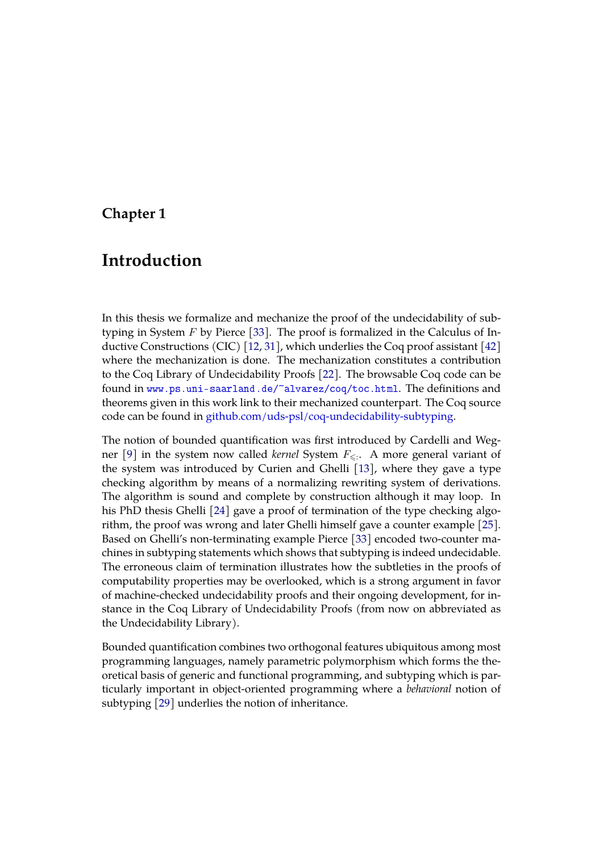### <span id="page-9-0"></span>**Chapter 1**

# **Introduction**

In this thesis we formalize and mechanize the proof of the undecidability of subtyping in System  $F$  by Pierce [\[33\]](#page-56-0). The proof is formalized in the Calculus of Inductive Constructions (CIC) [\[12,](#page-54-0) [31\]](#page-56-1), which underlies the Coq proof assistant [\[42\]](#page-57-1) where the mechanization is done. The mechanization constitutes a contribution to the Coq Library of Undecidability Proofs [\[22\]](#page-55-0). The browsable Coq code can be found in <www.ps.uni-saarland.de/~alvarez/coq/toc.html>. The definitions and theorems given in this work link to their mechanized counterpart. The Coq source code can be found in [github.com/uds-psl/coq-undecidability-subtyping.](https://github.com/uds-psl/coq-undecidability-subtyping)

The notion of bounded quantification was first introduced by Cardelli and Wegner  $[9]$  in the system now called *kernel* System  $F_{\leqslant:}.$  A more general variant of the system was introduced by Curien and Ghelli [\[13\]](#page-54-1), where they gave a type checking algorithm by means of a normalizing rewriting system of derivations. The algorithm is sound and complete by construction although it may loop. In his PhD thesis Ghelli [\[24\]](#page-55-1) gave a proof of termination of the type checking algorithm, the proof was wrong and later Ghelli himself gave a counter example [\[25\]](#page-55-2). Based on Ghelli's non-terminating example Pierce [\[33\]](#page-56-0) encoded two-counter machines in subtyping statements which shows that subtyping is indeed undecidable. The erroneous claim of termination illustrates how the subtleties in the proofs of computability properties may be overlooked, which is a strong argument in favor of machine-checked undecidability proofs and their ongoing development, for instance in the Coq Library of Undecidability Proofs (from now on abbreviated as the Undecidability Library).

Bounded quantification combines two orthogonal features ubiquitous among most programming languages, namely parametric polymorphism which forms the theoretical basis of generic and functional programming, and subtyping which is particularly important in object-oriented programming where a *behavioral* notion of subtyping [\[29\]](#page-56-2) underlies the notion of inheritance.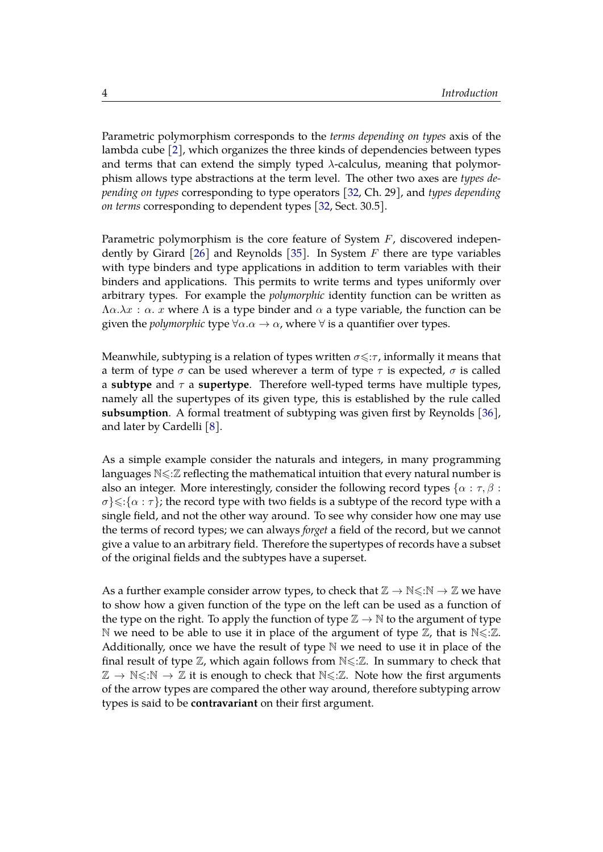Parametric polymorphism corresponds to the *terms depending on types* axis of the lambda cube [\[2\]](#page-53-2), which organizes the three kinds of dependencies between types and terms that can extend the simply typed  $\lambda$ -calculus, meaning that polymorphism allows type abstractions at the term level. The other two axes are *types depending on types* corresponding to type operators [\[32,](#page-56-3) Ch. 29], and *types depending on terms* corresponding to dependent types [\[32,](#page-56-3) Sect. 30.5].

Parametric polymorphism is the core feature of System F, discovered independently by Girard  $[26]$  and Reynolds  $[35]$ . In System F there are type variables with type binders and type applications in addition to term variables with their binders and applications. This permits to write terms and types uniformly over arbitrary types. For example the *polymorphic* identity function can be written as  $\Lambda \alpha \cdot \lambda x : \alpha$ . *x* where  $\Lambda$  is a type binder and  $\alpha$  a type variable, the function can be given the *polymorphic* type  $\forall \alpha \cdot \alpha \rightarrow \alpha$ , where  $\forall$  is a quantifier over types.

Meanwhile, subtyping is a relation of types written  $\sigma \leq \tau$ , informally it means that a term of type  $\sigma$  can be used wherever a term of type  $\tau$  is expected,  $\sigma$  is called a **subtype** and τ a **supertype**. Therefore well-typed terms have multiple types, namely all the supertypes of its given type, this is established by the rule called **subsumption**. A formal treatment of subtyping was given first by Reynolds [\[36\]](#page-56-5), and later by Cardelli [\[8\]](#page-53-3).

As a simple example consider the naturals and integers, in many programming languages  $N \leq \mathbb{Z}$  reflecting the mathematical intuition that every natural number is also an integer. More interestingly, consider the following record types  $\{\alpha : \tau, \beta :$  $\sigma$ } $\leq$ : $\{\alpha : \tau\}$ ; the record type with two fields is a subtype of the record type with a single field, and not the other way around. To see why consider how one may use the terms of record types; we can always *forget* a field of the record, but we cannot give a value to an arbitrary field. Therefore the supertypes of records have a subset of the original fields and the subtypes have a superset.

As a further example consider arrow types, to check that  $\mathbb{Z} \to \mathbb{N} \le \mathbb{N} \to \mathbb{Z}$  we have to show how a given function of the type on the left can be used as a function of the type on the right. To apply the function of type  $\mathbb{Z} \to \mathbb{N}$  to the argument of type N we need to be able to use it in place of the argument of type  $\mathbb{Z}$ , that is  $N \leq \mathbb{Z}$ . Additionally, once we have the result of type  $\mathbb N$  we need to use it in place of the final result of type  $\mathbb{Z}$ , which again follows from  $\mathbb{N} \leq \mathbb{Z}$ . In summary to check that  $\mathbb{Z} \to \mathbb{N} \le \mathbb{N} \to \mathbb{Z}$  it is enough to check that  $\mathbb{N} \le \mathbb{Z}$ . Note how the first arguments of the arrow types are compared the other way around, therefore subtyping arrow types is said to be **contravariant** on their first argument.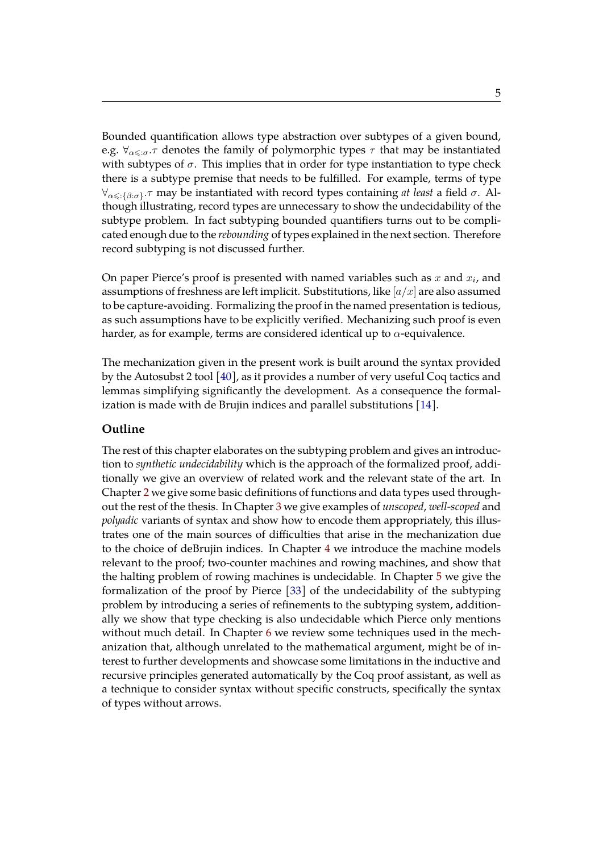Bounded quantification allows type abstraction over subtypes of a given bound, e.g.  $\forall_{\alpha\leq\sigma}$ . denotes the family of polymorphic types  $\tau$  that may be instantiated with subtypes of  $\sigma$ . This implies that in order for type instantiation to type check there is a subtype premise that needs to be fulfilled. For example, terms of type  $\forall_{\alpha\leqslant\colon\{\beta:\sigma\}}$ .*τ* may be instantiated with record types containing *at least* a field *σ*. Although illustrating, record types are unnecessary to show the undecidability of the subtype problem. In fact subtyping bounded quantifiers turns out to be complicated enough due to the *rebounding* of types explained in the next section. Therefore record subtyping is not discussed further.

On paper Pierce's proof is presented with named variables such as  $x$  and  $x_i$ , and assumptions of freshness are left implicit. Substitutions, like  $\left[a/x\right]$  are also assumed to be capture-avoiding. Formalizing the proof in the named presentation is tedious, as such assumptions have to be explicitly verified. Mechanizing such proof is even harder, as for example, terms are considered identical up to  $\alpha$ -equivalence.

The mechanization given in the present work is built around the syntax provided by the Autosubst 2 tool [\[40\]](#page-57-0), as it provides a number of very useful Coq tactics and lemmas simplifying significantly the development. As a consequence the formalization is made with de Brujin indices and parallel substitutions [\[14\]](#page-54-2).

#### **Outline**

The rest of this chapter elaborates on the subtyping problem and gives an introduction to *synthetic undecidability* which is the approach of the formalized proof, additionally we give an overview of related work and the relevant state of the art. In Chapter [2](#page-17-0) we give some basic definitions of functions and data types used throughout the rest of the thesis. In Chapter [3](#page-21-0) we give examples of *unscoped*, *well-scoped* and *polyadic* variants of syntax and show how to encode them appropriately, this illustrates one of the main sources of difficulties that arise in the mechanization due to the choice of deBrujin indices. In Chapter [4](#page-29-0) we introduce the machine models relevant to the proof; two-counter machines and rowing machines, and show that the halting problem of rowing machines is undecidable. In Chapter [5](#page-33-0) we give the formalization of the proof by Pierce [\[33\]](#page-56-0) of the undecidability of the subtyping problem by introducing a series of refinements to the subtyping system, additionally we show that type checking is also undecidable which Pierce only mentions without much detail. In Chapter [6](#page-43-0) we review some techniques used in the mechanization that, although unrelated to the mathematical argument, might be of interest to further developments and showcase some limitations in the inductive and recursive principles generated automatically by the Coq proof assistant, as well as a technique to consider syntax without specific constructs, specifically the syntax of types without arrows.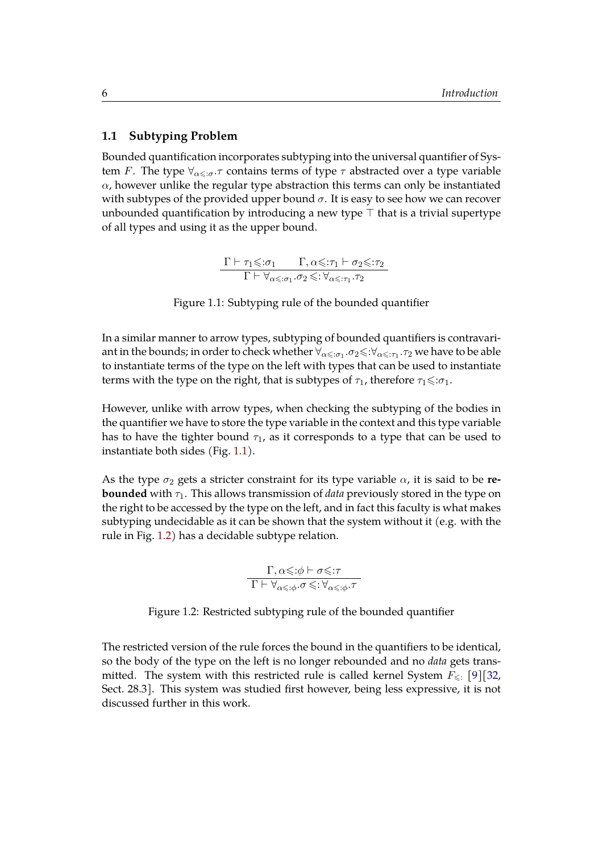#### <span id="page-12-0"></span>**1.1 Subtyping Problem**

Bounded quantification incorporates subtyping into the universal quantifier of System F. The type  $\forall_{\alpha\leq \sigma} \tau$  contains terms of type  $\tau$  abstracted over a type variable  $\alpha$ , however unlike the regular type abstraction this terms can only be instantiated with subtypes of the provided upper bound  $\sigma$ . It is easy to see how we can recover unbounded quantification by introducing a new type  $\top$  that is a trivial supertype of all types and using it as the upper bound.

> $\Gamma \vdash \tau_1 \leqslant : \sigma_1 \qquad \Gamma, \alpha \leqslant : \tau_1 \vdash \sigma_2 \leqslant : \tau_2$  $\overline{\Gamma \vdash \forall_{\alpha\leqslant:\sigma_1}.\sigma_2 \leqslant : \forall_{\alpha\leqslant:\tau_1}.\tau_2}$

Figure 1.1: Subtyping rule of the bounded quantifier

<span id="page-12-1"></span>In a similar manner to arrow types, subtyping of bounded quantifiers is contravariant in the bounds; in order to check whether  $\forall_{\alpha\leqslant:\sigma_1}.\sigma_2{\leqslant}:\forall_{\alpha\leqslant:\tau_1}.\tau_2$  we have to be able to instantiate terms of the type on the left with types that can be used to instantiate terms with the type on the right, that is subtypes of  $\tau_1$ , therefore  $\tau_1 \leq \tau_1$ .

However, unlike with arrow types, when checking the subtyping of the bodies in the quantifier we have to store the type variable in the context and this type variable has to have the tighter bound  $\tau_1$ , as it corresponds to a type that can be used to instantiate both sides (Fig. [1.1\)](#page-12-1).

As the type  $\sigma_2$  gets a stricter constraint for its type variable  $\alpha$ , it is said to be **rebounded** with  $\tau_1$ . This allows transmission of *data* previously stored in the type on the right to be accessed by the type on the left, and in fact this faculty is what makes subtyping undecidable as it can be shown that the system without it (e.g. with the rule in Fig. [1.2\)](#page-12-2) has a decidable subtype relation.

> $Γ, α{\le}:\phi \vdash σ{\le}:\tau$  $\overline{\Gamma \vdash \forall_{\alpha\leqslant:\phi}.\sigma \leqslant : \forall_{\alpha\leqslant:\phi}.\tau}$

<span id="page-12-2"></span>Figure 1.2: Restricted subtyping rule of the bounded quantifier

The restricted version of the rule forces the bound in the quantifiers to be identical, so the body of the type on the left is no longer rebounded and no *data* gets transmitted. The system with this restricted rule is called kernel System  $F_{\leq \frac{1}{2}}$  [\[9\]](#page-53-1)[\[32,](#page-56-3) Sect. 28.3]. This system was studied first however, being less expressive, it is not discussed further in this work.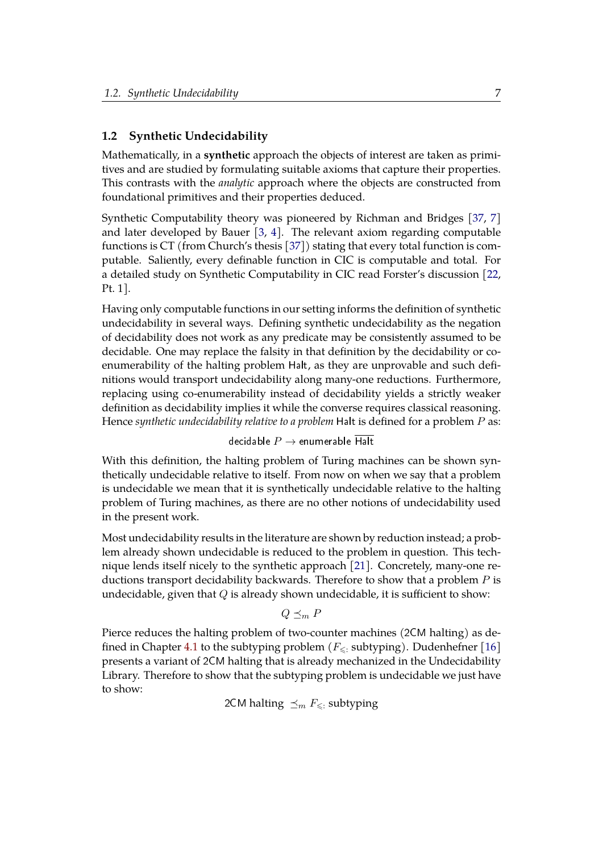#### <span id="page-13-0"></span>**1.2 Synthetic Undecidability**

Mathematically, in a **synthetic** approach the objects of interest are taken as primitives and are studied by formulating suitable axioms that capture their properties. This contrasts with the *analytic* approach where the objects are constructed from foundational primitives and their properties deduced.

Synthetic Computability theory was pioneered by Richman and Bridges [\[37,](#page-56-6) [7\]](#page-53-4) and later developed by Bauer [\[3,](#page-53-5) [4\]](#page-53-6). The relevant axiom regarding computable functions is CT (from Church's thesis [\[37\]](#page-56-6)) stating that every total function is computable. Saliently, every definable function in CIC is computable and total. For a detailed study on Synthetic Computability in CIC read Forster's discussion [\[22,](#page-55-0) Pt. 1].

Having only computable functions in our setting informs the definition of synthetic undecidability in several ways. Defining synthetic undecidability as the negation of decidability does not work as any predicate may be consistently assumed to be decidable. One may replace the falsity in that definition by the decidability or coenumerability of the halting problem Halt, as they are unprovable and such definitions would transport undecidability along many-one reductions. Furthermore, replacing using co-enumerability instead of decidability yields a strictly weaker definition as decidability implies it while the converse requires classical reasoning. Hence *synthetic undecidability relative to a problem* Halt is defined for a problem P as:

decidable  $P \rightarrow$  enumerable Halt

With this definition, the halting problem of Turing machines can be shown synthetically undecidable relative to itself. From now on when we say that a problem is undecidable we mean that it is synthetically undecidable relative to the halting problem of Turing machines, as there are no other notions of undecidability used in the present work.

Most undecidability results in the literature are shown by reduction instead; a problem already shown undecidable is reduced to the problem in question. This technique lends itself nicely to the synthetic approach [\[21\]](#page-55-4). Concretely, many-one reductions transport decidability backwards. Therefore to show that a problem P is undecidable, given that  $Q$  is already shown undecidable, it is sufficient to show:

$$
Q \preceq_m P
$$

Pierce reduces the halting problem of two-counter machines (2CM halting) as de-fined in Chapter [4.1](#page-29-1) to the subtyping problem ( $F_{\leq}$ : subtyping). Dudenhefner [\[16\]](#page-54-3) presents a variant of 2CM halting that is already mechanized in the Undecidability Library. Therefore to show that the subtyping problem is undecidable we just have to show:

2CM halting  $\preceq_m F_{\leq}$ : subtyping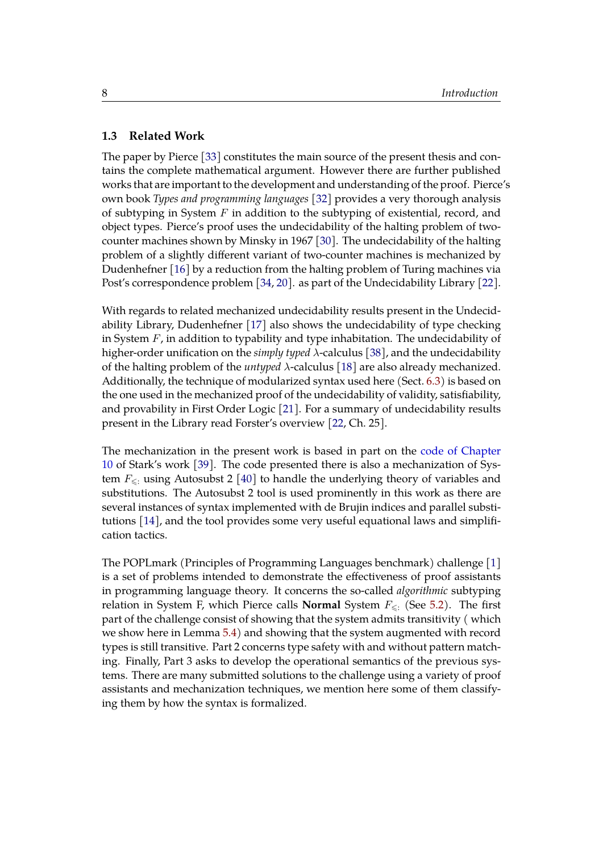#### <span id="page-14-0"></span>**1.3 Related Work**

The paper by Pierce [\[33\]](#page-56-0) constitutes the main source of the present thesis and contains the complete mathematical argument. However there are further published works that are important to the development and understanding of the proof. Pierce's own book *Types and programming languages* [\[32\]](#page-56-3) provides a very thorough analysis of subtyping in System  $F$  in addition to the subtyping of existential, record, and object types. Pierce's proof uses the undecidability of the halting problem of twocounter machines shown by Minsky in 1967 [\[30\]](#page-56-7). The undecidability of the halting problem of a slightly different variant of two-counter machines is mechanized by Dudenhefner [\[16\]](#page-54-3) by a reduction from the halting problem of Turing machines via Post's correspondence problem [\[34,](#page-56-8) [20\]](#page-55-5). as part of the Undecidability Library [\[22\]](#page-55-0).

With regards to related mechanized undecidability results present in the Undecidability Library, Dudenhefner [\[17\]](#page-54-4) also shows the undecidability of type checking in System  $F$ , in addition to typability and type inhabitation. The undecidability of higher-order unification on the *simply typed* λ-calculus [\[38\]](#page-56-9), and the undecidability of the halting problem of the *untyped* λ-calculus [\[18\]](#page-54-5) are also already mechanized. Additionally, the technique of modularized syntax used here (Sect. [6.3\)](#page-47-0) is based on the one used in the mechanized proof of the undecidability of validity, satisfiability, and provability in First Order Logic [\[21\]](#page-55-4). For a summary of undecidability results present in the Library read Forster's overview [\[22,](#page-55-0) Ch. 25].

The mechanization in the present work is based in part on the [code of Chapter](https://www.ps.uni-saarland.de/~kstark/thesis/website/Chapter10.POPLMark1.html) [10](https://www.ps.uni-saarland.de/~kstark/thesis/website/Chapter10.POPLMark1.html) of Stark's work [\[39\]](#page-57-2). The code presented there is also a mechanization of System  $F_{\leq$ : using Autosubst 2 [\[40\]](#page-57-0) to handle the underlying theory of variables and substitutions. The Autosubst 2 tool is used prominently in this work as there are several instances of syntax implemented with de Brujin indices and parallel substitutions [\[14\]](#page-54-2), and the tool provides some very useful equational laws and simplification tactics.

The POPLmark (Principles of Programming Languages benchmark) challenge [\[1\]](#page-53-7) is a set of problems intended to demonstrate the effectiveness of proof assistants in programming language theory. It concerns the so-called *algorithmic* subtyping relation in System F, which Pierce calls **Normal** System  $F_{\leq x}$  (See [5.2\)](#page-36-1). The first part of the challenge consist of showing that the system admits transitivity ( which we show here in Lemma [5.4\)](#page-36-2) and showing that the system augmented with record types is still transitive. Part 2 concerns type safety with and without pattern matching. Finally, Part 3 asks to develop the operational semantics of the previous systems. There are many submitted solutions to the challenge using a variety of proof assistants and mechanization techniques, we mention here some of them classifying them by how the syntax is formalized.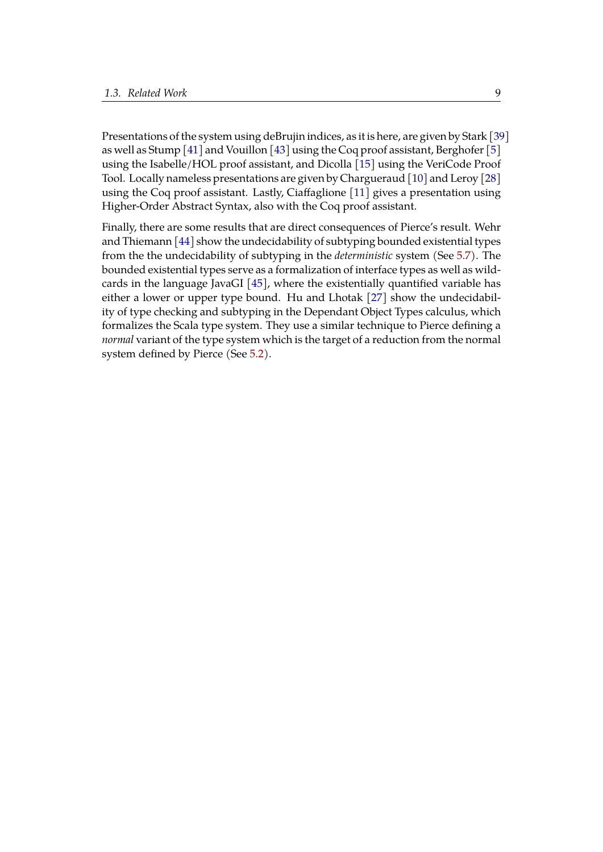Presentations of the system using deBrujin indices, as it is here, are given by Stark [\[39\]](#page-57-2) as well as Stump [\[41\]](#page-57-3) and Vouillon [\[43\]](#page-57-4) using the Coq proof assistant, Berghofer [\[5\]](#page-53-8) using the Isabelle/HOL proof assistant, and Dicolla [\[15\]](#page-54-6) using the VeriCode Proof Tool. Locally nameless presentations are given by Chargueraud [\[10\]](#page-54-7) and Leroy [\[28\]](#page-56-10) using the Coq proof assistant. Lastly, Ciaffaglione [\[11\]](#page-54-8) gives a presentation using Higher-Order Abstract Syntax, also with the Coq proof assistant.

Finally, there are some results that are direct consequences of Pierce's result. Wehr and Thiemann [\[44\]](#page-57-5) show the undecidability of subtyping bounded existential types from the the undecidability of subtyping in the *deterministic* system (See [5.7\)](#page-37-1). The bounded existential types serve as a formalization of interface types as well as wildcards in the language JavaGI [\[45\]](#page-57-6), where the existentially quantified variable has either a lower or upper type bound. Hu and Lhotak [\[27\]](#page-55-6) show the undecidability of type checking and subtyping in the Dependant Object Types calculus, which formalizes the Scala type system. They use a similar technique to Pierce defining a *normal* variant of the type system which is the target of a reduction from the normal system defined by Pierce (See [5.2\)](#page-36-1).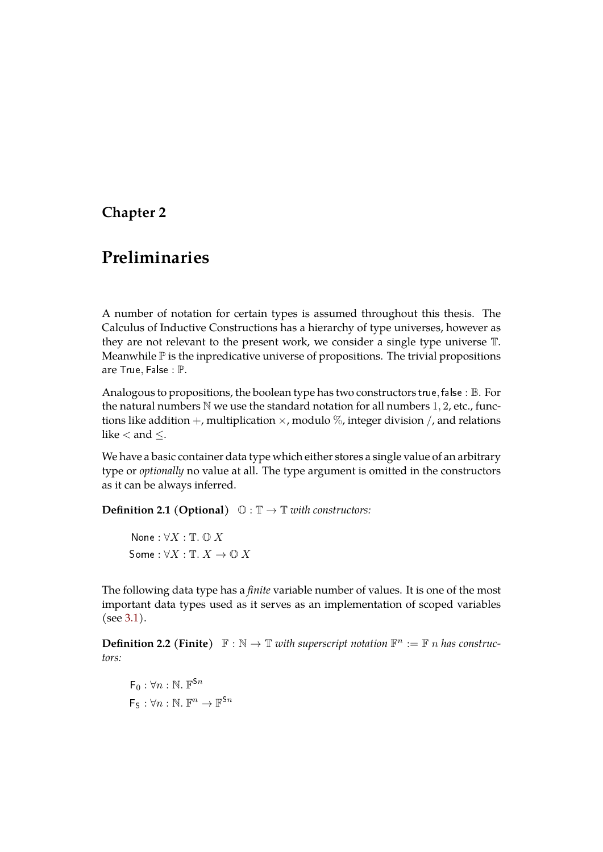# <span id="page-17-0"></span>**Chapter 2**

# **Preliminaries**

A number of notation for certain types is assumed throughout this thesis. The Calculus of Inductive Constructions has a hierarchy of type universes, however as they are not relevant to the present work, we consider a single type universe T. Meanwhile  $\mathbb P$  is the inpredicative universe of propositions. The trivial propositions are True, False : P.

Analogous to propositions, the boolean type has two constructors true, false : B. For the natural numbers  $N$  we use the standard notation for all numbers 1, 2, etc., functions like addition  $+$ , multiplication  $\times$ , modulo  $\%$ , integer division  $/$ , and relations like < and ≤.

We have a basic container data type which either stores a single value of an arbitrary type or *optionally* no value at all. The type argument is omitted in the constructors as it can be always inferred.

**Definition 2.1 (Optional)**  $\mathbb{O}: \mathbb{T} \to \mathbb{T}$  *with constructors:* 

None :  $\forall X : \mathbb{T}$ .  $\mathbb{O} X$ Some :  $\forall X : \mathbb{T}$ ,  $X \to \mathbb{O}$  X

The following data type has a *finite* variable number of values. It is one of the most important data types used as it serves as an implementation of scoped variables (see [3.1\)](#page-22-0).

**Definition 2.2 (Finite)**  $\mathbb{F}: \mathbb{N} \to \mathbb{T}$  with superscript notation  $\mathbb{F}^n := \mathbb{F}$  n has construc*tors:*

 $\mathsf{F}_0 : \forall n : \mathbb{N}$ .  $\mathbb{F}^{\mathsf{S}n}$  $F_S : \forall n : \mathbb{N}$ .  $\mathbb{F}^n \to \mathbb{F}^{5n}$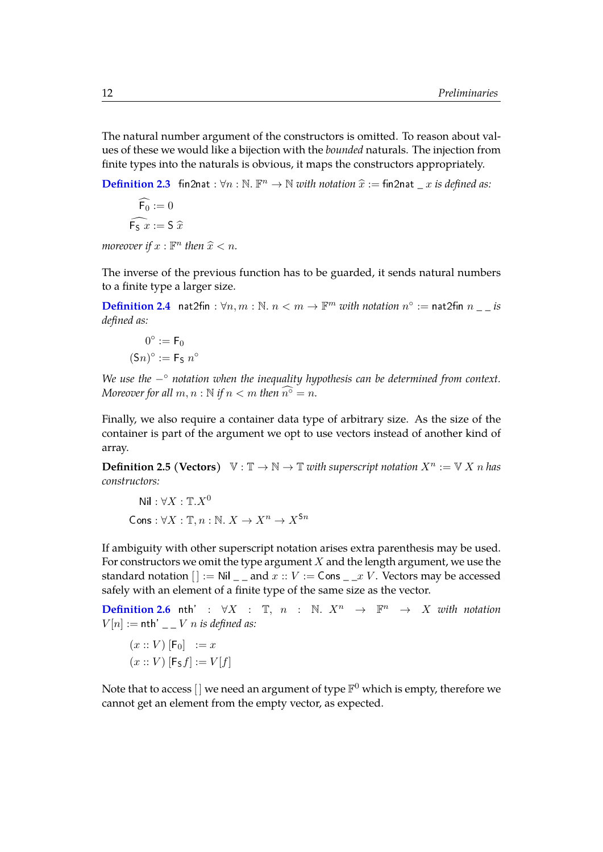The natural number argument of the constructors is omitted. To reason about values of these we would like a bijection with the *bounded* naturals. The injection from finite types into the naturals is obvious, it maps the constructors appropriately.

**[Definition 2.3](https://www.ps.uni-saarland.de/~alvarez/coq/FsubUndec.Utils.Various_utils.html#fin2nat)** fin2nat :  $\forall n : \mathbb{N} \cdot \mathbb{F}^n \to \mathbb{N}$  *with notation*  $\widehat{x} := \text{fin}2\text{nat } \_ x$  *is defined as:* 

 $\widehat{\mathsf{F}_{0}} := 0$  $\widehat{\mathsf{F}_\mathsf{S} x} := \mathsf{S} \widehat{x}$ 

*moreover if*  $x : \mathbb{F}^n$  then  $\widehat{x} < n$ .

The inverse of the previous function has to be guarded, it sends natural numbers to a finite type a larger size.

**[Definition 2.4](https://www.ps.uni-saarland.de/~alvarez/coq/FsubUndec.Utils.Various_utils.html#nat2fin)** nat2fin:  $\forall n,m : \mathbb{N}$ .  $n < m \rightarrow \mathbb{F}^m$  with notation  $n^{\circ} :=$  nat2fin  $n \equiv -i\pi$ *defined as:*

$$
0^{\circ} := \mathsf{F}_0
$$

$$
(\mathsf{S}n)^{\circ} := \mathsf{F}_{\mathsf{S}} n^{\circ}
$$

*We use the* −◦ *notation when the inequality hypothesis can be determined from context. Moreover for all*  $m, n : \mathbb{N}$  *if*  $n < m$  *then*  $\widehat{n^{\circ}} = n$ *.* 

Finally, we also require a container data type of arbitrary size. As the size of the container is part of the argument we opt to use vectors instead of another kind of array.

**Definition 2.5 (Vectors)**  $\mathbb{V}: \mathbb{T} \to \mathbb{N} \to \mathbb{T}$  with superscript notation  $X^n := \mathbb{V} X$  n has *constructors:*

$$
\text{Nil}: \forall X: \mathbb{T}.X^0
$$

$$
\text{Cons}: \forall X: \mathbb{T}, n: \mathbb{N}. \ X \to X^n \to X^{\mathsf{Sn}}
$$

If ambiguity with other superscript notation arises extra parenthesis may be used. For constructors we omit the type argument  $X$  and the length argument, we use the standard notation  $[] := Nil \_$  and  $x :: V := Cons \_ x V$ . Vectors may be accessed safely with an element of a finite type of the same size as the vector.

**[Definition 2.6](https://www.ps.uni-saarland.de/~alvarez/coq/FsubUndec.Utils.Various_utils.html#nth)** nth' :  $\forall X$  :  $\mathbb{T}$ ,  $n$  :  $\mathbb{N}$ .  $X^n$   $\rightarrow$   $\mathbb{F}^n$   $\rightarrow$  X *with notation*  $V[n] :=$  nth' $\_ V[n] :=$  *N* is defined as:

$$
(x :: V) [F0] := x
$$

$$
(x :: V) [FS f] := V[f]
$$

Note that to access [] we need an argument of type  $\mathbb{F}^0$  which is empty, therefore we cannot get an element from the empty vector, as expected.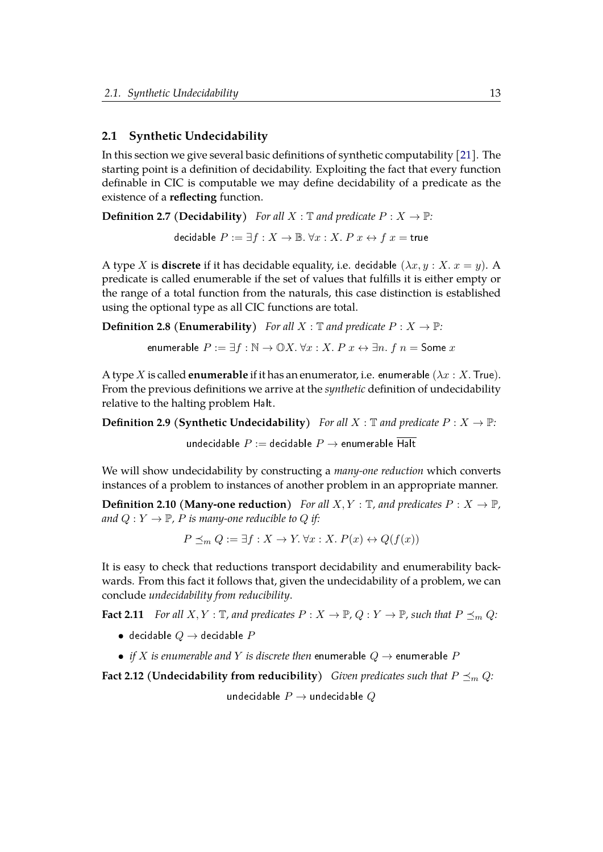#### <span id="page-19-0"></span>**2.1 Synthetic Undecidability**

In this section we give several basic definitions of synthetic computability [\[21\]](#page-55-4). The starting point is a definition of decidability. Exploiting the fact that every function definable in CIC is computable we may define decidability of a predicate as the existence of a **reflecting** function.

**Definition 2.7 (Decidability)** *For all*  $X : \mathbb{T}$  *and predicate*  $P : X \to \mathbb{P}$ *:* 

decidable  $P := \exists f : X \to \mathbb{B}$ .  $\forall x : X$ .  $P$   $x \leftrightarrow f$   $x =$  true

A type X is **discrete** if it has decidable equality, i.e. decidable  $(\lambda x, y : X, x = y)$ . A predicate is called enumerable if the set of values that fulfills it is either empty or the range of a total function from the naturals, this case distinction is established using the optional type as all CIC functions are total.

**Definition 2.8 (Enumerability)** *For all*  $X : \mathbb{T}$  *and predicate*  $P : X \to \mathbb{P}$ *:* 

enumerable  $P := \exists f : \mathbb{N} \to \mathbb{O}X$ .  $\forall x : X$ .  $P$   $x \leftrightarrow \exists n$ .  $f$   $n =$  Some  $x$ 

A type X is called **enumerable** if it has an enumerator, i.e. enumerable  $(\lambda x : X)$ . True). From the previous definitions we arrive at the *synthetic* definition of undecidability relative to the halting problem Halt.

**Definition 2.9 (Synthetic Undecidability)** *For all*  $X : \mathbb{T}$  *and predicate*  $P : X \to \mathbb{P}$ *:* 

undecidable  $P:=$  decidable  $P\rightarrow$  enumerable  $\overline{\mathsf{Halt}}$ 

We will show undecidability by constructing a *many-one reduction* which converts instances of a problem to instances of another problem in an appropriate manner.

**Definition 2.10 (Many-one reduction)** *For all*  $X, Y : \mathbb{T}$ *, and predicates*  $P : X \to \mathbb{P}$ *, and*  $Q: Y \to \mathbb{P}$ , *P is many-one reducible to Q if:* 

 $P \preceq_m Q := \exists f : X \to Y$ .  $\forall x : X$ .  $P(x) \leftrightarrow Q(f(x))$ 

It is easy to check that reductions transport decidability and enumerability backwards. From this fact it follows that, given the undecidability of a problem, we can conclude *undecidability from reducibility*.

**Fact 2.11** For all  $X, Y : \mathbb{T}$ , and predicates  $P : X \to \mathbb{P}$ ,  $Q : Y \to \mathbb{P}$ , such that  $P \preceq_m Q$ :

- decidable  $Q \rightarrow$  decidable  $P$
- *if X is enumerable and Y is discrete then* enumerable  $Q \rightarrow$  enumerable *P*

<span id="page-19-1"></span>**Fact 2.12 (Undecidability from reducibility)** *Given predicates such that*  $P \preceq_m Q$ *:* 

undecidable  $P \rightarrow$  undecidable Q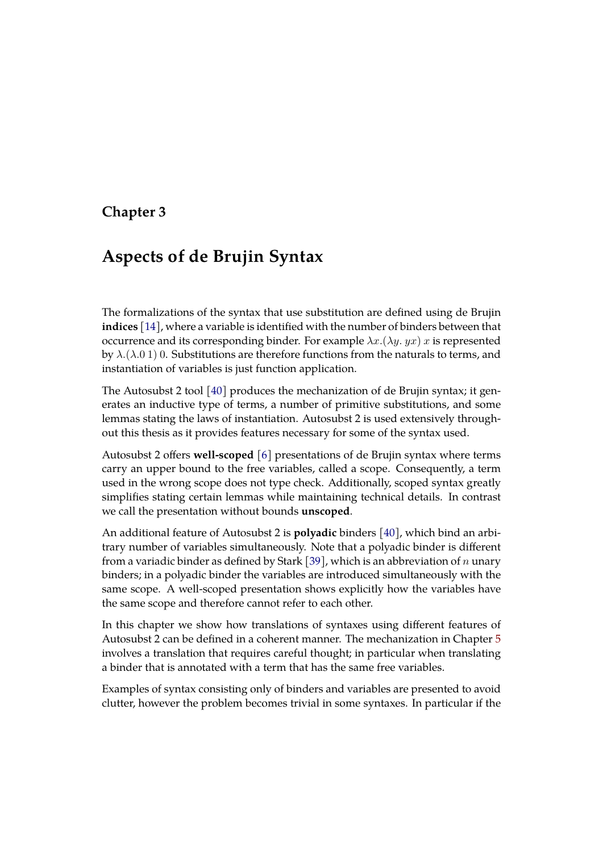### <span id="page-21-0"></span>**Chapter 3**

# **Aspects of de Brujin Syntax**

The formalizations of the syntax that use substitution are defined using de Brujin **indices** [\[14\]](#page-54-2), where a variable is identified with the number of binders between that occurrence and its corresponding binder. For example  $\lambda x.(\lambda y. y x)$  x is represented by  $\lambda$ . ( $\lambda$ .0 1) 0. Substitutions are therefore functions from the naturals to terms, and instantiation of variables is just function application.

The Autosubst 2 tool [\[40\]](#page-57-0) produces the mechanization of de Brujin syntax; it generates an inductive type of terms, a number of primitive substitutions, and some lemmas stating the laws of instantiation. Autosubst 2 is used extensively throughout this thesis as it provides features necessary for some of the syntax used.

Autosubst 2 offers **well-scoped** [\[6\]](#page-53-9) presentations of de Brujin syntax where terms carry an upper bound to the free variables, called a scope. Consequently, a term used in the wrong scope does not type check. Additionally, scoped syntax greatly simplifies stating certain lemmas while maintaining technical details. In contrast we call the presentation without bounds **unscoped**.

An additional feature of Autosubst 2 is **polyadic** binders [\[40\]](#page-57-0), which bind an arbitrary number of variables simultaneously. Note that a polyadic binder is different from a variadic binder as defined by Stark [\[39\]](#page-57-2), which is an abbreviation of  $n$  unary binders; in a polyadic binder the variables are introduced simultaneously with the same scope. A well-scoped presentation shows explicitly how the variables have the same scope and therefore cannot refer to each other.

In this chapter we show how translations of syntaxes using different features of Autosubst 2 can be defined in a coherent manner. The mechanization in Chapter [5](#page-33-0) involves a translation that requires careful thought; in particular when translating a binder that is annotated with a term that has the same free variables.

Examples of syntax consisting only of binders and variables are presented to avoid clutter, however the problem becomes trivial in some syntaxes. In particular if the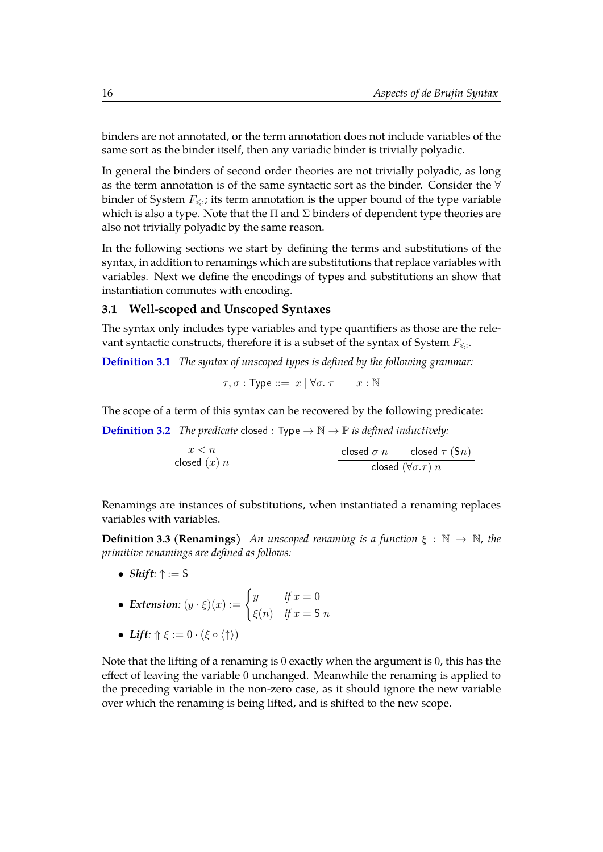binders are not annotated, or the term annotation does not include variables of the same sort as the binder itself, then any variadic binder is trivially polyadic.

In general the binders of second order theories are not trivially polyadic, as long as the term annotation is of the same syntactic sort as the binder. Consider the ∀ binder of System  $F_{\leqslant;}$ ; its term annotation is the upper bound of the type variable which is also a type. Note that the  $\Pi$  and  $\Sigma$  binders of dependent type theories are also not trivially polyadic by the same reason.

In the following sections we start by defining the terms and substitutions of the syntax, in addition to renamings which are substitutions that replace variables with variables. Next we define the encodings of types and substitutions an show that instantiation commutes with encoding.

#### <span id="page-22-0"></span>**3.1 Well-scoped and Unscoped Syntaxes**

The syntax only includes type variables and type quantifiers as those are the relevant syntactic constructs, therefore it is a subset of the syntax of System  $F_{\leqslant:}.$ 

**[Definition 3.1](https://www.ps.uni-saarland.de/~alvarez/coq/FsubUndec.extras.utype.html#type)** *The syntax of unscoped types is defined by the following grammar:*

$$
\tau,\sigma: \mathsf{Type} ::= x \mid \forall \sigma.\ \tau \qquad x: \mathbb{N}
$$

The scope of a term of this syntax can be recovered by the following predicate:

**[Definition 3.2](https://www.ps.uni-saarland.de/~alvarez/coq/FsubUndec.extras.ws2u.html#closed)** *The predicate* closed : Type  $\rightarrow \mathbb{N} \rightarrow \mathbb{P}$  *is defined inductively:* 

| $x < n$        | closed $\sigma n$                | closed $\tau (Sn)$ |
|----------------|----------------------------------|--------------------|
| closed $(x) n$ | closed $(\forall \sigma.\tau) n$ |                    |

Renamings are instances of substitutions, when instantiated a renaming replaces variables with variables.

**Definition 3.3 (Renamings)** *An unscoped renaming is a function*  $\xi : \mathbb{N} \to \mathbb{N}$ *, the primitive renamings are defined as follows:*

• *Shift:* ↑ := S

• Extension: 
$$
(y \cdot \xi)(x) := \begin{cases} y & \text{if } x = 0 \\ \xi(n) & \text{if } x = \mathsf{S} \ n \end{cases}
$$

• *Lift*:  $\Uparrow \xi := 0 \cdot (\xi \circ \langle \uparrow \rangle)$ 

Note that the lifting of a renaming is 0 exactly when the argument is 0, this has the effect of leaving the variable 0 unchanged. Meanwhile the renaming is applied to the preceding variable in the non-zero case, as it should ignore the new variable over which the renaming is being lifted, and is shifted to the new scope.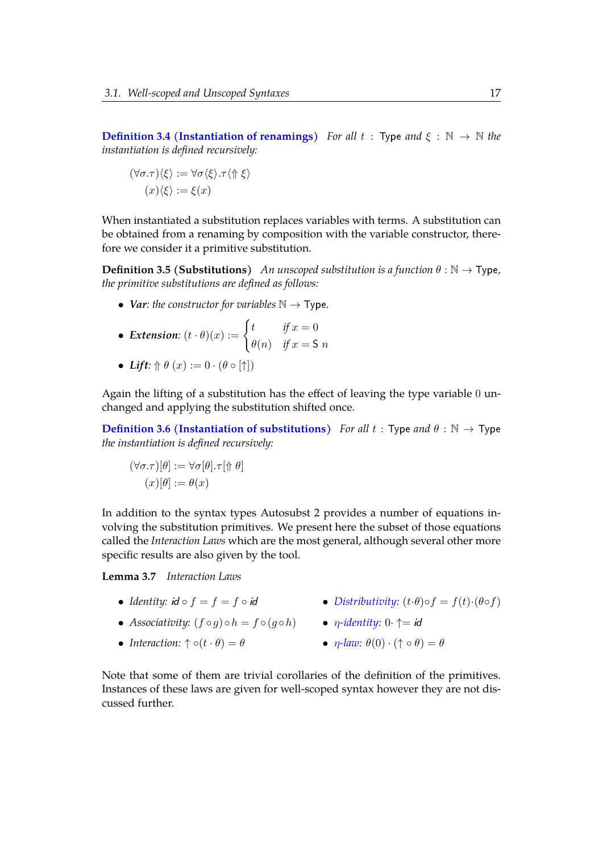**[Definition 3.4 \(Instantiation of renamings\)](https://www.ps.uni-saarland.de/~alvarez/coq/FsubUndec.extras.utype.html#ren_type)** *For all*  $t : Type$  *and*  $\xi : \mathbb{N} \to \mathbb{N}$  *the instantiation is defined recursively:*

$$
(\forall \sigma.\tau)\langle \xi \rangle := \forall \sigma \langle \xi \rangle . \tau \langle \Uparrow \xi \rangle
$$

$$
(x)\langle \xi \rangle := \xi(x)
$$

When instantiated a substitution replaces variables with terms. A substitution can be obtained from a renaming by composition with the variable constructor, therefore we consider it a primitive substitution.

**Definition 3.5 (Substitutions)** *An unscoped substitution is a function*  $\theta : \mathbb{N} \to \text{Type}$ *, the primitive substitutions are defined as follows:*

• *Var: the constructor for variables*  $\mathbb{N} \to \text{Type}$ *.* 

• Extension: 
$$
(t \cdot \theta)(x) := \begin{cases} t & \text{if } x = 0 \\ \theta(n) & \text{if } x = S \ n \end{cases}
$$

• *Lift*:  $\hat{\theta}$   $(x) := 0 \cdot (\theta \circ [\uparrow])$ 

Again the lifting of a substitution has the effect of leaving the type variable 0 unchanged and applying the substitution shifted once.

**[Definition 3.6 \(Instantiation of substitutions\)](https://www.ps.uni-saarland.de/~alvarez/coq/FsubUndec.extras.utype.html#subst_type)** *For all*  $t : Type$  *and*  $\theta : \mathbb{N} \to Type$ *the instantiation is defined recursively:*

$$
(\forall \sigma.\tau)[\theta] := \forall \sigma[\theta].\tau[\Uparrow \theta]
$$

$$
(x)[\theta] := \theta(x)
$$

In addition to the syntax types Autosubst 2 provides a number of equations involving the substitution primitives. We present here the subset of those equations called the *Interaction Laws* which are the most general, although several other more specific results are also given by the tool.

**Lemma 3.7** *Interaction Laws*

- *Identity:*  $id \circ f = f = f \circ id$
- *Associativity:*  $(f \circ g) \circ h = f \circ (g \circ h)$  *η[-identity:](https://www.ps.uni-saarland.de/~alvarez/coq/FsubUndec.Utils.headers.unscoped.html#scons_eta_id)*  $0 \uparrow = id$
- *Interaction:*  $\uparrow \circ (t \cdot \theta) = \theta$
- *[Distributivity:](https://www.ps.uni-saarland.de/~alvarez/coq/FsubUndec.Utils.headers.unscoped.html#scons_comp)*  $(t \cdot \theta) \circ f = f(t) \cdot (\theta \circ f)$ 
	-
	- $\eta$ [-law:](https://www.ps.uni-saarland.de/~alvarez/coq/FsubUndec.Utils.headers.unscoped.html#scons_eta)  $\theta(0) \cdot (\uparrow \circ \theta) = \theta$

Note that some of them are trivial corollaries of the definition of the primitives. Instances of these laws are given for well-scoped syntax however they are not discussed further.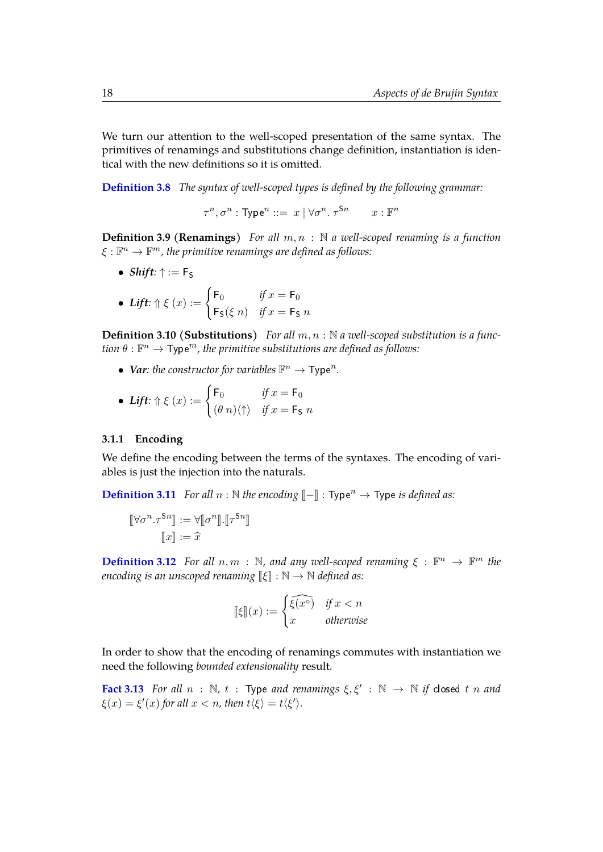We turn our attention to the well-scoped presentation of the same syntax. The primitives of renamings and substitutions change definition, instantiation is identical with the new definitions so it is omitted.

**[Definition 3.8](https://www.ps.uni-saarland.de/~alvarez/coq/FsubUndec.extras.wstype.html#type)** *The syntax of well-scoped types is defined by the following grammar:*

$$
\tau^n, \sigma^n : \text{Type}^n ::= x \mid \forall \sigma^n. \ \tau^{\mathsf{S}n} \qquad x : \mathbb{F}^n
$$

**Definition 3.9 (Renamings)** *For all* m, n : N *a well-scoped renaming is a function*  $\xi:\mathbb{F}^n\to\mathbb{F}^m$ , the primitive renamings are defined as follows:

• *Shift*:  $\uparrow$  := F<sub>S</sub>

• *Lift*: 
$$
\Uparrow \xi(x) := \begin{cases} \mathsf{F}_0 & \text{if } x = \mathsf{F}_0 \\ \mathsf{F}_{\mathsf{S}}(\xi n) & \text{if } x = \mathsf{F}_{\mathsf{S}} n \end{cases}
$$

**Definition 3.10 (Substitutions)** For all  $m, n : \mathbb{N}$  a well-scoped substitution is a func- $\sin\theta:\mathbb{F}^n\rightarrow \mathsf{Type}^m$  , the primitive substitutions are defined as follows:

• *Var: the constructor for variables*  $\mathbb{F}^n \to \text{Type}^n$ *.* 

• *Lift*: 
$$
\Uparrow \xi(x) := \begin{cases} \mathsf{F}_0 & \text{if } x = \mathsf{F}_0 \\ (\theta \ n) \langle \uparrow \rangle & \text{if } x = \mathsf{F}_\mathsf{S} \ n \end{cases}
$$

#### <span id="page-24-0"></span>**3.1.1 Encoding**

We define the encoding between the terms of the syntaxes. The encoding of variables is just the injection into the naturals.

**[Definition 3.11](https://www.ps.uni-saarland.de/~alvarez/coq/FsubUndec.extras.ws2u.html#encode)** *For all*  $n : \mathbb{N}$  *the encoding*  $\llbracket - \rrbracket : \text{Type}^n \to \text{Type}$  *is defined as:* 

$$
\begin{aligned} [\![\forall \sigma^n . \tau^{\mathsf{S}n}]\!] &:= \forall [\![\sigma^n]\!]. [\![\tau^{\mathsf{S}n}]\!] \\ [ \![\![x]\!] &:= \widehat{x} \end{aligned}
$$

**[Definition 3.12](https://www.ps.uni-saarland.de/~alvarez/coq/FsubUndec.extras.ws2u.html#encode_ren)** *For all*  $n, m : \mathbb{N}$ *, and any well-scoped renaming*  $\xi : \mathbb{F}^n \to \mathbb{F}^m$  *the encoding is an unscoped renaming*  $\llbracket \xi \rrbracket : \mathbb{N} \to \mathbb{N}$  *defined as:* 

<span id="page-24-1"></span>
$$
\llbracket \xi \rrbracket(x) := \begin{cases} \widehat{\xi(x^\circ)} & \text{if } x < n \\ x & \text{otherwise} \end{cases}
$$

In order to show that the encoding of renamings commutes with instantiation we need the following *bounded extensionality* result.

**[Fact 3.13](https://www.ps.uni-saarland.de/~alvarez/coq/FsubUndec.extras.ws2u.html#bext_ren)** *For all*  $n : \mathbb{N}$ ,  $t : \mathsf{Type}$  *and renamings*  $\xi, \xi' : \mathbb{N} \to \mathbb{N}$  *if* closed  $t n$  *and*  $\xi(x) = \xi'(x)$  for all  $x < n$ , then  $t \langle \xi \rangle = t \langle \xi' \rangle$ .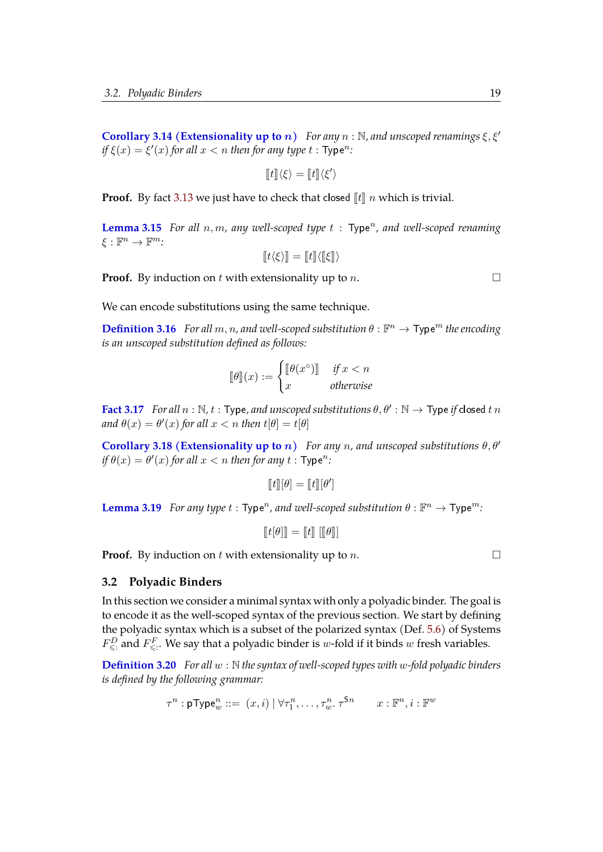**[Corollary 3.14 \(Extensionality up to](https://www.ps.uni-saarland.de/~alvarez/coq/FsubUndec.extras.ws2u.html#ext_ren_upto)** n) *For any*  $n : \mathbb{N}$ , and unscoped renamings  $\xi, \xi'$  $if \xi(x) = \xi'(x)$  for all  $x < n$  then for any type  $t : \mathsf{Type}^n$ .

$$
[\![t]\!]\langle \xi \rangle = [\![t]\!]\langle \xi' \rangle
$$

**Proof.** By fact [3.13](#page-24-1) we just have to check that closed  $\llbracket t \rrbracket n$  which is trivial.

[Lemma 3.15](https://www.ps.uni-saarland.de/~alvarez/coq/FsubUndec.extras.ws2u.html#encoding_ren) *For all*  $n, m$ , any well-scoped type  $t : Type<sup>n</sup>$ , and well-scoped renaming  $\xi : \mathbb{F}^n \to \mathbb{F}^m$ :

$$
[\![t\langle\xi\rangle]\!] = [\![t]\!] \langle [\![\xi]\!] \rangle
$$

**Proof.** By induction on t with extensionality up to n.

We can encode substitutions using the same technique.

**[Definition 3.16](https://www.ps.uni-saarland.de/~alvarez/coq/FsubUndec.extras.ws2u.html#encode_subst)** *For all*  $m, n$ , and well-scoped substitution  $\theta : \mathbb{F}^n \to \text{Type}^m$  the encoding *is an unscoped substitution defined as follows:*

$$
[\![\theta]\!](x) := \begin{cases} [\![\theta(x^\circ)]\!] & \text{if } x < n \\ x & \text{otherwise} \end{cases}
$$

**[Fact 3.17](https://www.ps.uni-saarland.de/~alvarez/coq/FsubUndec.extras.ws2u.html#bext_subst)** For all  $n : \mathbb{N}, t : \mathsf{Type}$ , and unscoped substitutions  $\theta, \theta' : \mathbb{N} \to \mathsf{Type}$  if closed t  $n$ *and*  $\theta(x) = \theta'(x)$  for all  $x < n$  then  $t[\theta] = t[\theta]$ 

**[Corollary 3.18 \(Extensionality up to](https://www.ps.uni-saarland.de/~alvarez/coq/FsubUndec.extras.ws2u.html#ext_subst_upto)** n) For any n, and unscoped substitutions  $\theta$ ,  $\theta'$ *if*  $\theta(x) = \theta'(x)$  for all  $x < n$  then for any  $t : \text{Type}^n$ .

$$
[\![t]\!][\theta]=[\![t]\!][\theta']
$$

**[Lemma 3.19](https://www.ps.uni-saarland.de/~alvarez/coq/FsubUndec.extras.ws2u.html#encoding_subst)** *For any type t* : Type<sup>n</sup>, and well-scoped substitution  $\theta$  :  $\mathbb{F}^n \to \text{Type}^m$ :

$$
\llbracket t[\theta] \rrbracket = \llbracket t \rrbracket \; [\llbracket \theta \rrbracket]
$$

**Proof.** By induction on t with extensionality up to n.  $\Box$ 

#### <span id="page-25-0"></span>**3.2 Polyadic Binders**

In this section we consider a minimal syntax with only a polyadic binder. The goal is to encode it as the well-scoped syntax of the previous section. We start by defining the polyadic syntax which is a subset of the polarized syntax (Def. [5.6\)](#page-37-2) of Systems  $F^D_{\leqslant:}$  and  $F^F_{\leqslant:}.$  We say that a polyadic binder is  $w$ -fold if it binds  $w$  fresh variables.

**[Definition 3.20](https://www.ps.uni-saarland.de/~alvarez/coq/FsubUndec.extras.ptype.html#type)** *For all* w : N *the syntax of well-scoped types with* w*-fold polyadic binders is defined by the following grammar:*

$$
\tau^n : \mathsf{pType}^n_w ::= (x,i) \, | \, \forall \tau^n_1, \ldots, \tau^n_w \ldotp \tau^{\mathsf{S}n} \qquad x : \mathbb{F}^n, i : \mathbb{F}^w
$$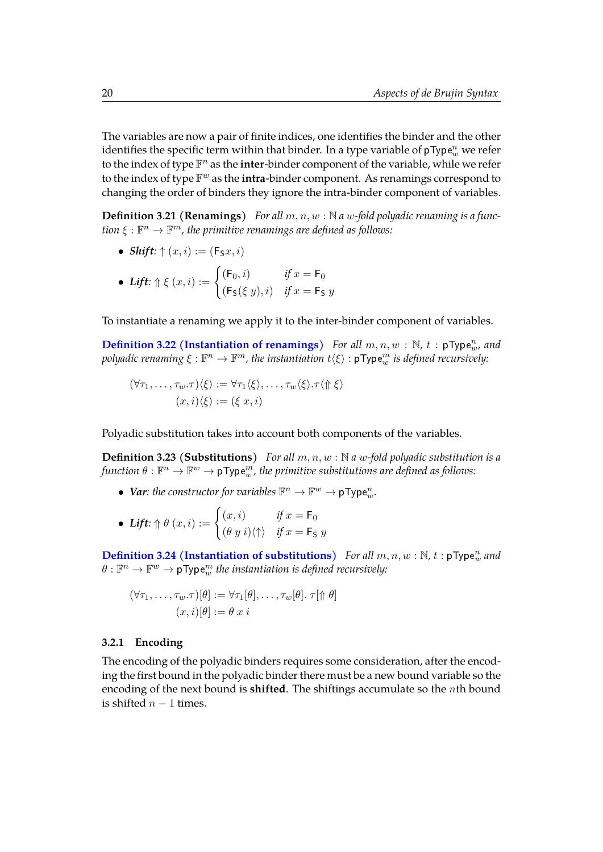The variables are now a pair of finite indices, one identifies the binder and the other identifies the specific term within that binder. In a type variable of <code>pType</code>  $^n_w$  we refer to the index of type F <sup>n</sup> as the **inter**-binder component of the variable, while we refer to the index of type F <sup>w</sup> as the **intra**-binder component. As renamings correspond to changing the order of binders they ignore the intra-binder component of variables.

**Definition 3.21 (Renamings)** For all  $m, n, w$ : N a w-fold polyadic renaming is a func- $\mathfrak{t}$ ion  $\xi: \mathbb{F}^n \to \mathbb{F}^m$ , the primitive renamings are defined as follows:

• Shift: 
$$
\uparrow
$$
  $(x, i) := (\mathsf{F}_S x, i)$ 

• *Lift*: 
$$
\Uparrow \xi(x, i) := \begin{cases} (\mathsf{F}_0, i) & \text{if } x = \mathsf{F}_0 \\ (\mathsf{F}_\mathsf{S}(\xi y), i) & \text{if } x = \mathsf{F}_\mathsf{S} \ y \end{cases}
$$

To instantiate a renaming we apply it to the inter-binder component of variables.

**[Definition 3.22 \(Instantiation of renamings\)](https://www.ps.uni-saarland.de/~alvarez/coq/FsubUndec.extras.ptype.html#ren_type)** For all  $m, n, w : \mathbb{N}$ ,  $t : pType_w^n$ , and  $p$ olyadic renaming  $\xi:\mathbb{F}^n\to \mathbb{F}^m$ , the instantiation  $t\langle \xi\rangle:$   ${\tt pType}^m_w$  is defined recursively:

$$
(\forall \tau_1, \ldots, \tau_w. \tau) \langle \xi \rangle := \forall \tau_1 \langle \xi \rangle, \ldots, \tau_w \langle \xi \rangle. \tau \langle \Uparrow \xi \rangle
$$

$$
(x, i) \langle \xi \rangle := (\xi \ x, i)
$$

Polyadic substitution takes into account both components of the variables.

**Definition 3.23 (Substitutions)** *For all* m, n, w : N *a* w*-fold polyadic substitution is a*  $\theta:\mathbb{F}^n\to\mathbb{F}^w\to$   $\nonumber$   $\mathsf{pType}^m_w$ , the primitive substitutions are defined as follows:

- Var: the constructor for variables  $\mathbb{F}^n \to \mathbb{F}^w \to \mathsf{pType}_{w}^n$ .
- Lift:  $\Uparrow \theta(x, i) := \begin{cases} (x, i) & \text{if } x = \mathsf{F}_0 \\ (x, i) & \text{if } x = \mathsf{F}_0 \end{cases}$  $(\theta \ y \ i) \langle \uparrow \rangle$  *if*  $x = \mathsf{F}_\mathsf{S} \ y$

**[Definition 3.24 \(Instantiation of substitutions\)](https://www.ps.uni-saarland.de/~alvarez/coq/FsubUndec.extras.ptype.html#subst_type)** For all  $m, n, w : \mathbb{N}$ ,  $t : pType_w^n$  and  $\theta: \mathbb{F}^n \to \mathbb{F}^w \to \mathsf{pType}^m_w$  the instantiation is defined recursively:

$$
(\forall \tau_1, \ldots, \tau_w.\tau)[\theta] := \forall \tau_1[\theta], \ldots, \tau_w[\theta]. \ \tau[\Uparrow \theta]
$$

$$
(x, i)[\theta] := \theta \ x \ i
$$

#### <span id="page-26-0"></span>**3.2.1 Encoding**

The encoding of the polyadic binders requires some consideration, after the encoding the first bound in the polyadic binder there must be a new bound variable so the encoding of the next bound is **shifted**. The shiftings accumulate so the nth bound is shifted  $n - 1$  times.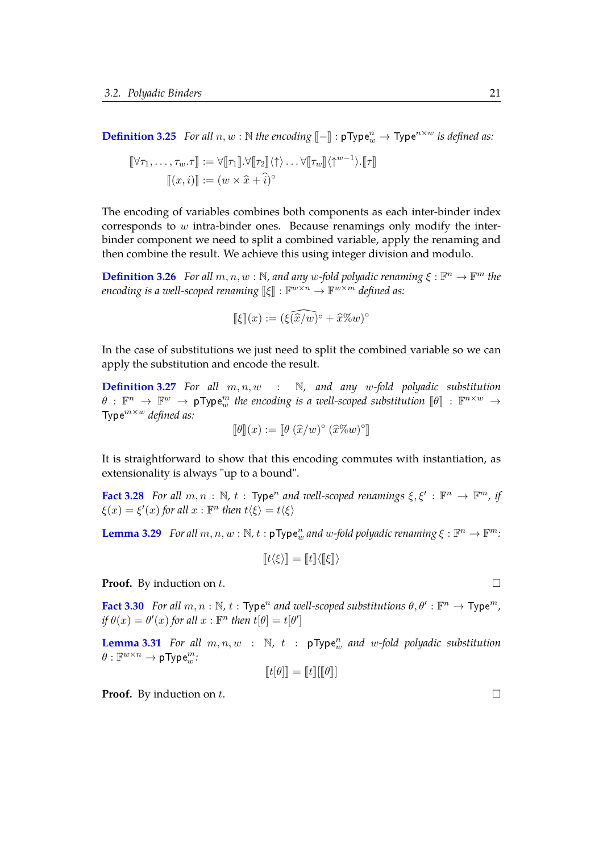**[Definition 3.25](https://www.ps.uni-saarland.de/~alvarez/coq/FsubUndec.extras.p2ws.html#encode)** *For all*  $n, w : \mathbb{N}$  *the encoding*  $[-] : pType_w^n \rightarrow Type^{n \times w}$  *is defined as:* 

$$
\begin{aligned} [\![\forall \tau_1, \ldots, \tau_w. \tau]\!] &:= \forall [\![\tau_1]\!] \cdot \forall [\![\tau_2]\!] \langle \uparrow \rangle \ldots \forall [\![\tau_w]\!] \langle \uparrow^{w-1} \rangle \cdot [\![\tau]\!] \\ [\![(x, i)]\!] &:= (w \times \widehat{x} + \widehat{i})^{\circ} \end{aligned}
$$

The encoding of variables combines both components as each inter-binder index corresponds to w intra-binder ones. Because renamings only modify the interbinder component we need to split a combined variable, apply the renaming and then combine the result. We achieve this using integer division and modulo.

**[Definition 3.26](https://www.ps.uni-saarland.de/~alvarez/coq/FsubUndec.extras.p2ws.html#encode_ren)** *For all*  $m, n, w : \mathbb{N}$ , and any w-fold polyadic renaming  $\xi : \mathbb{F}^n \to \mathbb{F}^m$  the  $\mathit{encoding} \; \textit{is a well-scoped renaming} \; \llbracket \xi \rrbracket : \mathbb{F}^{w \times n} \rightarrow \mathbb{F}^{w \times m} \; \mathit{defined} \; \textit{as:}$ 

$$
\llbracket \xi \rrbracket(x) := (\widehat{\xi(x/w)}^\circ + \widehat{x} \% w)^\circ
$$

In the case of substitutions we just need to split the combined variable so we can apply the substitution and encode the result.

**[Definition 3.27](https://www.ps.uni-saarland.de/~alvarez/coq/FsubUndec.extras.p2ws.html#encode_subst)** *For all* m, n, w : N*, and any* w*-fold polyadic substitution*  $\theta$  :  $\mathbb{F}^n \to \mathbb{F}^w \to \mathsf{pType}_w^m$  the encoding is a well-scoped substitution  $[\![\theta]\!]$  :  $\mathbb{F}^{n \times w} \to \mathbb{F}^{n \times w}$ Typem×<sup>w</sup> *defined as:*

$$
\llbracket \theta \rrbracket(x) := \llbracket \theta \left( \widehat{x}/w \right)^\circ \left( \widehat{x} \% w \right)^\circ \rrbracket
$$

It is straightforward to show that this encoding commutes with instantiation, as extensionality is always "up to a bound".

**[Fact 3.28](https://www.ps.uni-saarland.de/~alvarez/coq/FsubUndec.extras.p2ws.html#ext_ren)** For all  $m, n : \mathbb{N}$ ,  $t : \text{Type}^n$  and well-scoped renamings  $\xi, \xi' : \mathbb{F}^n \to \mathbb{F}^m$ , if  $\xi(x) = \xi'(x)$  for all  $x : \mathbb{F}^n$  then  $t \langle \xi \rangle = t \langle \xi \rangle$ 

**[Lemma 3.29](https://www.ps.uni-saarland.de/~alvarez/coq/FsubUndec.extras.p2ws.html#encoding_ren)** *For all*  $m, n, w : \mathbb{N}$ ,  $t : pType_w^n$  and w-fold polyadic renaming  $\xi : \mathbb{F}^n \to \mathbb{F}^m$ :

$$
[\![t\langle\xi\rangle]\!] = [\![t]\!] \langle [\![\xi]\!] \rangle
$$

**Proof.** By induction on t.

**[Fact 3.30](https://www.ps.uni-saarland.de/~alvarez/coq/FsubUndec.extras.p2ws.html#ext_subst)** For all  $m, n : \mathbb{N}$ ,  $t : \text{Type}^n$  and well-scoped substitutions  $\theta, \theta' : \mathbb{F}^n \to \text{Type}^m$ , *if*  $\theta(x) = \theta'(x)$  *for all*  $x : \mathbb{F}^n$  *then*  $t[\theta] = t[\theta']$ 

**[Lemma 3.31](https://www.ps.uni-saarland.de/~alvarez/coq/FsubUndec.extras.p2ws.html#encoding_subst)** *For all*  $m, n, w$  :  $\mathbb{N}$ ,  $t$  :  $pType_w^n$  *and*  $w-fold$  *polyadic substitution*  $\theta: \mathbb{F}^{w \times n} \to \mathsf{pType}_{w}^{m}$ :

$$
\llbracket t[\theta] \rrbracket = \llbracket t \rrbracket [\llbracket \theta \rrbracket]
$$

**Proof.** By induction on t.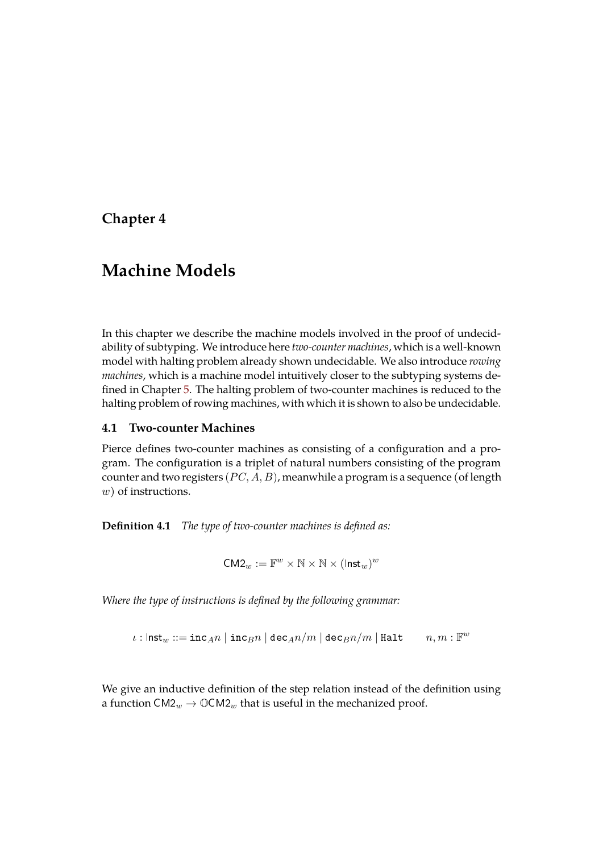## <span id="page-29-0"></span>**Chapter 4**

# **Machine Models**

In this chapter we describe the machine models involved in the proof of undecidability of subtyping. We introduce here *two-counter machines*, which is a well-known model with halting problem already shown undecidable. We also introduce *rowing machines*, which is a machine model intuitively closer to the subtyping systems defined in Chapter [5.](#page-33-0) The halting problem of two-counter machines is reduced to the halting problem of rowing machines, with which it is shown to also be undecidable.

#### <span id="page-29-1"></span>**4.1 Two-counter Machines**

Pierce defines two-counter machines as consisting of a configuration and a program. The configuration is a triplet of natural numbers consisting of the program counter and two registers  $(PC, A, B)$ , meanwhile a program is a sequence (of length w) of instructions.

**Definition 4.1** *The type of two-counter machines is defined as:*

$$
\mathsf{CM2}_w := \mathbb{F}^w \times \mathbb{N} \times \mathbb{N} \times (\mathsf{Inst}_w)^w
$$

*Where the type of instructions is defined by the following grammar:*

 $\iota$ : Inst<sub>w</sub> ::= inc<sub>A</sub>n | inc<sub>B</sub>n | dec<sub>A</sub>n/m | dec<sub>B</sub>n/m | Halt  $m, m : \mathbb{F}^w$ 

We give an inductive definition of the step relation instead of the definition using a function  $\text{CM2}_w \to \mathbb{O}\text{CM2}_w$  that is useful in the mechanized proof.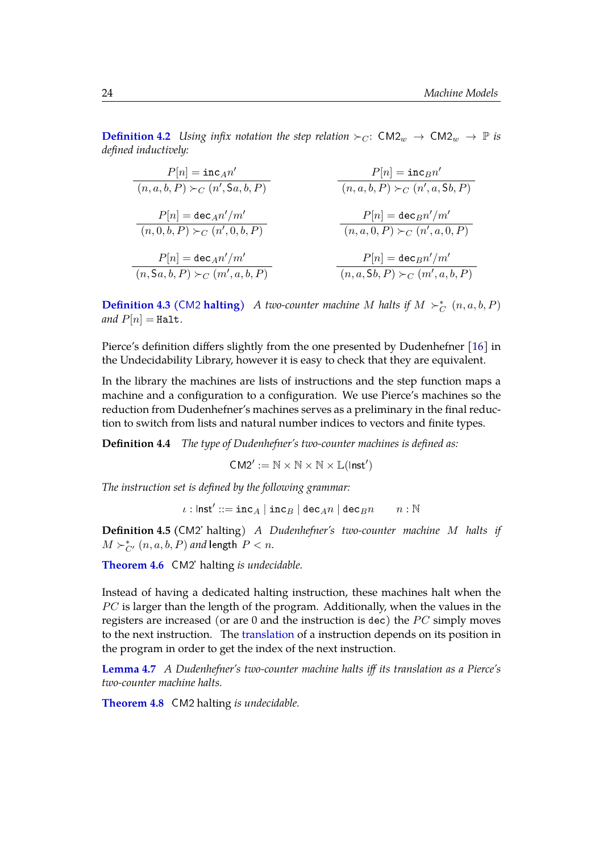**[Definition 4.2](https://www.ps.uni-saarland.de/~alvarez/coq/FsubUndec.CM2.html#step)** *Using infix notation the step relation*  $\succ_C$ :  $CM2_w \rightarrow CM2_w \rightarrow \mathbb{P}$  *is defined inductively:*

| $P[n] = \text{inc}_A n'$              | $P[n] = \text{inc}_B n'$              |
|---------------------------------------|---------------------------------------|
| $(n, a, b, P) \succ_C (n', Sa, b, P)$ | $(n, a, b, P) \succ_C (n', a, Sb, P)$ |
| $P[n] = \text{dec}_A n'/m'$           | $P[n] = \text{dec}_B n'/m'$           |
| $(n, 0, b, P) \succ_C (n', 0, b, P)$  | $(n, a, 0, P) \succ_C (n', a, 0, P)$  |
| $P[n] = \text{dec}_A n'/m'$           | $P[n] = \text{dec}_B n'/m'$           |
| $(n, Sa, b, P) \succ_C (m', a, b, P)$ | $P[n] = \text{dec}_B n'/m'$           |

**[Definition 4.3 \(](https://www.ps.uni-saarland.de/~alvarez/coq/FsubUndec.CM2.html#CM2_HALT)CM2 halting)** *A two-counter machine M* halts if  $M \succ_C^* (n, a, b, P)$ *and*  $P[n] =$  Halt.

Pierce's definition differs slightly from the one presented by Dudenhefner [\[16\]](#page-54-3) in the Undecidability Library, however it is easy to check that they are equivalent.

In the library the machines are lists of instructions and the step function maps a machine and a configuration to a configuration. We use Pierce's machines so the reduction from Dudenhefner's machines serves as a preliminary in the final reduction to switch from lists and natural number indices to vectors and finite types.

**Definition 4.4** *The type of Dudenhefner's two-counter machines is defined as:*

$$
CM2':=\mathbb{N}\times\mathbb{N}\times\mathbb{N}\times\mathbb{L}(\mathsf{Inst}')
$$

*The instruction set is defined by the following grammar:*

 $\iota: \mathsf{Inst}' ::= \verb"inc_A \mid \verb"inc_B \mid \verb"dec_A{} n \mid \verb"dec_B{} n \qquad n : \mathbb{N}$ 

**Definition 4.5 (**CM2' halting) *A Dudenhefner's two-counter machine* M *halts if*  $M \succ^*_{C'} (n, a, b, P)$  and length  $P < n$ .

**[Theorem 4.6](https://www.ps.uni-saarland.de/~alvarez/coq/FsubUndec.Utils.uCM2_facts.html#CM2_HALT_undec)** CM2' halting *is undecidable.*

Instead of having a dedicated halting instruction, these machines halt when the  $PC$  is larger than the length of the program. Additionally, when the values in the registers are increased (or are  $0$  and the instruction is dec) the  $PC$  simply moves to the next instruction. The [translation](https://www.ps.uni-saarland.de/~alvarez/coq/FsubUndec.Reductions.CM2_HALT_to_CM2_HALT.html#translate_inst) of a instruction depends on its position in the program in order to get the index of the next instruction.

**[Lemma 4.7](https://www.ps.uni-saarland.de/~alvarez/coq/FsubUndec.Reductions.CM2_HALT_to_CM2_HALT.html#fwd_bwd)** *A Dudenhefner's two-counter machine halts iff its translation as a Pierce's two-counter machine halts.*

**[Theorem 4.8](https://www.ps.uni-saarland.de/~alvarez/coq/FsubUndec.CM2_undec.html#CM2_HALT_undec)** CM2 halting *is undecidable.*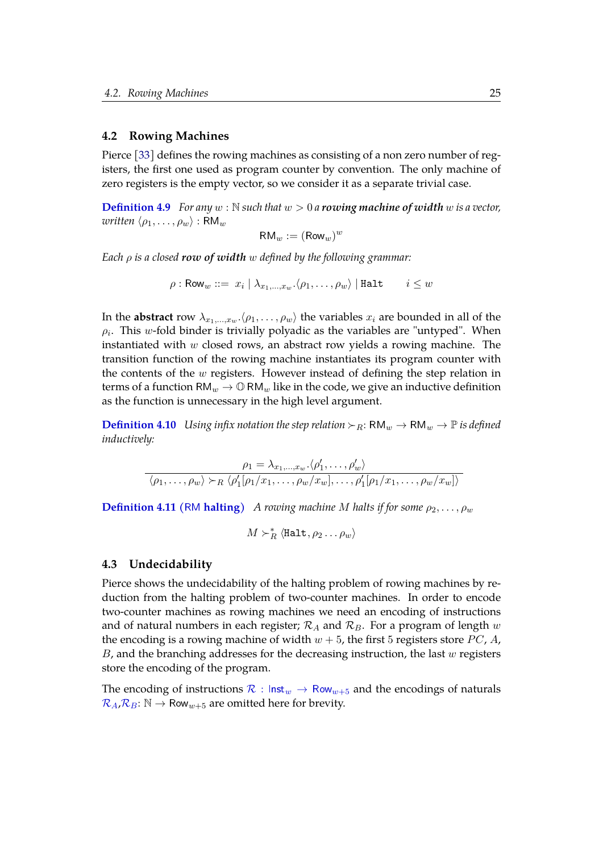#### <span id="page-31-0"></span>**4.2 Rowing Machines**

Pierce [\[33\]](#page-56-0) defines the rowing machines as consisting of a non zero number of registers, the first one used as program counter by convention. The only machine of zero registers is the empty vector, so we consider it as a separate trivial case.

**[Definition 4.9](https://www.ps.uni-saarland.de/~alvarez/coq/FsubUndec.Utils.row.html#row)** For any  $w : \mathbb{N}$  such that  $w > 0$  a **rowing machine of width** w is a vector, *written*  $\langle \rho_1, \ldots, \rho_w \rangle$  : RM<sub>w</sub>

<span id="page-31-2"></span>
$$
\mathsf{RM}_w := (\mathsf{Row}_w)^w
$$

*Each* ρ *is a closed row of width* w *defined by the following grammar:*

$$
\rho : \mathsf{Row}_w ::= |x_i \mid \lambda_{x_1, ..., x_w} . \langle \rho_1, \dots, \rho_w \rangle \mid \mathtt{Halt} \qquad i \leq w
$$

In the **abstract** row  $\lambda_{x_1,...,x_w}$   $\langle \rho_1,..., \rho_w \rangle$  the variables  $x_i$  are bounded in all of the  $\rho_i$ . This w-fold binder is trivially polyadic as the variables are "untyped". When instantiated with w closed rows, an abstract row yields a rowing machine. The transition function of the rowing machine instantiates its program counter with the contents of the  $w$  registers. However instead of defining the step relation in terms of a function  $RM_w \rightarrow \mathbb{O}$  RM<sub>w</sub> like in the code, we give an inductive definition as the function is unnecessary in the high level argument.

**[Definition 4.10](https://www.ps.uni-saarland.de/~alvarez/coq/FsubUndec.RM.html#step)** *Using infix notation the step relation*  $\succ_R$ : RM<sub>w</sub>  $\rightarrow$  RM<sub>w</sub>  $\rightarrow$  P *is defined inductively:*

$$
\rho_1 = \lambda_{x_1,\dots,x_w} \cdot \langle \rho'_1, \dots, \rho'_w \rangle
$$

$$
\langle \rho_1, \dots, \rho_w \rangle \succ_R \langle \rho'_1[\rho_1/x_1, \dots, \rho_w/x_w], \dots, \rho'_1[\rho_1/x_1, \dots, \rho_w/x_w] \rangle
$$

**[Definition 4.11 \(](https://www.ps.uni-saarland.de/~alvarez/coq/FsubUndec.RM.html#RM_HALT)RM halting)** *A rowing machine M halts if for some*  $\rho_2, \ldots, \rho_w$ 

$$
M \succ_R^* \langle \texttt{Half}, \rho_2 \dots \rho_w \rangle
$$

#### <span id="page-31-1"></span>**4.3 Undecidability**

Pierce shows the undecidability of the halting problem of rowing machines by reduction from the halting problem of two-counter machines. In order to encode two-counter machines as rowing machines we need an encoding of instructions and of natural numbers in each register;  $\mathcal{R}_A$  and  $\mathcal{R}_B$ . For a program of length w the encoding is a rowing machine of width  $w + 5$ , the first 5 registers store PC, A,  $B$ , and the branching addresses for the decreasing instruction, the last  $w$  registers store the encoding of the program.

The encoding of instructions  $\mathcal{R}: \text{Inst}_w \to \text{Row}_{w+5}$  $\mathcal{R}: \text{Inst}_w \to \text{Row}_{w+5}$  $\mathcal{R}: \text{Inst}_w \to \text{Row}_{w+5}$  and the encodings of naturals  $\mathcal{R}_A \mathcal{R}_B: \mathbb{N} \to \mathsf{Row}_{w+5}$  $\mathcal{R}_A \mathcal{R}_B: \mathbb{N} \to \mathsf{Row}_{w+5}$  $\mathcal{R}_A \mathcal{R}_B: \mathbb{N} \to \mathsf{Row}_{w+5}$  are omitted here for brevity.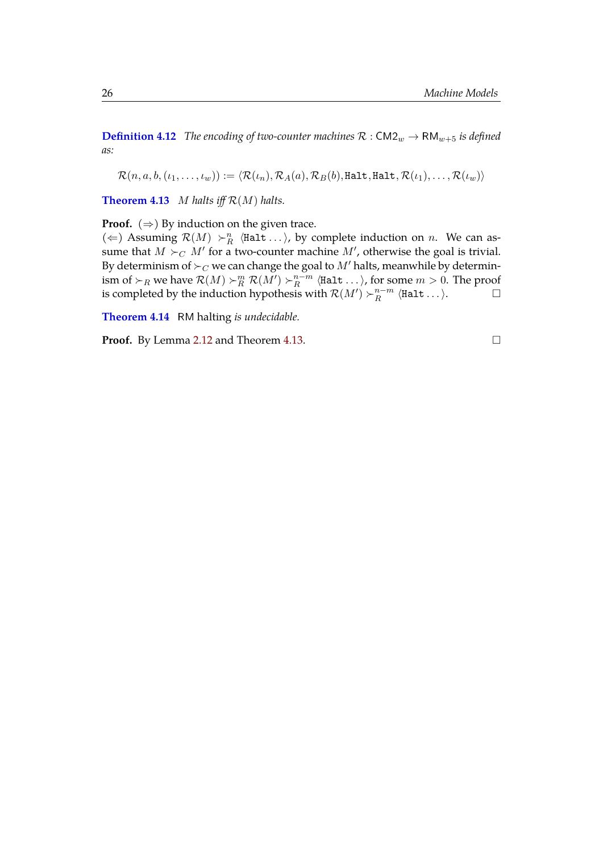**[Definition 4.12](https://www.ps.uni-saarland.de/~alvarez/coq/FsubUndec.Reductions.CM2_Halt_to_RM_Halt.html#translation)** *The encoding of two-counter machines*  $\mathcal{R}: CM2_w \to RM_{w+5}$  *is defined as:*

 $\mathcal{R}(n, a, b, (\iota_1, \ldots, \iota_w)) := \langle \mathcal{R}(\iota_n), \mathcal{R}_A(a), \mathcal{R}_B(b), \text{Halt}, \text{Halt}, \mathcal{R}(\iota_1), \ldots, \mathcal{R}(\iota_w)\rangle$ 

<span id="page-32-0"></span>**[Theorem 4.13](https://www.ps.uni-saarland.de/~alvarez/coq/FsubUndec.Reductions.CM2_Halt_to_RM_Halt.html#fwd_bwd)** M halts iff  $\mathcal{R}(M)$  halts.

**Proof.**  $(\Rightarrow)$  By induction on the given trace.

( $\Leftarrow$ ) Assuming  $\mathcal{R}(M) \succ_R^n$  (Halt ...), by complete induction on n. We can assume that  $M \succ_C M'$  for a two-counter machine  $M'$ , otherwise the goal is trivial. By determinism of  $\succ_C$  we can change the goal to  $M'$  halts, meanwhile by determinism of  $\succ_R$  we have  $\mathcal{R}(M) \succ_R^m \mathcal{R}(M') \succ_R^{n-m}$  $\frac{n-m}{R}$   $\langle$ Halt  $\ldots \rangle$ , for some  $m > 0$ . The proof is completed by the induction hypothesis with  $\mathcal{R}(M') \succ_R^{n-m}$  $\mathop{R}\limits^{n-m}$   $\langle\text{Halt} \dots\rangle.$ 

<span id="page-32-1"></span>**[Theorem 4.14](https://www.ps.uni-saarland.de/~alvarez/coq/FsubUndec.RM_undec.html#RM_HALT_undec)** RM halting *is undecidable.*

**Proof.** By Lemma [2.12](#page-19-1) and Theorem [4.13.](#page-32-0) □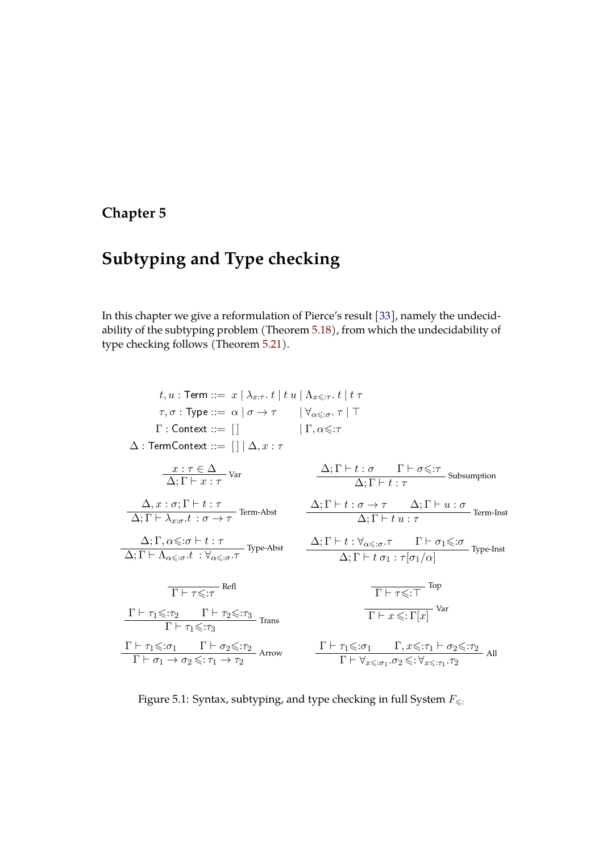# <span id="page-33-0"></span>**Chapter 5**

# **Subtyping and Type checking**

In this chapter we give a reformulation of Pierce's result [\[33\]](#page-56-0), namely the undecidability of the subtyping problem (Theorem [5.18\)](#page-40-0), from which the undecidability of type checking follows (Theorem [5.21\)](#page-42-0).

| $t, u$ : Term ::= $x   \lambda_{x:\tau}$ . $t   t u   \Lambda_{x \leq \tau}$ . $t   t \tau$                                                                                                     |                                                                                                                                                                                                                                 |
|-------------------------------------------------------------------------------------------------------------------------------------------------------------------------------------------------|---------------------------------------------------------------------------------------------------------------------------------------------------------------------------------------------------------------------------------|
| $\tau, \sigma : \text{Type} ::= \alpha \mid \sigma \rightarrow \tau \quad  \ \forall_{\alpha \leq \sigma}, \tau \mid \top$                                                                      |                                                                                                                                                                                                                                 |
| $\Gamma:$ Context ::= $\lceil \cdot \rceil$ $\lceil \cdot \rceil$ $\lceil \cdot \rceil$ , $\alpha \leq \tau$                                                                                    |                                                                                                                                                                                                                                 |
| $\Delta$ : TermContext ::= $\left[\right]   \Delta, x : \tau$                                                                                                                                   |                                                                                                                                                                                                                                 |
| $\frac{x:\tau\in\Delta}{\Delta:\Gamma\vdash x:\tau}$ Var                                                                                                                                        | $\frac{\Delta; \Gamma \vdash t : \sigma \qquad \Gamma \vdash \sigma \leq r}{\Delta; \Gamma \vdash t : \tau}$ Subsumption                                                                                                        |
| $\frac{\Delta}{\Delta:\Gamma\vdash \lambda_{r:\sigma}.t:\sigma\rightarrow\tau}$ Term-Abst                                                                                                       | $\frac{\Delta; \Gamma \vdash t : \sigma \rightarrow \tau \qquad \Delta; \Gamma \vdash u : \sigma}{\Delta; \Gamma \vdash t \ u : \tau}$ Term-Inst                                                                                |
| $\frac{\Delta; \Gamma, \alpha \leqslant : \sigma \vdash t : \tau}{\Delta; \Gamma \vdash \Lambda_{\alpha \leqslant : \sigma}.t \; : \forall_{\alpha \leqslant : \sigma}. \tau} \text{Type-Abst}$ | $\frac{\Delta; \Gamma \vdash t : \forall_{\alpha \leqslant : \sigma} . \tau \qquad \Gamma \vdash \sigma_1 \leqslant : \sigma}{\Delta; \Gamma \vdash t \; \sigma_1 : \tau[\sigma_1/\alpha]}$ Type-Inst                           |
| $\overline{\Gamma \vdash \tau \leq \tau}$ Refl                                                                                                                                                  | $\overline{\Gamma \vdash \tau \leq T}$ Top                                                                                                                                                                                      |
| $\frac{\Gamma \vdash \tau_1 \leqslant : \tau_2 \qquad \Gamma \vdash \tau_2 \leqslant : \tau_3}{\Gamma \vdash \tau_1 \leqslant : \tau_3}$ Trans                                                  | $\boxed{\Gamma \vdash x \leqslant : \Gamma[x]}$ Var                                                                                                                                                                             |
| $\frac{\Gamma \vdash \tau_1 \leq \sigma_1 \qquad \Gamma \vdash \sigma_2 \leq \tau_2}{\Gamma \vdash \sigma_1 \rightarrow \sigma_2 \leq \tau_1 \rightarrow \tau_2}$ Arrow                         | $\frac{\Gamma\vdash \tau_1\leqslant :\!\sigma_1\qquad \Gamma,x\leqslant :\!\tau_1\vdash \sigma_2\leqslant :\!\tau_2}{\Gamma\vdash \forall_{x\leqslant :\!\sigma_1}.\sigma_2\leqslant :\!\forall_{x\leqslant :\!\tau_1}.\tau_2}$ |

Figure 5.1: Syntax, subtyping, and type checking in full System  $F_{\leq \frac{1}{2}}$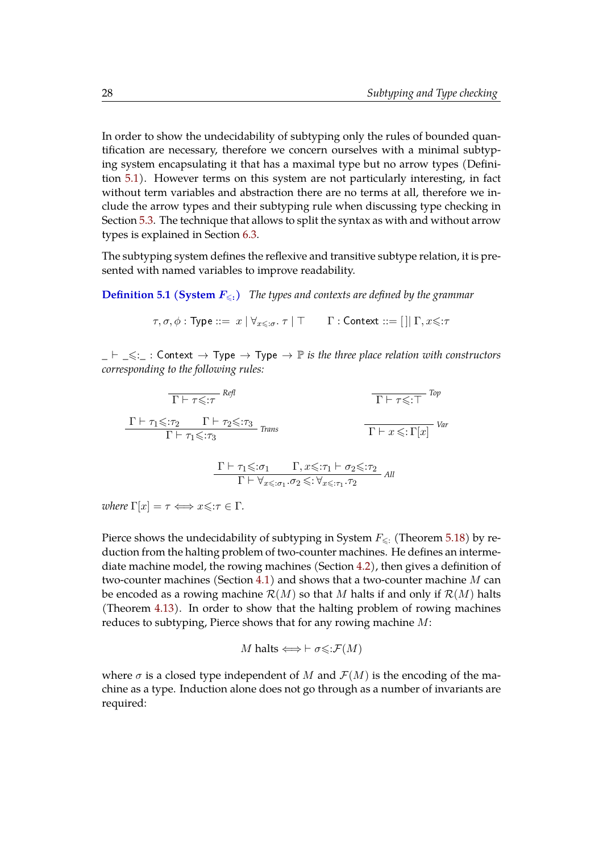In order to show the undecidability of subtyping only the rules of bounded quantification are necessary, therefore we concern ourselves with a minimal subtyping system encapsulating it that has a maximal type but no arrow types (Definition [5.1\)](#page-34-0). However terms on this system are not particularly interesting, in fact without term variables and abstraction there are no terms at all, therefore we include the arrow types and their subtyping rule when discussing type checking in Section [5.3.](#page-41-0) The technique that allows to split the syntax as with and without arrow types is explained in Section [6.3.](#page-47-0)

The subtyping system defines the reflexive and transitive subtype relation, it is presented with named variables to improve readability.

<span id="page-34-0"></span>**[Definition 5.1 \(System](https://www.ps.uni-saarland.de/~alvarez/coq/FsubUndec.Fsub_na.html#sub)**  $F_{\leq 1}$ **)** *The types and contexts are defined by the grammar* 

$$
\tau,\sigma,\phi: \mathsf{Type} ::= x \mid \forall_{x \leqslant : \sigma}.\ \tau \mid \top \qquad \Gamma: \mathsf{Context} ::= [\ ]|\ \Gamma, x \leqslant : \tau
$$

 $\_ \vdash \_ \leq : \_$ : Context  $\rightarrow$  Type  $\rightarrow$  Type  $\rightarrow \mathbb{P}$  *is the three place relation with constructors corresponding to the following rules:*

$$
\frac{\Gamma \vdash \tau \leq \tau}{\Gamma \vdash \tau_1 \leq \tau_2} \quad \frac{\Gamma \vdash \tau_2 \leq \tau_3}{\Gamma \vdash \tau_1 \leq \tau_3} \quad \text{Trans}
$$
\n
$$
\frac{\Gamma \vdash \tau_1 \leq \tau_2}{\Gamma \vdash \tau_1 \leq \tau_3} \quad \frac{\Gamma \vdash \tau_1 \leq \tau_1}{\Gamma \vdash \forall x \leq \tau_1 \cdot \sigma_2 \leq \tau_1 \vdash \sigma_2 \leq \tau_2} \quad \text{All}
$$

*where*  $\Gamma[x] = \tau \Longleftrightarrow x \leq \tau \in \Gamma$ .

Pierce shows the undecidability of subtyping in System  $F_{\leq 1}$  (Theorem [5.18\)](#page-40-0) by reduction from the halting problem of two-counter machines. He defines an intermediate machine model, the rowing machines (Section [4.2\)](#page-31-0), then gives a definition of two-counter machines (Section [4.1\)](#page-29-1) and shows that a two-counter machine  $M$  can be encoded as a rowing machine  $\mathcal{R}(M)$  so that M halts if and only if  $\mathcal{R}(M)$  halts (Theorem [4.13\)](#page-32-0). In order to show that the halting problem of rowing machines reduces to subtyping, Pierce shows that for any rowing machine M:

$$
M \text{ halts} \Longleftrightarrow \vdash \sigma \leq \mathcal{F}(M)
$$

where  $\sigma$  is a closed type independent of M and  $\mathcal{F}(M)$  is the encoding of the machine as a type. Induction alone does not go through as a number of invariants are required: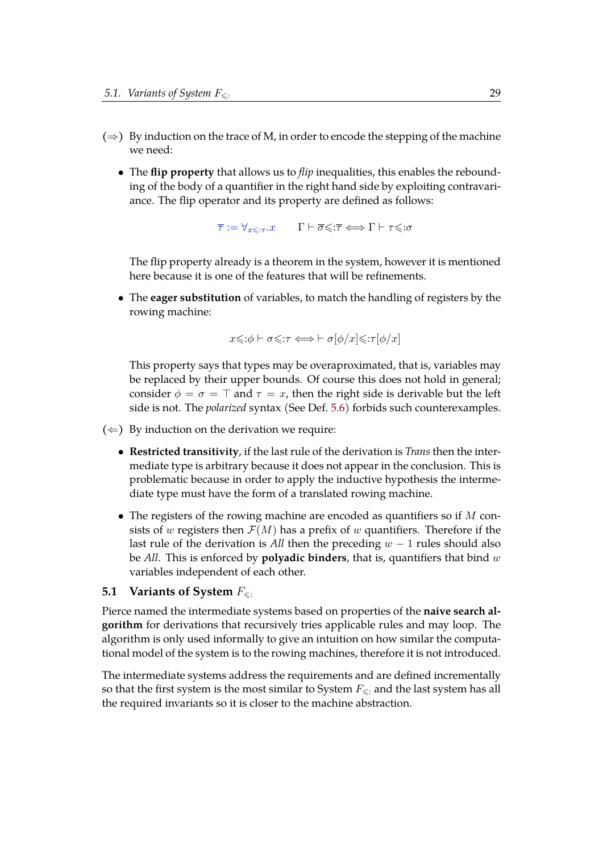- $(\Rightarrow)$  By induction on the trace of M, in order to encode the stepping of the machine we need:
	- The **flip property** that allows us to *flip* inequalities, this enables the rebounding of the body of a quantifier in the right hand side by exploiting contravariance. The flip operator and its property are defined as follows:

 $\overline{\tau} := \forall_{x \leq \tau} . x \qquad \Gamma \vdash \overline{\sigma} \leq \overline{\tau} \Longleftrightarrow \Gamma \vdash \tau \leq \sigma$  $\overline{\tau} := \forall_{x \leq \tau} . x \qquad \Gamma \vdash \overline{\sigma} \leq \overline{\tau} \Longleftrightarrow \Gamma \vdash \tau \leq \sigma$  $\overline{\tau} := \forall_{x \leq \tau} . x \qquad \Gamma \vdash \overline{\sigma} \leq \overline{\tau} \Longleftrightarrow \Gamma \vdash \tau \leq \sigma$ 

The flip property already is a theorem in the system, however it is mentioned here because it is one of the features that will be refinements.

• The **eager substitution** of variables, to match the handling of registers by the rowing machine:

$$
x \leq : \phi \vdash \sigma \leq : \tau \Longleftrightarrow \vdash \sigma[\phi/x] \leq : \tau[\phi/x]
$$

This property says that types may be overaproximated, that is, variables may be replaced by their upper bounds. Of course this does not hold in general; consider  $\phi = \sigma = \top$  and  $\tau = x$ , then the right side is derivable but the left side is not. The *polarized* syntax (See Def. [5.6\)](#page-37-2) forbids such counterexamples.

 $(\Leftarrow)$  By induction on the derivation we require:

- **Restricted transitivity**, if the last rule of the derivation is *Trans* then the intermediate type is arbitrary because it does not appear in the conclusion. This is problematic because in order to apply the inductive hypothesis the intermediate type must have the form of a translated rowing machine.
- The registers of the rowing machine are encoded as quantifiers so if  $M$  consists of w registers then  $\mathcal{F}(M)$  has a prefix of w quantifiers. Therefore if the last rule of the derivation is *All* then the preceding w − 1 rules should also be *All*. This is enforced by **polyadic binders**, that is, quantifiers that bind w variables independent of each other.

#### <span id="page-35-0"></span>**5.1 Variants of System**  $F_{\leq 1}$

Pierce named the intermediate systems based on properties of the **naive search algorithm** for derivations that recursively tries applicable rules and may loop. The algorithm is only used informally to give an intuition on how similar the computational model of the system is to the rowing machines, therefore it is not introduced.

The intermediate systems address the requirements and are defined incrementally so that the first system is the most similar to System  $F_{\leq 0}$  and the last system has all the required invariants so it is closer to the machine abstraction.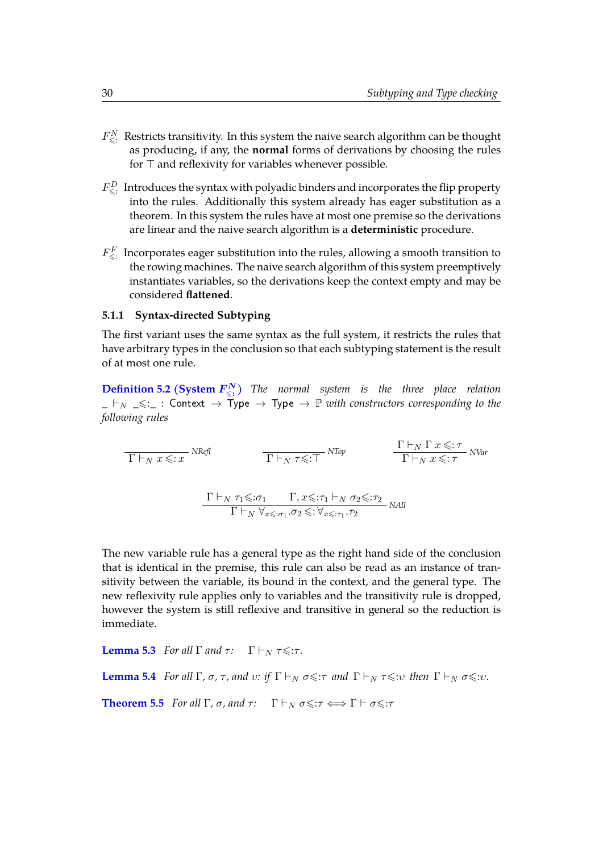- $F_{\leqslant:}^{N}$  Restricts transitivity. In this system the naive search algorithm can be thought as producing, if any, the **normal** forms of derivations by choosing the rules for  $\top$  and reflexivity for variables whenever possible.
- $F_{\leqslant:}^D$  Introduces the syntax with polyadic binders and incorporates the flip property into the rules. Additionally this system already has eager substitution as a theorem. In this system the rules have at most one premise so the derivations are linear and the naive search algorithm is a **deterministic** procedure.
- $F_{\leqslant}^F$  Incorporates eager substitution into the rules, allowing a smooth transition to the rowing machines. The naive search algorithm of this system preemptively instantiates variables, so the derivations keep the context empty and may be considered **flattened**.

#### <span id="page-36-0"></span>**5.1.1 Syntax-directed Subtyping**

<span id="page-36-1"></span>The first variant uses the same syntax as the full system, it restricts the rules that have arbitrary types in the conclusion so that each subtyping statement is the result of at most one rule.

**[Definition 5.2 \(System](https://www.ps.uni-saarland.de/~alvarez/coq/FsubUndec.FsubN.html#subN)**  $F_{\leq z}^N$ **)** The normal system is the three place relation  $_$   $\vdash_N \preceq_{\mathcal{N}}$  : Context  $\rightarrow$  Type  $\rightarrow$  Type  $\rightarrow \mathbb{P}$  *with constructors corresponding to the following rules*

$$
\frac{\Gamma \vdash_N x \leq x}{\Gamma \vdash_N x \leq x} \text{ NRefl} \qquad \frac{\Gamma \vdash_N \Gamma x \leq x}{\Gamma \vdash_N x \leq x} \text{ NTop} \qquad \frac{\Gamma \vdash_N \Gamma x \leq x}{\Gamma \vdash_N x \leq x} \text{ NVar}
$$
\n
$$
\frac{\Gamma \vdash_N \tau_1 \leq x}{\Gamma \vdash_N \forall_{x \leq x_1} . \sigma_2 \leq x \forall_{x \leq x_1} . \tau_2} \text{ NAll}
$$

The new variable rule has a general type as the right hand side of the conclusion that is identical in the premise, this rule can also be read as an instance of transitivity between the variable, its bound in the context, and the general type. The new reflexivity rule applies only to variables and the transitivity rule is dropped, however the system is still reflexive and transitive in general so the reduction is immediate.

**[Lemma 5.3](https://www.ps.uni-saarland.de/~alvarez/coq/FsubUndec.Reductions.FsubN_to_Fsub.html#reflexivity)** *For all*  $\Gamma$  *and*  $\tau$ *:*  $\Gamma \vdash_N \tau \leq \tau$ *.* 

<span id="page-36-2"></span>**[Lemma 5.4](https://www.ps.uni-saarland.de/~alvarez/coq/FsubUndec.Reductions.FsubN_to_Fsub.html#transitivity)** *For all*  $\Gamma$ *,*  $\sigma$ *,*  $\tau$ *, and*  $v$ *: if*  $\Gamma \vdash_N \sigma \leq \tau$  *and*  $\Gamma \vdash_N \tau \leq \tau v$  *then*  $\Gamma \vdash_N \sigma \leq \tau v$ *.* 

<span id="page-36-3"></span>**[Theorem 5.5](https://www.ps.uni-saarland.de/~alvarez/coq/FsubUndec.Reductions.FsubN_to_Fsub.html#subN_iff_sub_off)** *For all*  $\Gamma$ *,*  $\sigma$ *, and*  $\tau$ *:*  $\Gamma \vdash_N \sigma \leq \tau \iff \Gamma \vdash \sigma \leq \tau$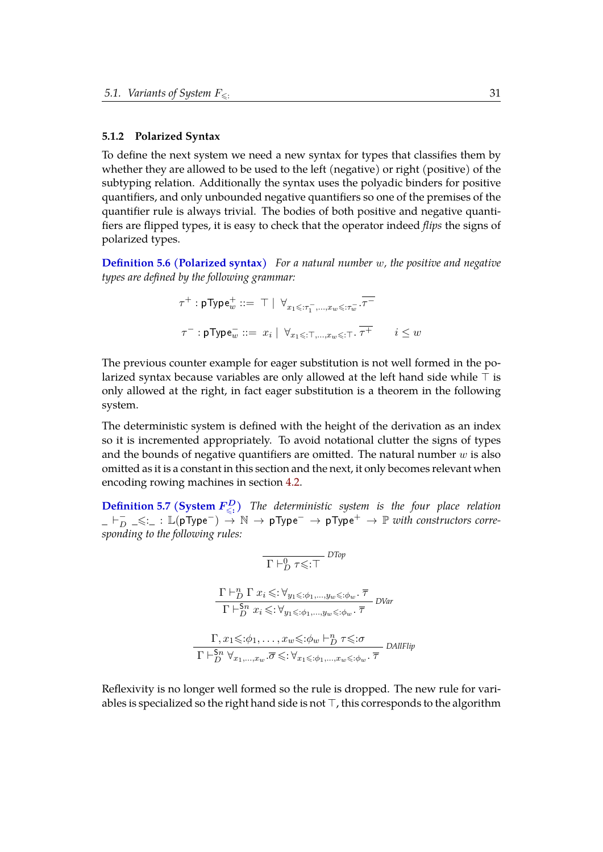#### <span id="page-37-0"></span>**5.1.2 Polarized Syntax**

To define the next system we need a new syntax for types that classifies them by whether they are allowed to be used to the left (negative) or right (positive) of the subtyping relation. Additionally the syntax uses the polyadic binders for positive quantifiers, and only unbounded negative quantifiers so one of the premises of the quantifier rule is always trivial. The bodies of both positive and negative quantifiers are flipped types, it is easy to check that the operator indeed *flips* the signs of polarized types.

<span id="page-37-2"></span>**[Definition 5.6 \(Polarized syntax\)](https://www.ps.uni-saarland.de/~alvarez/coq/FsubUndec.Utils.psyntax.html#ptype)** *For a natural number* w*, the positive and negative types are defined by the following grammar:*

$$
\begin{array}{l} \tau^+ : \mathsf{pType}_w^+ ::= \top \mid \; \forall_{x_1 \leqslant : \tau_1^-, \ldots, x_w \leqslant : \tau_w^-} . \overline{\tau^-} \\ \\ \tau^- : \mathsf{pType}_w^- ::= \; x_i \mid \; \forall_{x_1 \leqslant : \top, \ldots, x_w \leqslant : \top} . \; \overline{\tau^+} \qquad \, i \leq w \end{array}
$$

The previous counter example for eager substitution is not well formed in the polarized syntax because variables are only allowed at the left hand side while  $\top$  is only allowed at the right, in fact eager substitution is a theorem in the following system.

The deterministic system is defined with the height of the derivation as an index so it is incremented appropriately. To avoid notational clutter the signs of types and the bounds of negative quantifiers are omitted. The natural number  $w$  is also omitted as it is a constant in this section and the next, it only becomes relevant when encoding rowing machines in section [4.2.](#page-31-0)

<span id="page-37-1"></span>**[Definition 5.7 \(System](https://www.ps.uni-saarland.de/~alvarez/coq/FsubUndec.FsubD.html#subD)**  $F_{\leq z}^D$ **)** *The deterministic system is the four place relation \_* ` − <sup>D</sup> *\_*6:*\_* : <sup>L</sup>(pType−) <sup>→</sup> <sup>N</sup> <sup>→</sup> pType<sup>−</sup> <sup>→</sup> pType<sup>+</sup> <sup>→</sup> <sup>P</sup> *with constructors corresponding to the following rules:*

$$
\frac{\Gamma \vdash_D^0 \tau \leq \tau}{\Gamma \vdash_D^0 \Gamma x_i \leq \tau \forall_{y_1 \leq \tau \phi_1, \dots, y_w \leq \tau \phi_w} \cdot \overline{\tau}} \frac{\Gamma \vdash_D^n \Gamma x_i \leq \tau \forall_{y_1 \leq \tau \phi_1, \dots, y_w \leq \tau \phi_w} \cdot \overline{\tau}}{\Gamma \vdash_D^{S_n} x_i \leq \tau \phi_1, \dots, x_w \leq \tau \phi_w \vdash_D^n \tau \leq \tau \sigma} \frac{\Gamma, x_1 \leq \tau \phi_1, \dots, x_w \leq \tau \phi_w \vdash_D^n \tau \leq \tau}{\Gamma \vdash_D^{S_n} \forall_{x_1, \dots, x_w} \cdot \overline{\sigma} \leq \tau \forall_{x_1 \leq \tau \phi_1, \dots, x_w \leq \tau \phi_w} \cdot \overline{\tau}} \text{ DAllFlip}
$$

Reflexivity is no longer well formed so the rule is dropped. The new rule for variables is specialized so the right hand side is not  $\top$ , this corresponds to the algorithm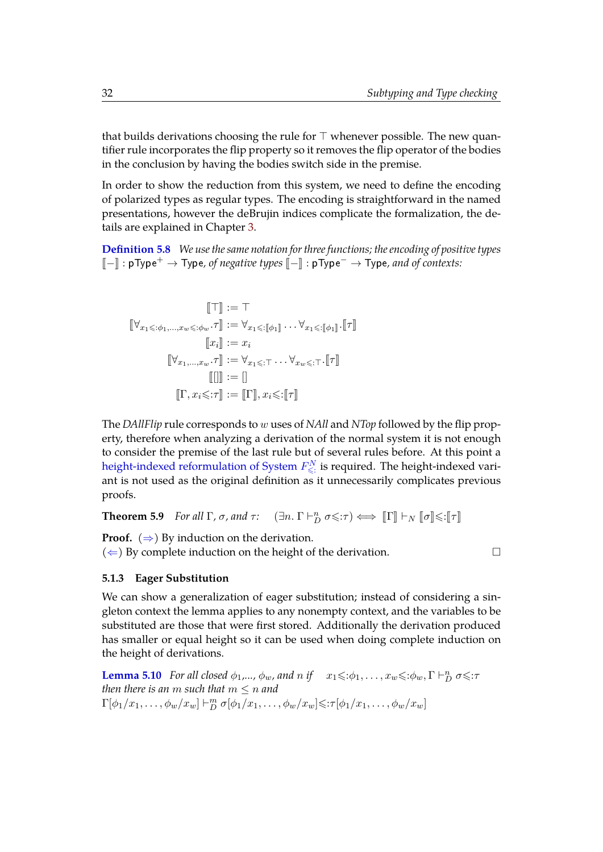that builds derivations choosing the rule for  $\top$  whenever possible. The new quantifier rule incorporates the flip property so it removes the flip operator of the bodies in the conclusion by having the bodies switch side in the premise.

In order to show the reduction from this system, we need to define the encoding of polarized types as regular types. The encoding is straightforward in the named presentations, however the deBrujin indices complicate the formalization, the details are explained in Chapter [3.](#page-21-0)

**[Definition 5.8](https://www.ps.uni-saarland.de/~alvarez/coq/FsubUndec.Reductions.FsubD_to_FsubN.html#ptranslation)** *We use the same notation for three functions; the encoding of positive types* <sup>J</sup>−<sup>K</sup> : pType<sup>+</sup> <sup>→</sup> Type*, of negative types* <sup>J</sup>−<sup>K</sup> : pType<sup>−</sup> <sup>→</sup> Type*, and of contexts:*

$$
\llbracket \top \rrbracket := \top
$$
\n
$$
\llbracket \forall_{x_1 \leq \dots \neq x_w \leq \dots \neq w} \cdot \tau \rrbracket := \forall_{x_1 \leq \dots \llbracket \phi_1 \rrbracket} \dots \forall_{x_1 \leq \dots \llbracket \phi_1 \rrbracket} \cdot \llbracket \tau \rrbracket
$$
\n
$$
\llbracket x_i \rrbracket := x_i
$$
\n
$$
\llbracket \forall_{x_1, \dots, x_w} \cdot \tau \rrbracket := \forall_{x_1 \leq \dots \top} \dots \forall_{x_w \leq \dots \top} \cdot \llbracket \tau \rrbracket
$$
\n
$$
\llbracket \llbracket \rrbracket := \rrbracket
$$
\n
$$
\llbracket \Gamma, x_i \leq \dots \tau \rrbracket := \llbracket \Gamma \rrbracket, x_i \leq \dots \llbracket \tau \rrbracket
$$

The *DAllFlip* rule corresponds to w uses of *NAll* and *NTop* followed by the flip property, therefore when analyzing a derivation of the normal system it is not enough to consider the premise of the last rule but of several rules before. At this point a [height-indexed reformulation of System](https://www.ps.uni-saarland.de/~alvarez/coq/FsubUndec.Reductions.FsubD_to_FsubN.html#iSub)  $F_{\leqslant i}^N$  is required. The height-indexed variant is not used as the original definition as it unnecessarily complicates previous proofs.

<span id="page-38-2"></span>**Theorem 5.9** *For all*  $\Gamma$ *,*  $\sigma$ *, and*  $\tau$ :  $(\exists n. \Gamma \vdash_D^n \sigma \leq \tau) \iff [\![\Gamma]\!] \vdash_N [\![\sigma]\!] \leq : [\![\tau]\!]$ 

**Proof.**  $(\Rightarrow)$  By induction on the derivation.

( $\Leftarrow$ ) By complete induction on the height of the derivation.

#### <span id="page-38-0"></span>**5.1.3 Eager Substitution**

We can show a generalization of eager substitution; instead of considering a singleton context the lemma applies to any nonempty context, and the variables to be substituted are those that were first stored. Additionally the derivation produced has smaller or equal height so it can be used when doing complete induction on the height of derivations.

<span id="page-38-1"></span>**[Lemma 5.10](https://www.ps.uni-saarland.de/~alvarez/coq/FsubUndec.Reductions.FsubF_to_FsubD.html#toEager)** *For all closed*  $\phi_1, ..., \phi_w$ *, and n if*  $x_1 \leq \phi_1, ..., x_w \leq \phi_w$ ,  $\Gamma \vdash_D^n \sigma \leq \tau$ *then there is an m such that*  $m \leq n$  *and*  $\Gamma[\phi_1/x_1,\ldots,\phi_w/x_w] \vdash_D^m \sigma[\phi_1/x_1,\ldots,\phi_w/x_w] \leq \tau[\phi_1/x_1,\ldots,\phi_w/x_w]$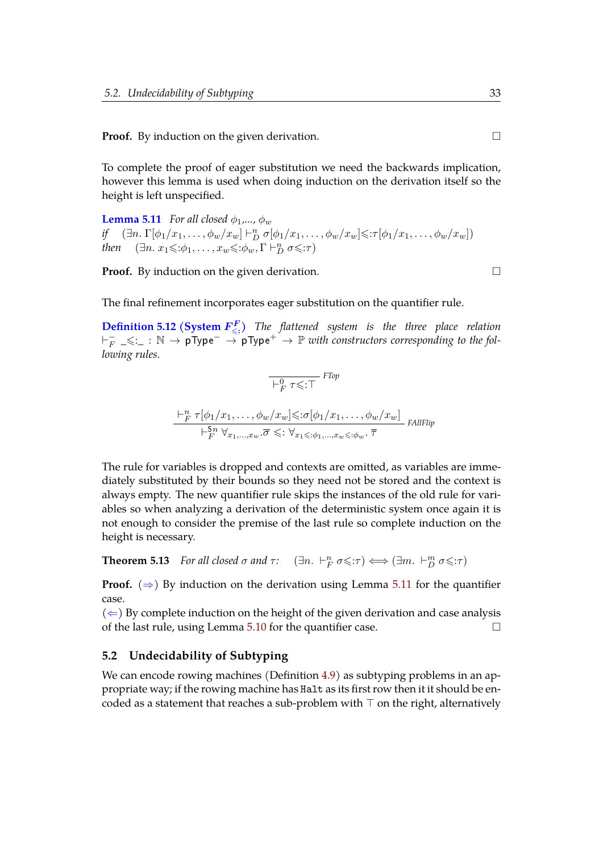**Proof.** By induction on the given derivation.

To complete the proof of eager substitution we need the backwards implication, however this lemma is used when doing induction on the derivation itself so the height is left unspecified.

<span id="page-39-1"></span>**[Lemma 5.11](https://www.ps.uni-saarland.de/~alvarez/coq/FsubUndec.Reductions.FsubF_to_FsubD.html#fromEager)** *For all closed*  $\phi_1$ *,...,*  $\phi_w$ *if*  $(\exists n. \Gamma[\phi_1/x_1, \ldots, \phi_w/x_w] \vdash_D^n \sigma[\phi_1/x_1, \ldots, \phi_w/x_w] \leq \tau[\phi_1/x_1, \ldots, \phi_w/x_w])$ *then*  $(\exists n. x_1 \leqslant \phi_1, \ldots, x_w \leqslant : \phi_w, \Gamma \vdash_D^n \sigma \leqslant : \tau)$ 

**Proof.** By induction on the given derivation.

The final refinement incorporates eager substitution on the quantifier rule.

**[Definition 5.12 \(System](https://www.ps.uni-saarland.de/~alvarez/coq/FsubUndec.FsubF.html#subF)**  $F_{\leq 1}^F$ **)** *The flattened system is the three place relation*  $\vdash_F^-$ F *\_*6:*\_* : N → pType<sup>−</sup> → pType<sup>+</sup> → P *with constructors corresponding to the following rules.*

$$
\frac{\overline{P_F^0 \tau \leq T}}{\overline{P_F^0 \tau \leq T}} \text{ FTop}
$$
\n
$$
\frac{\overline{P_F^0 \tau [\phi_1/x_1, \dots, \phi_w/x_w] \leq \sigma [\phi_1/x_1, \dots, \phi_w/x_w]}}{\overline{P_F^{\text{Sn}} \forall_{x_1, \dots, x_w} \cdot \overline{\sigma} \leq \overline{\forall_{x_1} \leq \overline{\phi_1, \dots, x_w} \leq \overline{\phi_w} \cdot \overline{\tau}}}
$$
\n
$$
\text{FAllFlip}
$$

The rule for variables is dropped and contexts are omitted, as variables are immediately substituted by their bounds so they need not be stored and the context is always empty. The new quantifier rule skips the instances of the old rule for variables so when analyzing a derivation of the deterministic system once again it is not enough to consider the premise of the last rule so complete induction on the height is necessary.

<span id="page-39-2"></span>**Theorem 5.13** *For all closed*  $\sigma$  *and*  $\tau$ :  $(\exists n. \vdash_F^n \sigma \leq \tau) \Longleftrightarrow (\exists m. \vdash_D^m \sigma \leq \tau)$ 

**Proof.** ( $\Rightarrow$ ) By induction on the derivation using Lemma [5.11](#page-39-1) for the quantifier case.

 $(\Leftarrow)$  By complete induction on the height of the given derivation and case analysis of the last rule, using Lemma [5.10](#page-38-1) for the quantifier case.  $\Box$ 

#### <span id="page-39-0"></span>**5.2 Undecidability of Subtyping**

We can encode rowing machines (Definition [4.9\)](#page-31-2) as subtyping problems in an appropriate way; if the rowing machine has Halt as its first row then it it should be encoded as a statement that reaches a sub-problem with  $\top$  on the right, alternatively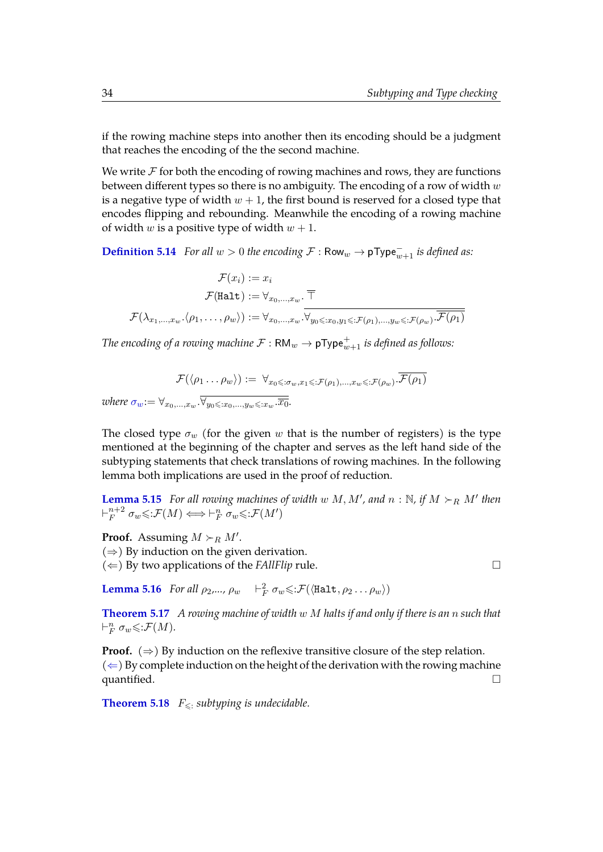if the rowing machine steps into another then its encoding should be a judgment that reaches the encoding of the the second machine.

We write  $\mathcal F$  for both the encoding of rowing machines and rows, they are functions between different types so there is no ambiguity. The encoding of a row of width  $w$ is a negative type of width  $w + 1$ , the first bound is reserved for a closed type that encodes flipping and rebounding. Meanwhile the encoding of a rowing machine of width w is a positive type of width  $w + 1$ .

**[Definition 5.14](https://www.ps.uni-saarland.de/~alvarez/coq/FsubUndec.Reductions.RM_HALT_to_FsubF.html#row2ntype)** *For all*  $w > 0$  *the encoding*  $\mathcal{F}$  : Row $_w \to \mathsf{pType}_{w+1}^{\dagger}$  *is defined as:* 

 $\mathcal{F}(x_i) := x_i$  $\mathcal{F}(\mathtt{Halt}) := \forall_{x_0,...,x_w}.~\overline{\top}$  $\mathcal{F}(\lambda_{x_1,...,x_w}.\langle \rho_1,\ldots,\rho_w\rangle):=\forall_{x_0,...,x_w}.\forall_{y_0\leqslant:x_0,y_1\leqslant:\mathcal{F}(\rho_1),...,y_w\leqslant:\mathcal{F}(\rho_w)}.\mathcal{F}(\rho_1)$ 

The encoding of a rowing machine  $\mathcal{F}:\mathsf{RM}_w\to \mathsf{pType}_{w+1}^+$  is defined as follows:

$$
\mathcal{F}(\langle \rho_1 \dots \rho_w \rangle) := \forall_{x_0 \leqslant : \sigma_w, x_1 \leqslant : \mathcal{F}(\rho_1), \dots, x_w \leqslant : \mathcal{F}(\rho_w) \cdot \mathcal{F}(\rho_1)
$$

*where*  $\sigma_w := \forall_{x_0,...,x_w} \cdot \overline{\forall_{y_0 \leq x_0,...,y_w \leq x_w} \cdot \overline{x_0}}$ .

The closed type  $\sigma_w$  (for the given w that is the number of registers) is the type mentioned at the beginning of the chapter and serves as the left hand side of the subtyping statements that check translations of rowing machines. In the following lemma both implications are used in the proof of reduction.

**[Lemma 5.15](https://www.ps.uni-saarland.de/~alvarez/coq/FsubUndec.Reductions.RM_HALT_to_FsubF.html#step2flat)** For all rowing machines of width  $w \, M, M'$ , and  $n : \mathbb{N}$ , if  $M \succ_R M'$  then  $\vdash^{n+2}_F$  $F_F^{n+2}$   $\sigma_w \leq \mathcal{F}(M) \Longleftrightarrow \vdash_F^n \sigma_w \leq \mathcal{F}(M')$ 

**Proof.** Assuming  $M \succ_R M'$ .  $(\Rightarrow)$  By induction on the given derivation.  $(\Leftarrow)$  By two applications of the *FAllFlip* rule.

**[Lemma 5.16](https://www.ps.uni-saarland.de/~alvarez/coq/FsubUndec.Reductions.RM_HALT_to_FsubF.html#halt2flat)** *For all*  $\rho_2,..., \rho_w$   $\vdash_F^2 \sigma_w \leq : \mathcal{F}(\langle \text{Half}, \rho_2 ... \rho_w \rangle)$ 

<span id="page-40-1"></span>**[Theorem 5.17](https://www.ps.uni-saarland.de/~alvarez/coq/FsubUndec.Reductions.RM_HALT_to_FsubF.html#reduction)** *A rowing machine of width* w M *halts if and only if there is an* n *such that*  $\vdash^n_F \sigma_w \leq \mathcal{F}(M)$ .

**Proof.**  $(\Rightarrow)$  By induction on the reflexive transitive closure of the step relation.  $(\Leftarrow)$  By complete induction on the height of the derivation with the rowing machine quantified.

<span id="page-40-0"></span>**[Theorem 5.18](https://www.ps.uni-saarland.de/~alvarez/coq/FsubUndec.Fsub_undec.html#Fsub_SUBTYPE_undec)**  $F_{\leq$ : *subtyping is undecidable.*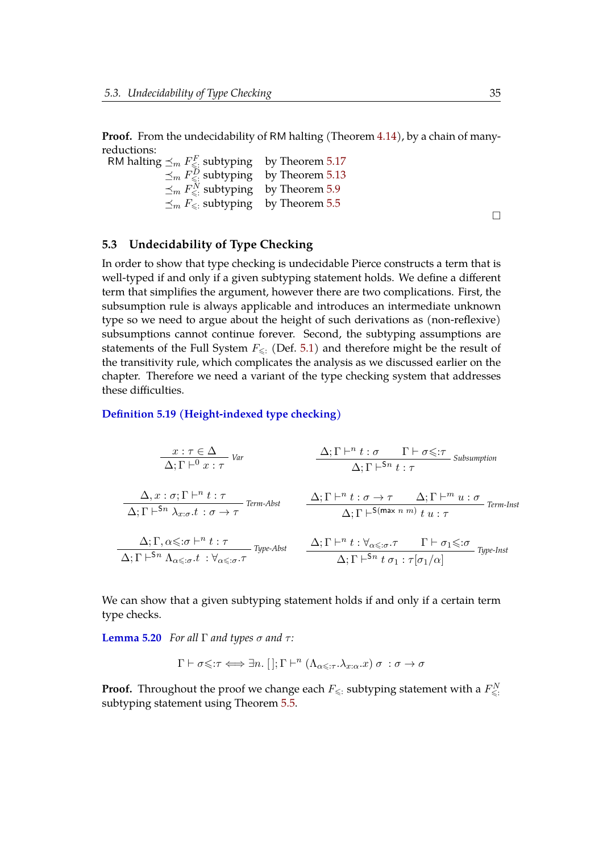**Proof.** From the undecidability of RM halting (Theorem [4.14\)](#page-32-1), by a chain of manyreductions:

RM halting  $\preceq_m F_{\leqslant}^F$  subtyping by Theorem [5.17](#page-40-1)  $\preceq_m F^D_{\leq \mathbb{N}}$  subtyping by Theorem [5.13](#page-39-2)  $\preceq_m F^N_{\leq$ : subtyping by Theorem [5.9](#page-38-2)  $\preceq_m F_{\leqslant}$ : subtyping by Theorem [5.5](#page-36-3)

 $\Box$ 

#### <span id="page-41-0"></span>**5.3 Undecidability of Type Checking**

In order to show that type checking is undecidable Pierce constructs a term that is well-typed if and only if a given subtyping statement holds. We define a different term that simplifies the argument, however there are two complications. First, the subsumption rule is always applicable and introduces an intermediate unknown type so we need to argue about the height of such derivations as (non-reflexive) subsumptions cannot continue forever. Second, the subtyping assumptions are statements of the Full System  $F_{\leq 1}$  (Def. [5.1\)](#page-34-0) and therefore might be the result of the transitivity rule, which complicates the analysis as we discussed earlier on the chapter. Therefore we need a variant of the type checking system that addresses these difficulties.

#### **[Definition 5.19 \(Height-indexed type checking\)](https://www.ps.uni-saarland.de/~alvarez/coq/FsubUndec.FsubN.html#chkN)**

$$
\frac{x:\tau \in \Delta}{\Delta; \Gamma \vdash^{0} x:\tau} \quad \text{Var}
$$
\n
$$
\frac{\Delta; \Gamma \vdash^{n} t:\sigma \quad \Gamma \vdash \sigma \leq: \tau \quad \text{Subsumption}}{\Delta; \Gamma \vdash^{5n} t:\tau} \quad \text{Subsumption}
$$
\n
$$
\frac{\Delta; \Gamma \vdash^{n} t:\tau}{\Delta; \Gamma \vdash^{5n} \lambda_{x:\sigma}.t:\sigma \rightarrow \tau} \quad \text{Term-Abst}
$$
\n
$$
\frac{\Delta; \Gamma \vdash^{n} t:\sigma \rightarrow \tau \quad \Delta; \Gamma \vdash^{m} u:\sigma}{\Delta; \Gamma \vdash^{5(max \ n \ m)} t u:\tau} \quad \text{Term-Inst}
$$
\n
$$
\frac{\Delta; \Gamma, \alpha \leq: \sigma \vdash^{n} t:\tau}{\Delta; \Gamma \vdash^{5n} \Lambda_{\alpha \leq: \sigma}.t:\forall_{\alpha \leq: \sigma}. \tau} \quad \text{Type-Abst}
$$
\n
$$
\frac{\Delta; \Gamma \vdash^{n} t:\forall_{\alpha \leq: \sigma}. \tau \quad \Gamma \vdash \sigma_{1} \leq: \sigma}{\Delta; \Gamma \vdash^{5n} t \sigma_{1}:\tau[\sigma_{1}/\alpha]} \quad \text{Type-Inst}
$$

We can show that a given subtyping statement holds if and only if a certain term type checks.

**[Lemma 5.20](https://www.ps.uni-saarland.de/~alvarez/coq/FsubUndec.Reductions.FsubN_to_FsubNchk.html#reduction)** *For all* Γ *and types*  $\sigma$  *and*  $\tau$ *:* 

$$
\Gamma \vdash \sigma \leq \tau \Longleftrightarrow \exists n. \; [] ; \Gamma \vdash^n (\Lambda_{\alpha \leq \tau} . \lambda_{x:\alpha}.x) \; \sigma \; : \sigma \to \sigma
$$

**Proof.** Throughout the proof we change each  $F_{\leqslant}$  subtyping statement with a  $F_{\leqslant}^N$ subtyping statement using Theorem [5.5.](#page-36-3)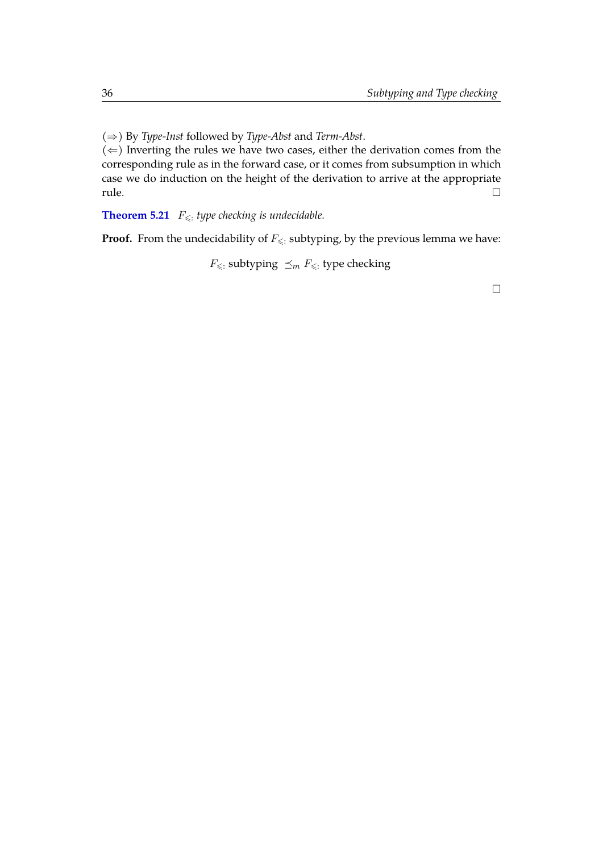(⇒) By *Type-Inst* followed by *Type-Abst* and *Term-Abst*.

 $(\Leftarrow)$  Inverting the rules we have two cases, either the derivation comes from the corresponding rule as in the forward case, or it comes from subsumption in which case we do induction on the height of the derivation to arrive at the appropriate  $\Box$ 

<span id="page-42-0"></span>**[Theorem 5.21](https://www.ps.uni-saarland.de/~alvarez/coq/FsubUndec.Fsub_undec.html#Fsub_TYPECHK_undec)**  $F_{\leq t}$  *type checking is undecidable.* 

**Proof.** From the undecidability of  $F_{\leq x}$  subtyping, by the previous lemma we have:

 $F_{\leqslant}$ : subtyping  $\preceq_m F_{\leqslant}$ : type checking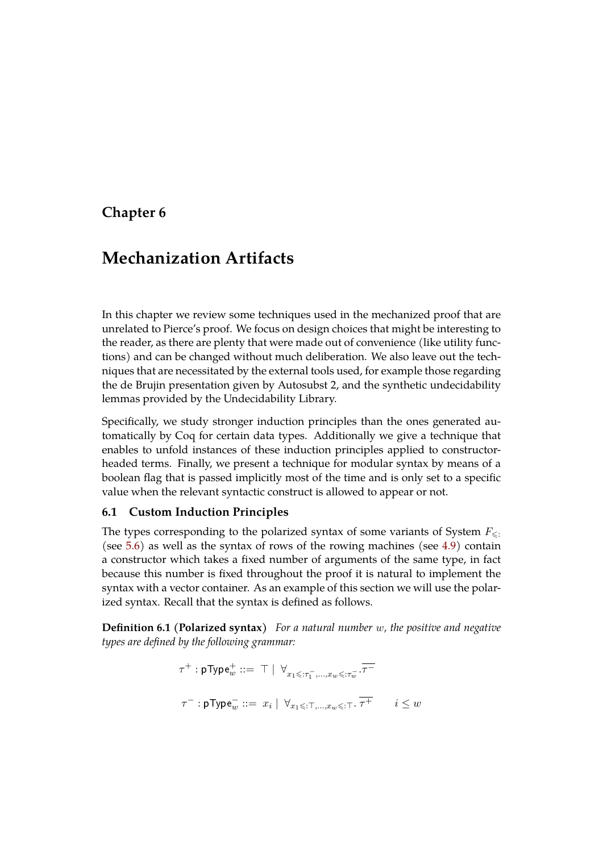### <span id="page-43-0"></span>**Chapter 6**

# **Mechanization Artifacts**

In this chapter we review some techniques used in the mechanized proof that are unrelated to Pierce's proof. We focus on design choices that might be interesting to the reader, as there are plenty that were made out of convenience (like utility functions) and can be changed without much deliberation. We also leave out the techniques that are necessitated by the external tools used, for example those regarding the de Brujin presentation given by Autosubst 2, and the synthetic undecidability lemmas provided by the Undecidability Library.

Specifically, we study stronger induction principles than the ones generated automatically by Coq for certain data types. Additionally we give a technique that enables to unfold instances of these induction principles applied to constructorheaded terms. Finally, we present a technique for modular syntax by means of a boolean flag that is passed implicitly most of the time and is only set to a specific value when the relevant syntactic construct is allowed to appear or not.

#### <span id="page-43-1"></span>**6.1 Custom Induction Principles**

The types corresponding to the polarized syntax of some variants of System  $F_{\leq \cdot}$ : (see [5.6\)](#page-37-2) as well as the syntax of rows of the rowing machines (see [4.9\)](#page-31-2) contain a constructor which takes a fixed number of arguments of the same type, in fact because this number is fixed throughout the proof it is natural to implement the syntax with a vector container. As an example of this section we will use the polarized syntax. Recall that the syntax is defined as follows.

**Definition 6.1 (Polarized syntax)** *For a natural number* w*, the positive and negative types are defined by the following grammar:*

$$
\begin{array}{l} \tau^+ : \mathsf{pType}^+_w ::= \top \mid \; \forall_{x_1 \leqslant: \tau_1^-, ..., x_w \leqslant: \tau_w^-} .\overline{\tau^-} \\ \\ \tau^- : \mathsf{pType}^-_w ::= \; x_i \mid \; \forall_{x_1 \leqslant: \top, ..., x_w \leqslant: \top} .\; \overline{\tau^+} \qquad \, i \leq w \end{array}
$$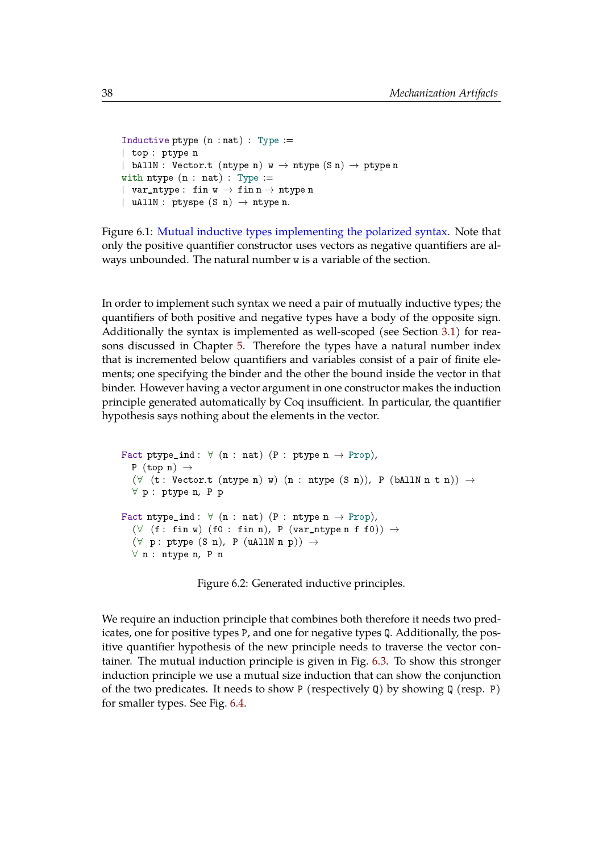```
Inductive ptype (n : nat) : Type :=| top : ptype n
| bAllN : Vector.t (ntype n) w \to ntype (Sn) \to ptype n
with ntype (n : nat) : Type :=
| var_ntype: fin w \rightarrow fin n \rightarrow ntype n
| uAllN : ptyspe (S \nvert n) \rightarrow ntype n.
```
Figure 6.1: [Mutual inductive types implementing the polarized syntax.](https://www.ps.uni-saarland.de/~alvarez/coq/FsubUndec.Utils.psyntax.html#ptype) Note that only the positive quantifier constructor uses vectors as negative quantifiers are always unbounded. The natural number w is a variable of the section.

In order to implement such syntax we need a pair of mutually inductive types; the quantifiers of both positive and negative types have a body of the opposite sign. Additionally the syntax is implemented as well-scoped (see Section [3.1\)](#page-22-0) for reasons discussed in Chapter [5.](#page-33-0) Therefore the types have a natural number index that is incremented below quantifiers and variables consist of a pair of finite elements; one specifying the binder and the other the bound inside the vector in that binder. However having a vector argument in one constructor makes the induction principle generated automatically by Coq insufficient. In particular, the quantifier hypothesis says nothing about the elements in the vector.

```
Fact ptype_ind: \forall (n : nat) (P : ptype n \rightarrow Prop),
  P (top n) \rightarrow(\forall (t: Vector.t (ntype n) w) (n : ntype (S n)), P (bAllN n t n)) \rightarrow∀ p : ptype n, P p
Fact ntype\_ind: \forall (n : nat) (P : ntype n \rightarrow Prop),(\forall (f: fin w) (f0: fin n), P (var_ntype n f f0)) \rightarrow(\forall p : ptype(S n), P (uAllN n p)) \rightarrow∀ n : ntype n, P n
```
Figure 6.2: Generated inductive principles.

We require an induction principle that combines both therefore it needs two predicates, one for positive types P, and one for negative types Q. Additionally, the positive quantifier hypothesis of the new principle needs to traverse the vector container. The mutual induction principle is given in Fig. [6.3.](#page-45-1) To show this stronger induction principle we use a mutual size induction that can show the conjunction of the two predicates. It needs to show P (respectively Q) by showing Q (resp. P) for smaller types. See Fig. [6.4.](#page-45-2)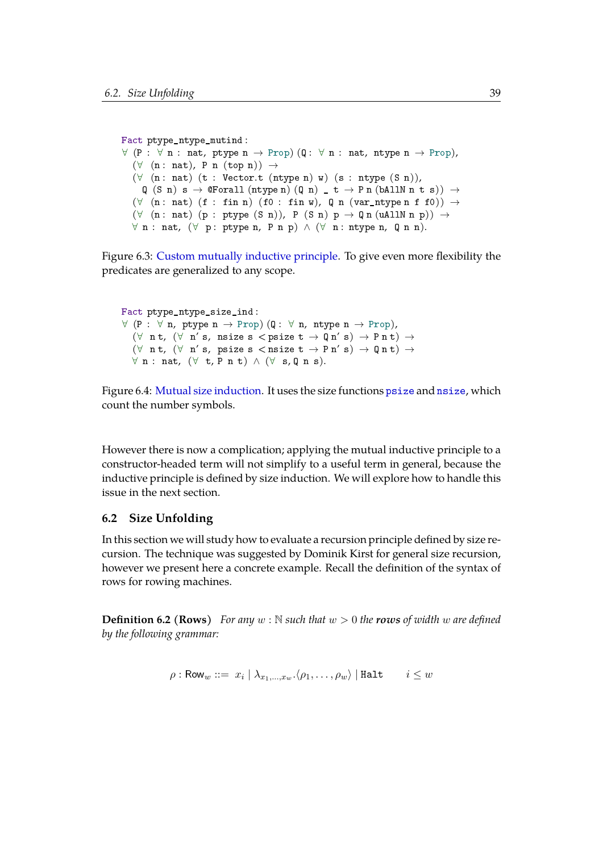```
Fact ptype_ntype_mutind :
\forall (P : \forall n : nat, ptype n \rightarrow Prop) (Q : \forall n : nat, ntype n \rightarrow Prop),
   (\forall (n: nat), P n (top n)) \rightarrow(\forall (n: nat) (t: Vector.t (ntype n) w) (s: ntype (S \nvert n)),
     Q(S n) s \rightarrow QForall (ntype n) (Q n) t \rightarrow P n (b)AllN n t s) \rightarrow(\forall (n: nat) (f: fin n) (f0: fin w), Q n (var_ntype n f f0)) \rightarrow(\forall (n: nat) (p : ptype (S n)), P (S n) p \rightarrow Q n (uAllN n p)) \rightarrow\forall n : nat, (\forall p : ptype n, P n p) \land (\forall n : ntype n, Q n n).
```
Figure 6.3: [Custom mutually inductive principle.](https://www.ps.uni-saarland.de/~alvarez/coq/FsubUndec.Utils.psyntax.html#ptype_ntype_mutind) To give even more flexibility the predicates are generalized to any scope.

```
Fact ptype_ntype_size_ind :
\forall (P : \forall n, ptype n \rightarrow Prop) (Q : \forall n, ntype n \rightarrow Prop),
   (\forall n t, (\forall n' s, n size s < p size t \rightarrow Q n' s) \rightarrow P n t) \rightarrow(\forall n t, (\forall n' s, psize s < nsize t \rightarrow P n' s) \rightarrow Q n t) \rightarrow\forall n : nat, (\forall t, P n t) \land (\forall s, Q n s).
```
Figure 6.4: [Mutual size induction.](https://www.ps.uni-saarland.de/~alvarez/coq/FsubUndec.Utils.psyntax.html#ptype_ntype_size_ind) It uses the size functions [psize](https://www.ps.uni-saarland.de/~alvarez/coq/FsubUndec.Utils.psyntax.html#psize) and [nsize](https://www.ps.uni-saarland.de/~alvarez/coq/FsubUndec.Utils.psyntax.html#nsize), which count the number symbols.

However there is now a complication; applying the mutual inductive principle to a constructor-headed term will not simplify to a useful term in general, because the inductive principle is defined by size induction. We will explore how to handle this issue in the next section.

#### <span id="page-45-0"></span>**6.2 Size Unfolding**

In this section we will study how to evaluate a recursion principle defined by size recursion. The technique was suggested by Dominik Kirst for general size recursion, however we present here a concrete example. Recall the definition of the syntax of rows for rowing machines.

**Definition 6.2 (Rows)** *For any*  $w : \mathbb{N}$  *such that*  $w > 0$  *the rows of width*  $w$  *are defined by the following grammar:*

$$
\rho: \mathsf{Row}_w ::= |x_i \mid \lambda_{x_1, ..., x_w} . \langle \rho_1, \dots, \rho_w \rangle \mid \mathtt{Halt} \qquad i \leq w
$$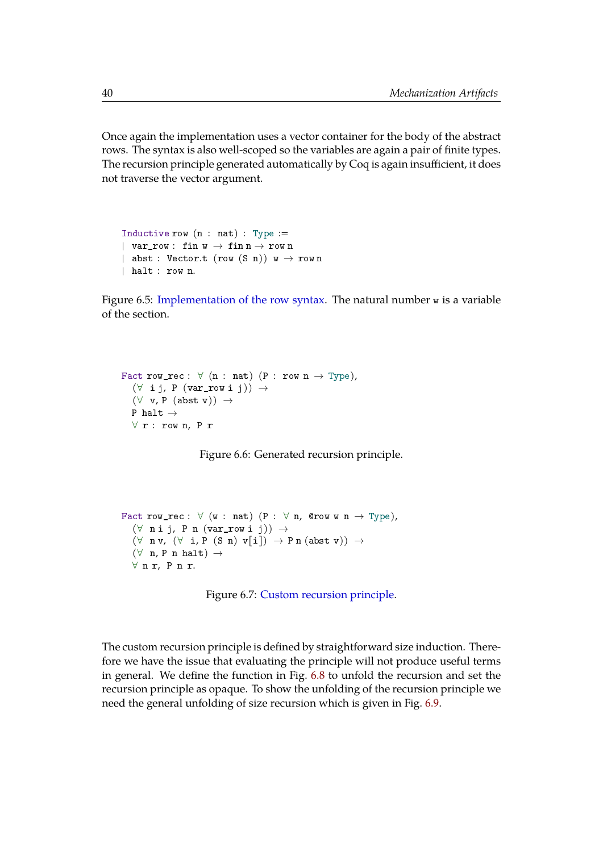Once again the implementation uses a vector container for the body of the abstract rows. The syntax is also well-scoped so the variables are again a pair of finite types. The recursion principle generated automatically by Coq is again insufficient, it does not traverse the vector argument.

```
Inductive row (n : nat) : Type :=| var_row : fin w \rightarrow fin n \rightarrow row n
| abst : Vector.t (row (S \nvert)) w \rightarrow row n
| halt : row n.
```
Figure 6.5: [Implementation of the row syntax.](https://www.ps.uni-saarland.de/~alvarez/coq/FsubUndec.Utils.row.html#row) The natural number w is a variable of the section.

```
Fact row_rec : \forall (n : nat) (P : row n \rightarrow Type),
   (\forall i j, P (var_row i j)) \rightarrow(\forall v, P (abst v)) \rightarrowP halt \rightarrow∀ r : row n, P r
```
Figure 6.6: Generated recursion principle.

```
Fact row_rec : \forall (w : nat) (P : \forall n, @row w n \rightarrow Type),
   (\forall n \text{ i } j, P n (var_{row} i j)) \rightarrow(\forall n \nu, (\forall i, P(S n) \nu[i]) \rightarrow P n (abst \nu)) \rightarrow(\forall n, P n \text{ halt}) \rightarrow∀ n r, P n r.
```
Figure 6.7: [Custom recursion principle.](https://www.ps.uni-saarland.de/~alvarez/coq/FsubUndec.Utils.RM_facts.html#row_rec)

The custom recursion principle is defined by straightforward size induction. Therefore we have the issue that evaluating the principle will not produce useful terms in general. We define the function in Fig. [6.8](#page-47-1) to unfold the recursion and set the recursion principle as opaque. To show the unfolding of the recursion principle we need the general unfolding of size recursion which is given in Fig. [6.9.](#page-47-2)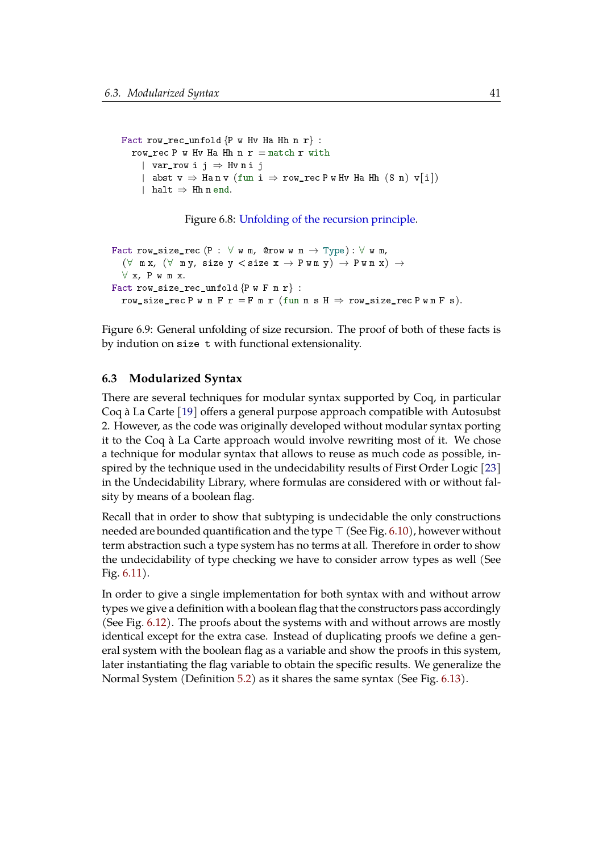```
Fact row_rec_unfold \{P \text{ w Hv Ha Hh n r}\}:
  row rec P w Hv Ha Hh n r = match r with
    | var_row i j \Rightarrow Hvni j
    | abst v \Rightarrow Ha n v (fun i \Rightarrow row_rec P w Hv Ha Hh (S n) v[i])
    | halt \Rightarrow Hh n end.
```
Figure 6.8: [Unfolding of the recursion principle.](https://www.ps.uni-saarland.de/~alvarez/coq/FsubUndec.Utils.RM_facts.html#row_rec_unfold)

```
Fact row_size_rec (P : \forall w m, @row w m \rightarrow Type) : \forall w m,
   (\forall \text{ mx}, (\forall \text{ my}, \text{ size } y \leq \text{ size } x \rightarrow \text{ P w m } y) \rightarrow \text{ P w m } x) \rightarrow∀ x, P w m x.
Fact row_size_rec_unfold \{P w F m r\}:
   row_size_rec P w m F r = F m r (fun m s H \Rightarrow row_size_rec P w m F s).
```
Figure 6.9: General unfolding of size recursion. The proof of both of these facts is by indution on size t with functional extensionality.

#### <span id="page-47-0"></span>**6.3 Modularized Syntax**

There are several techniques for modular syntax supported by Coq, in particular Coq à La Carte [\[19\]](#page-55-7) offers a general purpose approach compatible with Autosubst 2. However, as the code was originally developed without modular syntax porting it to the Coq à La Carte approach would involve rewriting most of it. We chose a technique for modular syntax that allows to reuse as much code as possible, inspired by the technique used in the undecidability results of First Order Logic [\[23\]](#page-55-8) in the Undecidability Library, where formulas are considered with or without falsity by means of a boolean flag.

Recall that in order to show that subtyping is undecidable the only constructions needed are bounded quantification and the type  $\top$  (See Fig. [6.10\)](#page-48-0), however without term abstraction such a type system has no terms at all. Therefore in order to show the undecidability of type checking we have to consider arrow types as well (See Fig. [6.11\)](#page-48-1).

In order to give a single implementation for both syntax with and without arrow types we give a definition with a boolean flag that the constructors pass accordingly (See Fig. [6.12\)](#page-48-2). The proofs about the systems with and without arrows are mostly identical except for the extra case. Instead of duplicating proofs we define a general system with the boolean flag as a variable and show the proofs in this system, later instantiating the flag variable to obtain the specific results. We generalize the Normal System (Definition [5.2\)](#page-36-1) as it shares the same syntax (See Fig. [6.13\)](#page-49-0).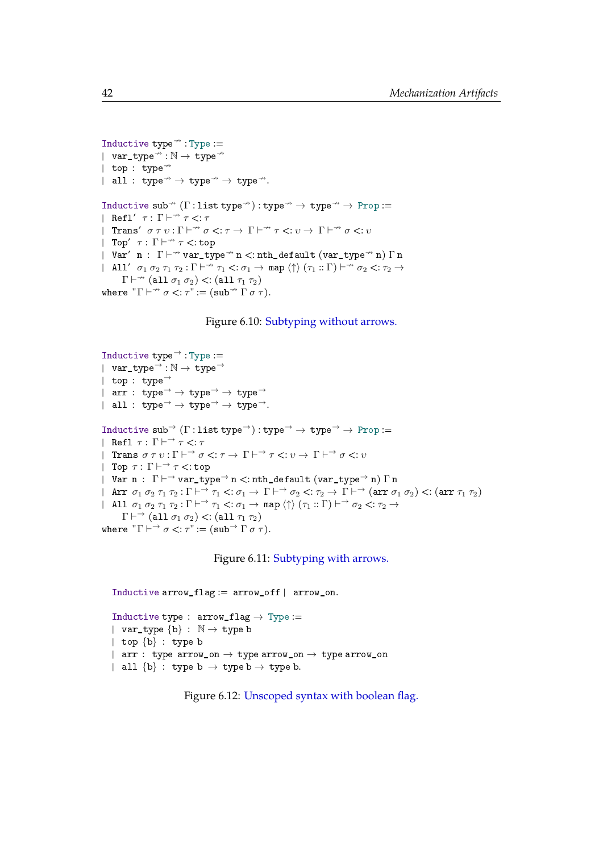```
Inductive type\rightarrow: Type :=
| var_type\rightarrow: N \rightarrow type\rightarrow| top : type\rightarrow| all : type\rightarrow type\rightarrow type\rightarrow.
Inductive sub<sup>\rightarrow</sup> (\Gamma: list type<sup>\rightarrow</sup>): type\rightarrow + type\rightarrow Prop :=
| Refl' \tau : \Gamma \vdash^{\nrightarrow} \tau \leq: \tau| Trans' \sigma \tau v : \Gamma \vdash^{\nrightarrow} \sigma \langle : \tau \rightarrow \Gamma \vdash^{\nrightarrow} \tau \langle : v \rightarrow \Gamma \vdash^{\nrightarrow} \sigma \langle : v \rangle| Top' \tau : \Gamma \vdash^{\nrightarrow} \tau \lt : top
| Var' n : \Gamma \vdash^{\nrightarrow} var_type\overline{\phantom{a}} n <: nth_default (var_type\overline{\phantom{a}} n) \Gamma n
| All' \sigma_1 \sigma_2 \tau_1 \tau_2 : \Gamma \vdash^{\nrightarrow} \tau_1 \prec : \sigma_1 \rightarrow \text{map} \langle \uparrow \rangle (\tau_1 :: \Gamma) \vdash^{\nrightarrow} \sigma_2 \prec : \tau_2 \rightarrow\Gamma \vdash^{\nleftrightarrow} (all \sigma_1 \sigma_2) <: (all \tau_1 \tau_2)
where T \vdash^{\nrightarrow} \sigma \leq : \tau" := (\text{sub} \nrightarrow T \sigma \tau).
```
#### Figure 6.10: [Subtyping without arrows.](https://www.ps.uni-saarland.de/~alvarez/coq/FsubUndec.Fsub_na.html#sub)

```
Inductive type\rightarrow: Type :=
| var_type<sup>\rightarrow</sup>: \mathbb{N} \rightarrow type<sup>\rightarrow</sup>
| top : type→
| arr : type<sup>→</sup> → type<sup>→</sup> → type<sup>→</sup>
| all : type<sup>→</sup> → type<sup>→</sup> → type<sup>→</sup>.
Inductive sub<sup>→</sup> (\Gamma: list type<sup>→</sup>): type<sup>→</sup> → type<sup>→</sup> → Prop :=
| Refl\tau \colon \Gamma \vdash^{\to} \tau <: \tau| Trans \sigma \tau v : \Gamma \vdash^{\rightarrow} \sigma \langle : \tau \rightarrow \Gamma \vdash^{\rightarrow} \tau \langle : v \rightarrow \Gamma \vdash^{\rightarrow} \sigma \langle : v \rangle| Top \tau : \Gamma \vdash^{\rightarrow} \tau <:top| Var n : \Gamma \vdash^{\rightarrow} var_type\rightarrow n \lt: nth_default (var_type\rightarrow n) \Gamma n
| Arr \sigma_1 \sigma_2 \tau_1 \tau_2 : \Gamma \vdash^{\rightarrow} \tau_1 \prec : \sigma_1 \to \Gamma \vdash^{\rightarrow} \sigma_2 \prec : \tau_2 \to \Gamma \vdash^{\rightarrow} (\text{arr } \sigma_1 \sigma_2) \prec : (\text{arr } \tau_1 \tau_2)| All \sigma_1 \sigma_2 \tau_1 \tau_2 : \Gamma \vdash \rightarrow \tau_1 \prec : \sigma_1 \rightarrow \text{map} \langle \uparrow \rangle (\tau_1 :: \Gamma) \vdash \rightarrow \sigma_2 \prec : \tau_2 \rightarrow\Gamma \vdash \rightarrow (\text{all } \sigma_1 \sigma_2) <: (\text{all } \tau_1 \tau_2)where T \mapsto \sigma \leq T := (\text{sub} \rightarrow \Gamma \sigma \tau).
```
Figure 6.11: [Subtyping with arrows.](https://www.ps.uni-saarland.de/~alvarez/coq/FsubUndec.Fsub.html#sub)

```
Inductive arrow\_flag := arrow_of | arrow_\text{on}.Inductive type : arrow_f Iag \rightarrow Type :=
| var_type {b} : \mathbb{N} \rightarrow type b
| top \{b\} : type b
| arr : type arrow_on \rightarrow type arrow_on \rightarrow type arrow_on
| all {b} : type b \rightarrow type b \rightarrow type b.
```
Figure 6.12: [Unscoped syntax with boolean flag.](https://www.ps.uni-saarland.de/~alvarez/coq/FsubUndec.Utils.syntax.html#type)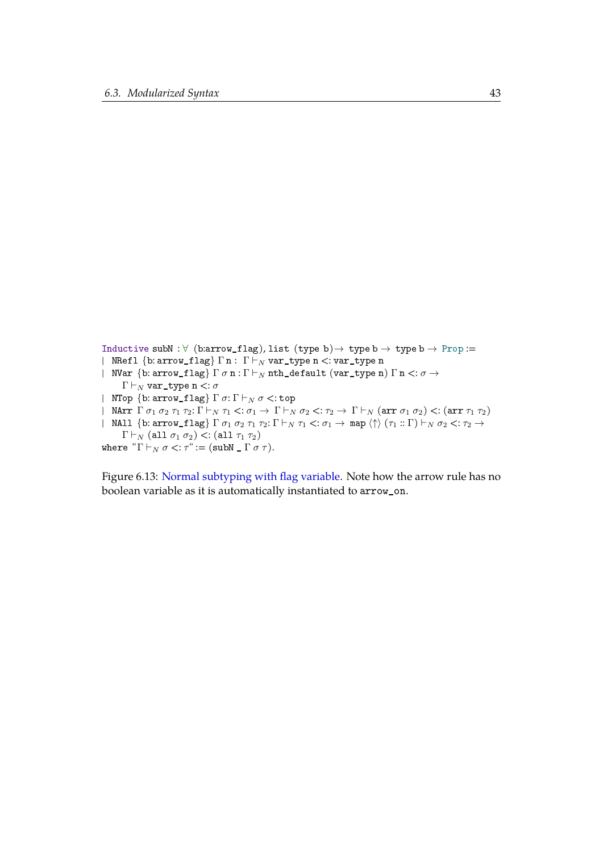```
Inductive subN : \forall (b:arrow_flag), list (type b) \rightarrow type b \rightarrow type b \rightarrow Prop :=
| NRefl \{b: \arrow_f 1ag\} \Gamman: \Gamma \vdash_N \text{var_type n} <: var_type n
| NVar {b: arrow_flag} \Gamma \sigma n : \Gamma \vdash_N nth_default (var_type n) \Gamma n <: \sigma \rightarrow\Gamma \vdash_N \texttt{var\_type n} <: \sigma| NTop \{b: \arrow_f 1ag\} \Gamma \sigma: \Gamma \vdash_N \sigma \lt: \text{top}| NArr \Gamma \sigma_1 \sigma_2 \tau_1 \tau_2: \Gamma \vdash_N \tau_1 <: \sigma_1 \to \Gamma \vdash_N \sigma_2 <: \tau_2 \to \Gamma \vdash_N (\arctan \sigma_1 \sigma_2) <: (\arctan \tau_1 \tau_2)| NAll \{b: \text{arrow\_flag}\}\Gamma \sigma_1 \sigma_2 \tau_1 \tau_2: \Gamma \vdash_N \tau_1 <: \sigma_1 \rightarrow \text{map} \langle \uparrow \rangle (\tau_1 :: \Gamma) \vdash_N \sigma_2 <: \tau_2 \rightarrow\Gamma \vdash_N (\text{all } \sigma_1 \sigma_2) <: (\text{all } \tau_1 \tau_2)where T \vdash_N \sigma \lt: \tau := (subN \Gamma \sigma \tau).
```
Figure 6.13: [Normal subtyping with flag variable.](https://www.ps.uni-saarland.de/~alvarez/coq/FsubUndec.FsubN.html#subN) Note how the arrow rule has no boolean variable as it is automatically instantiated to arrow\_on.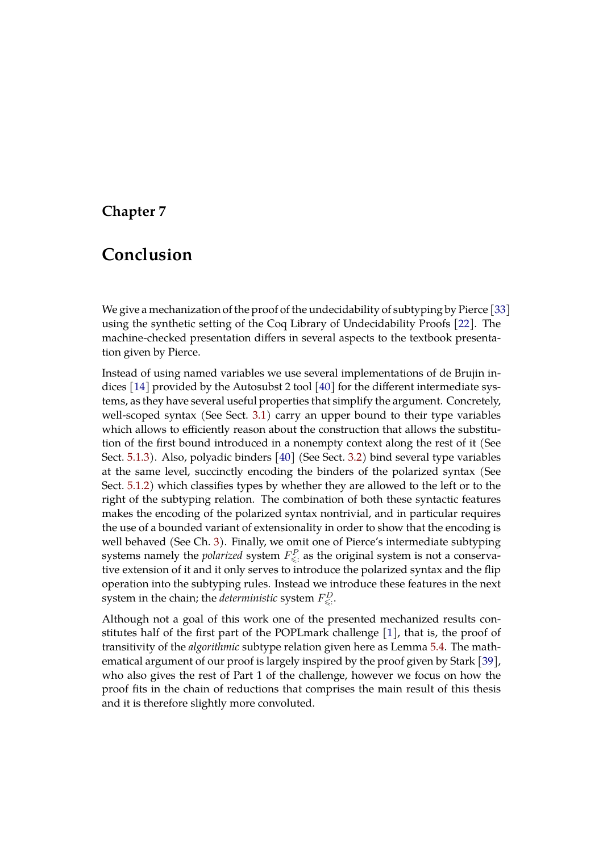# <span id="page-51-0"></span>**Chapter 7**

# **Conclusion**

We give a mechanization of the proof of the undecidability of subtyping by Pierce [\[33\]](#page-56-0) using the synthetic setting of the Coq Library of Undecidability Proofs [\[22\]](#page-55-0). The machine-checked presentation differs in several aspects to the textbook presentation given by Pierce.

Instead of using named variables we use several implementations of de Brujin indices [\[14\]](#page-54-2) provided by the Autosubst 2 tool [\[40\]](#page-57-0) for the different intermediate systems, as they have several useful properties that simplify the argument. Concretely, well-scoped syntax (See Sect. [3.1\)](#page-22-0) carry an upper bound to their type variables which allows to efficiently reason about the construction that allows the substitution of the first bound introduced in a nonempty context along the rest of it (See Sect. [5.1.3\)](#page-38-0). Also, polyadic binders [\[40\]](#page-57-0) (See Sect. [3.2\)](#page-25-0) bind several type variables at the same level, succinctly encoding the binders of the polarized syntax (See Sect. [5.1.2\)](#page-37-0) which classifies types by whether they are allowed to the left or to the right of the subtyping relation. The combination of both these syntactic features makes the encoding of the polarized syntax nontrivial, and in particular requires the use of a bounded variant of extensionality in order to show that the encoding is well behaved (See Ch. [3\)](#page-21-0). Finally, we omit one of Pierce's intermediate subtyping systems namely the *polarized* system  $F_{\leqslant:}^{P}$  as the original system is not a conservative extension of it and it only serves to introduce the polarized syntax and the flip operation into the subtyping rules. Instead we introduce these features in the next system in the chain; the *deterministic* system  $F^D_{\leqslant \cdot \cdot}$ 

Although not a goal of this work one of the presented mechanized results constitutes half of the first part of the POPLmark challenge [\[1\]](#page-53-7), that is, the proof of transitivity of the *algorithmic* subtype relation given here as Lemma [5.4.](#page-36-2) The mathematical argument of our proof is largely inspired by the proof given by Stark [\[39\]](#page-57-2), who also gives the rest of Part 1 of the challenge, however we focus on how the proof fits in the chain of reductions that comprises the main result of this thesis and it is therefore slightly more convoluted.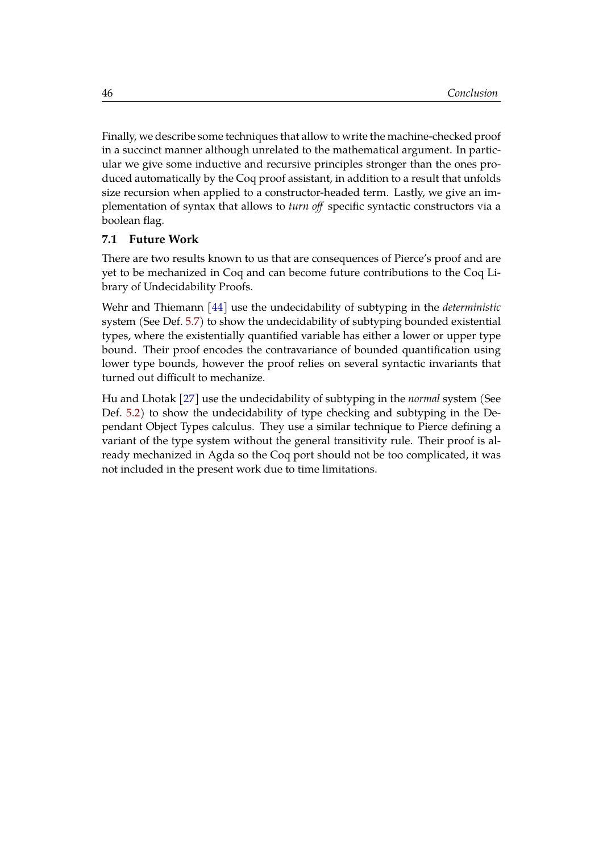Finally, we describe some techniques that allow to write the machine-checked proof in a succinct manner although unrelated to the mathematical argument. In particular we give some inductive and recursive principles stronger than the ones produced automatically by the Coq proof assistant, in addition to a result that unfolds size recursion when applied to a constructor-headed term. Lastly, we give an implementation of syntax that allows to *turn off* specific syntactic constructors via a boolean flag.

#### <span id="page-52-0"></span>**7.1 Future Work**

There are two results known to us that are consequences of Pierce's proof and are yet to be mechanized in Coq and can become future contributions to the Coq Library of Undecidability Proofs.

Wehr and Thiemann [\[44\]](#page-57-5) use the undecidability of subtyping in the *deterministic* system (See Def. [5.7\)](#page-37-1) to show the undecidability of subtyping bounded existential types, where the existentially quantified variable has either a lower or upper type bound. Their proof encodes the contravariance of bounded quantification using lower type bounds, however the proof relies on several syntactic invariants that turned out difficult to mechanize.

Hu and Lhotak [\[27\]](#page-55-6) use the undecidability of subtyping in the *normal* system (See Def. [5.2\)](#page-36-1) to show the undecidability of type checking and subtyping in the Dependant Object Types calculus. They use a similar technique to Pierce defining a variant of the type system without the general transitivity rule. Their proof is already mechanized in Agda so the Coq port should not be too complicated, it was not included in the present work due to time limitations.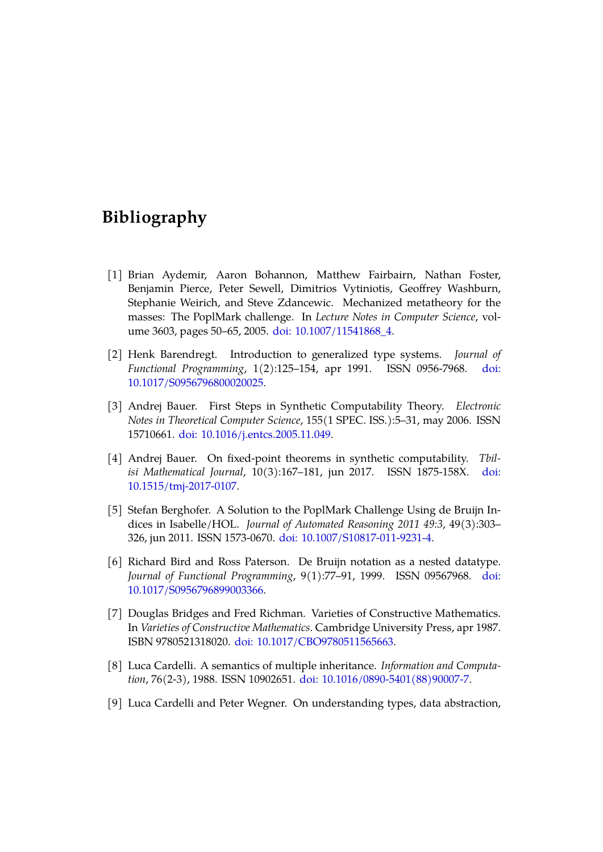# <span id="page-53-0"></span>**Bibliography**

- <span id="page-53-7"></span>[1] Brian Aydemir, Aaron Bohannon, Matthew Fairbairn, Nathan Foster, Benjamin Pierce, Peter Sewell, Dimitrios Vytiniotis, Geoffrey Washburn, Stephanie Weirich, and Steve Zdancewic. Mechanized metatheory for the masses: The PoplMark challenge. In *Lecture Notes in Computer Science*, volume 3603, pages 50–65, 2005. [doi: 10.1007/11541868\\_4.](https://doi.org/10.1007/11541868_4)
- <span id="page-53-2"></span>[2] Henk Barendregt. Introduction to generalized type systems. *Journal of Functional Programming*, 1(2):125–154, apr 1991. ISSN 0956-7968. [doi:](https://doi.org/10.1017/S0956796800020025) [10.1017/S0956796800020025.](https://doi.org/10.1017/S0956796800020025)
- <span id="page-53-5"></span>[3] Andrej Bauer. First Steps in Synthetic Computability Theory. *Electronic Notes in Theoretical Computer Science*, 155(1 SPEC. ISS.):5–31, may 2006. ISSN 15710661. [doi: 10.1016/j.entcs.2005.11.049.](https://doi.org/10.1016/j.entcs.2005.11.049)
- <span id="page-53-6"></span>[4] Andrej Bauer. On fixed-point theorems in synthetic computability. *Tbilisi Mathematical Journal*, 10(3):167–181, jun 2017. ISSN 1875-158X. [doi:](https://doi.org/10.1515/tmj-2017-0107) [10.1515/tmj-2017-0107.](https://doi.org/10.1515/tmj-2017-0107)
- <span id="page-53-8"></span>[5] Stefan Berghofer. A Solution to the PoplMark Challenge Using de Bruijn Indices in Isabelle/HOL. *Journal of Automated Reasoning 2011 49:3*, 49(3):303– 326, jun 2011. ISSN 1573-0670. [doi: 10.1007/S10817-011-9231-4.](https://doi.org/10.1007/S10817-011-9231-4)
- <span id="page-53-9"></span>[6] Richard Bird and Ross Paterson. De Bruijn notation as a nested datatype. *Journal of Functional Programming*, 9(1):77–91, 1999. ISSN 09567968. [doi:](https://doi.org/10.1017/S0956796899003366) [10.1017/S0956796899003366.](https://doi.org/10.1017/S0956796899003366)
- <span id="page-53-4"></span>[7] Douglas Bridges and Fred Richman. Varieties of Constructive Mathematics. In *Varieties of Constructive Mathematics*. Cambridge University Press, apr 1987. ISBN 9780521318020. [doi: 10.1017/CBO9780511565663.](https://doi.org/10.1017/CBO9780511565663)
- <span id="page-53-3"></span>[8] Luca Cardelli. A semantics of multiple inheritance. *Information and Computation*, 76(2-3), 1988. ISSN 10902651. [doi: 10.1016/0890-5401\(88\)90007-7.](https://doi.org/10.1016/0890-5401(88)90007-7)
- <span id="page-53-1"></span>[9] Luca Cardelli and Peter Wegner. On understanding types, data abstraction,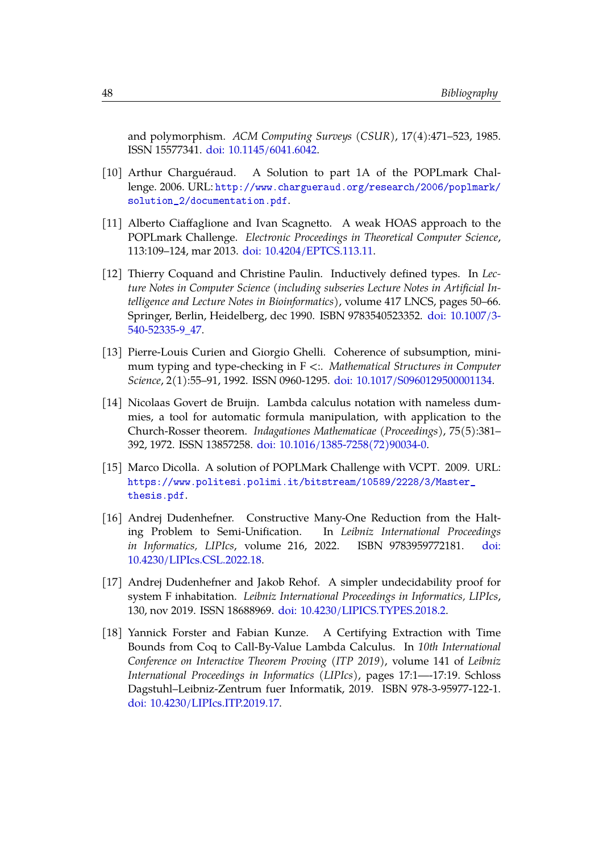and polymorphism. *ACM Computing Surveys (CSUR)*, 17(4):471–523, 1985. ISSN 15577341. [doi: 10.1145/6041.6042.](https://doi.org/10.1145/6041.6042)

- <span id="page-54-7"></span>[10] Arthur Charguéraud. A Solution to part 1A of the POPLmark Challenge. 2006. URL: [http://www.chargueraud.org/research/2006/poplmark/](http://www.chargueraud.org/research/2006/poplmark/solution_2/documentation.pdf) [solution\\_2/documentation.pdf](http://www.chargueraud.org/research/2006/poplmark/solution_2/documentation.pdf).
- <span id="page-54-8"></span>[11] Alberto Ciaffaglione and Ivan Scagnetto. A weak HOAS approach to the POPLmark Challenge. *Electronic Proceedings in Theoretical Computer Science*, 113:109–124, mar 2013. [doi: 10.4204/EPTCS.113.11.](https://doi.org/10.4204/EPTCS.113.11)
- <span id="page-54-0"></span>[12] Thierry Coquand and Christine Paulin. Inductively defined types. In *Lecture Notes in Computer Science (including subseries Lecture Notes in Artificial Intelligence and Lecture Notes in Bioinformatics)*, volume 417 LNCS, pages 50–66. Springer, Berlin, Heidelberg, dec 1990. ISBN 9783540523352. [doi: 10.1007/3-](https://doi.org/10.1007/3-540-52335-9_47) [540-52335-9\\_47.](https://doi.org/10.1007/3-540-52335-9_47)
- <span id="page-54-1"></span>[13] Pierre-Louis Curien and Giorgio Ghelli. Coherence of subsumption, minimum typing and type-checking in F <:. *Mathematical Structures in Computer Science*, 2(1):55–91, 1992. ISSN 0960-1295. [doi: 10.1017/S0960129500001134.](https://doi.org/10.1017/S0960129500001134)
- <span id="page-54-2"></span>[14] Nicolaas Govert de Bruijn. Lambda calculus notation with nameless dummies, a tool for automatic formula manipulation, with application to the Church-Rosser theorem. *Indagationes Mathematicae (Proceedings)*, 75(5):381– 392, 1972. ISSN 13857258. [doi: 10.1016/1385-7258\(72\)90034-0.](https://doi.org/10.1016/1385-7258(72)90034-0)
- <span id="page-54-6"></span>[15] Marco Dicolla. A solution of POPLMark Challenge with VCPT. 2009. URL: [https://www.politesi.polimi.it/bitstream/10589/2228/3/Master\\_](https://www.politesi.polimi.it/bitstream/10589/2228/3/Master_thesis.pdf) [thesis.pdf](https://www.politesi.polimi.it/bitstream/10589/2228/3/Master_thesis.pdf).
- <span id="page-54-3"></span>[16] Andrej Dudenhefner. Constructive Many-One Reduction from the Halting Problem to Semi-Unification. In *Leibniz International Proceedings in Informatics, LIPIcs*, volume 216, 2022. ISBN 9783959772181. [doi:](https://doi.org/10.4230/LIPIcs.CSL.2022.18) [10.4230/LIPIcs.CSL.2022.18.](https://doi.org/10.4230/LIPIcs.CSL.2022.18)
- <span id="page-54-4"></span>[17] Andrej Dudenhefner and Jakob Rehof. A simpler undecidability proof for system F inhabitation. *Leibniz International Proceedings in Informatics, LIPIcs*, 130, nov 2019. ISSN 18688969. [doi: 10.4230/LIPICS.TYPES.2018.2.](https://doi.org/10.4230/LIPICS.TYPES.2018.2)
- <span id="page-54-5"></span>[18] Yannick Forster and Fabian Kunze. A Certifying Extraction with Time Bounds from Coq to Call-By-Value Lambda Calculus. In *10th International Conference on Interactive Theorem Proving (ITP 2019)*, volume 141 of *Leibniz International Proceedings in Informatics (LIPIcs)*, pages 17:1—-17:19. Schloss Dagstuhl–Leibniz-Zentrum fuer Informatik, 2019. ISBN 978-3-95977-122-1. [doi: 10.4230/LIPIcs.ITP.2019.17.](https://doi.org/10.4230/LIPIcs.ITP.2019.17)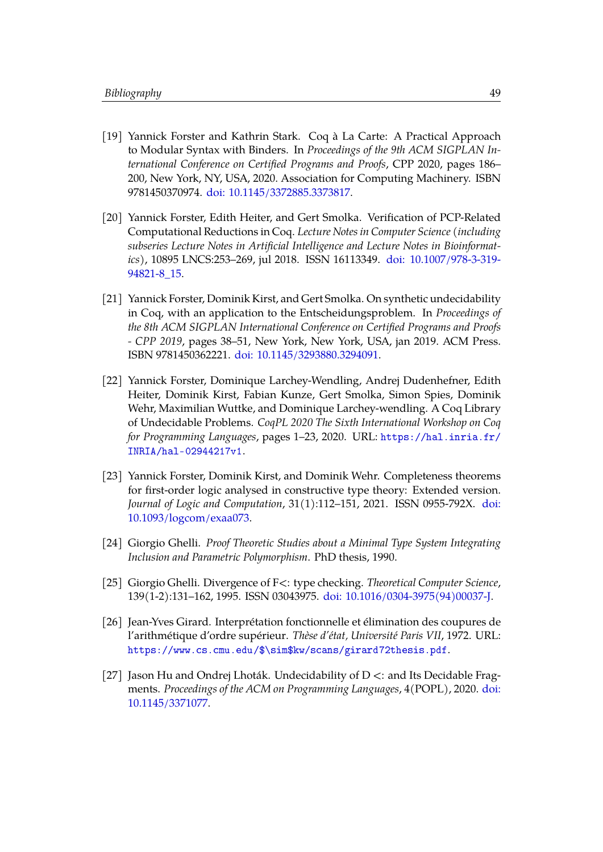- <span id="page-55-7"></span>[19] Yannick Forster and Kathrin Stark. Coq à La Carte: A Practical Approach to Modular Syntax with Binders. In *Proceedings of the 9th ACM SIGPLAN International Conference on Certified Programs and Proofs*, CPP 2020, pages 186– 200, New York, NY, USA, 2020. Association for Computing Machinery. ISBN 9781450370974. [doi: 10.1145/3372885.3373817.](https://doi.org/10.1145/3372885.3373817)
- <span id="page-55-5"></span>[20] Yannick Forster, Edith Heiter, and Gert Smolka. Verification of PCP-Related Computational Reductions in Coq. *Lecture Notes in Computer Science (including subseries Lecture Notes in Artificial Intelligence and Lecture Notes in Bioinformatics)*, 10895 LNCS:253–269, jul 2018. ISSN 16113349. [doi: 10.1007/978-3-319-](https://doi.org/10.1007/978-3-319-94821-8_15) [94821-8\\_15.](https://doi.org/10.1007/978-3-319-94821-8_15)
- <span id="page-55-4"></span>[21] Yannick Forster, Dominik Kirst, and Gert Smolka. On synthetic undecidability in Coq, with an application to the Entscheidungsproblem. In *Proceedings of the 8th ACM SIGPLAN International Conference on Certified Programs and Proofs - CPP 2019*, pages 38–51, New York, New York, USA, jan 2019. ACM Press. ISBN 9781450362221. [doi: 10.1145/3293880.3294091.](https://doi.org/10.1145/3293880.3294091)
- <span id="page-55-0"></span>[22] Yannick Forster, Dominique Larchey-Wendling, Andrej Dudenhefner, Edith Heiter, Dominik Kirst, Fabian Kunze, Gert Smolka, Simon Spies, Dominik Wehr, Maximilian Wuttke, and Dominique Larchey-wendling. A Coq Library of Undecidable Problems. *CoqPL 2020 The Sixth International Workshop on Coq for Programming Languages*, pages 1–23, 2020. URL: [https://hal.inria.fr/](https://hal.inria.fr/INRIA/hal-02944217v1) [INRIA/hal-02944217v1](https://hal.inria.fr/INRIA/hal-02944217v1).
- <span id="page-55-8"></span>[23] Yannick Forster, Dominik Kirst, and Dominik Wehr. Completeness theorems for first-order logic analysed in constructive type theory: Extended version. *Journal of Logic and Computation*, 31(1):112–151, 2021. ISSN 0955-792X. [doi:](https://doi.org/10.1093/logcom/exaa073) [10.1093/logcom/exaa073.](https://doi.org/10.1093/logcom/exaa073)
- <span id="page-55-1"></span>[24] Giorgio Ghelli. *Proof Theoretic Studies about a Minimal Type System Integrating Inclusion and Parametric Polymorphism*. PhD thesis, 1990.
- <span id="page-55-2"></span>[25] Giorgio Ghelli. Divergence of F<: type checking. *Theoretical Computer Science*, 139(1-2):131–162, 1995. ISSN 03043975. [doi: 10.1016/0304-3975\(94\)00037-J.](https://doi.org/10.1016/0304-3975(94)00037-J)
- <span id="page-55-3"></span>[26] Jean-Yves Girard. Interprétation fonctionnelle et élimination des coupures de l'arithmétique d'ordre supérieur. *Thèse d'état, Université Paris VII*, 1972. URL: [https://www.cs.cmu.edu/\\$\sim\\$kw/scans/girard72thesis.pdf](https://www.cs.cmu.edu/$\sim $kw/scans/girard72thesis.pdf).
- <span id="page-55-6"></span>[27] Jason Hu and Ondrej Lhoták. Undecidability of  $D \lt$ : and Its Decidable Fragments. *Proceedings of the ACM on Programming Languages*, 4(POPL), 2020. [doi:](https://doi.org/10.1145/3371077) [10.1145/3371077.](https://doi.org/10.1145/3371077)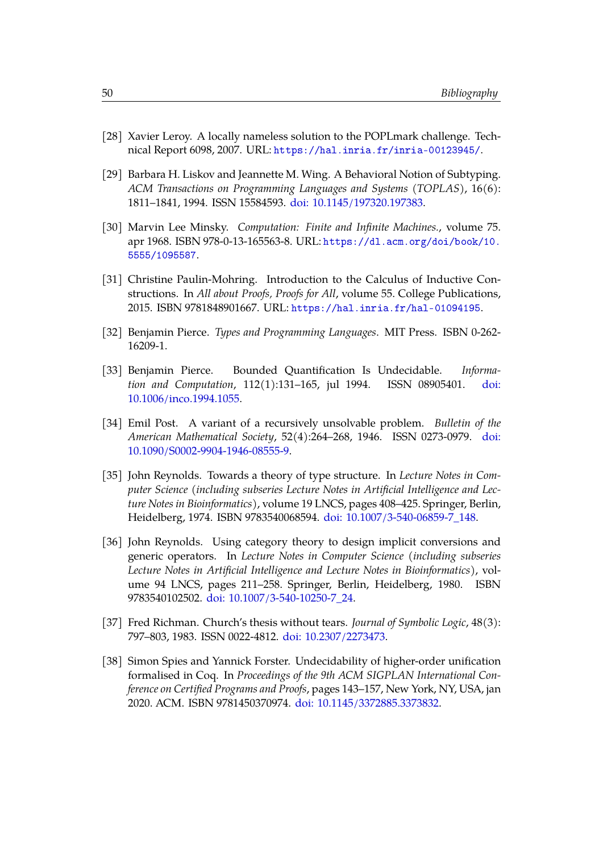- <span id="page-56-10"></span>[28] Xavier Leroy. A locally nameless solution to the POPLmark challenge. Technical Report 6098, 2007. URL: <https://hal.inria.fr/inria-00123945/>.
- <span id="page-56-2"></span>[29] Barbara H. Liskov and Jeannette M. Wing. A Behavioral Notion of Subtyping. *ACM Transactions on Programming Languages and Systems (TOPLAS)*, 16(6): 1811–1841, 1994. ISSN 15584593. [doi: 10.1145/197320.197383.](https://doi.org/10.1145/197320.197383)
- <span id="page-56-7"></span>[30] Marvin Lee Minsky. *Computation: Finite and Infinite Machines.*, volume 75. apr 1968. ISBN 978-0-13-165563-8. URL: [https://dl.acm.org/doi/book/10.](https://dl.acm.org/doi/book/10.5555/1095587) [5555/1095587](https://dl.acm.org/doi/book/10.5555/1095587).
- <span id="page-56-1"></span>[31] Christine Paulin-Mohring. Introduction to the Calculus of Inductive Constructions. In *All about Proofs, Proofs for All*, volume 55. College Publications, 2015. ISBN 9781848901667. URL: <https://hal.inria.fr/hal-01094195>.
- <span id="page-56-3"></span>[32] Benjamin Pierce. *Types and Programming Languages*. MIT Press. ISBN 0-262- 16209-1.
- <span id="page-56-0"></span>[33] Benjamin Pierce. Bounded Quantification Is Undecidable. *Information and Computation*, 112(1):131–165, jul 1994. ISSN 08905401. [doi:](https://doi.org/10.1006/inco.1994.1055) [10.1006/inco.1994.1055.](https://doi.org/10.1006/inco.1994.1055)
- <span id="page-56-8"></span>[34] Emil Post. A variant of a recursively unsolvable problem. *Bulletin of the American Mathematical Society*, 52(4):264–268, 1946. ISSN 0273-0979. [doi:](https://doi.org/10.1090/S0002-9904-1946-08555-9) [10.1090/S0002-9904-1946-08555-9.](https://doi.org/10.1090/S0002-9904-1946-08555-9)
- <span id="page-56-4"></span>[35] John Reynolds. Towards a theory of type structure. In *Lecture Notes in Computer Science (including subseries Lecture Notes in Artificial Intelligence and Lecture Notes in Bioinformatics)*, volume 19 LNCS, pages 408–425. Springer, Berlin, Heidelberg, 1974. ISBN 9783540068594. [doi: 10.1007/3-540-06859-7\\_148.](https://doi.org/10.1007/3-540-06859-7_148)
- <span id="page-56-5"></span>[36] John Reynolds. Using category theory to design implicit conversions and generic operators. In *Lecture Notes in Computer Science (including subseries Lecture Notes in Artificial Intelligence and Lecture Notes in Bioinformatics)*, volume 94 LNCS, pages 211–258. Springer, Berlin, Heidelberg, 1980. ISBN 9783540102502. [doi: 10.1007/3-540-10250-7\\_24.](https://doi.org/10.1007/3-540-10250-7_24)
- <span id="page-56-6"></span>[37] Fred Richman. Church's thesis without tears. *Journal of Symbolic Logic*, 48(3): 797–803, 1983. ISSN 0022-4812. [doi: 10.2307/2273473.](https://doi.org/10.2307/2273473)
- <span id="page-56-9"></span>[38] Simon Spies and Yannick Forster. Undecidability of higher-order unification formalised in Coq. In *Proceedings of the 9th ACM SIGPLAN International Conference on Certified Programs and Proofs*, pages 143–157, New York, NY, USA, jan 2020. ACM. ISBN 9781450370974. [doi: 10.1145/3372885.3373832.](https://doi.org/10.1145/3372885.3373832)